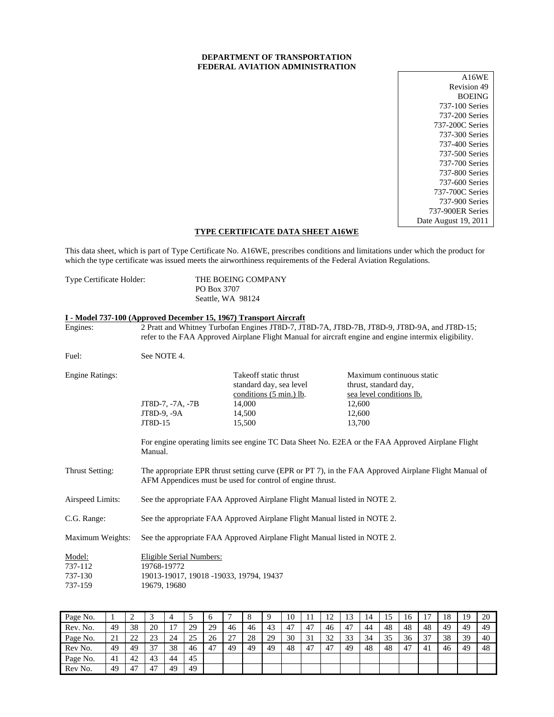# **DEPARTMENT OF TRANSPORTATION FEDERAL AVIATION ADMINISTRATION**

| A16WE                |
|----------------------|
| Revision 49          |
| <b>BOEING</b>        |
| 737-100 Series       |
| 737-200 Series       |
| 737-200C Series      |
| 737-300 Series       |
| 737-400 Series       |
| 737-500 Series       |
| 737-700 Series       |
| 737-800 Series       |
| 737-600 Series       |
| 737-700C Series      |
| 737-900 Series       |
| 737-900ER Series     |
| Date August 19, 2011 |

# **TYPE CERTIFICATE DATA SHEET A16WE**

This data sheet, which is part of Type Certificate No. A16WE, prescribes conditions and limitations under which the product for which the type certificate was issued meets the airworthiness requirements of the Federal Aviation Regulations.

Type Certificate Holder: THE BOEING COMPANY PO Box 3707 Seattle, WA 98124

# **I - Model 737-100 (Approved December 15, 1967) Transport Aircraft**

| Engines:                                |                                                                                                                                                                    |                                                                                                                     | 2 Pratt and Whitney Turbofan Engines JT8D-7, JT8D-7A, JT8D-7B, JT8D-9, JT8D-9A, and JT8D-15;<br>refer to the FAA Approved Airplane Flight Manual for aircraft engine and engine intermix eligibility. |  |  |  |
|-----------------------------------------|--------------------------------------------------------------------------------------------------------------------------------------------------------------------|---------------------------------------------------------------------------------------------------------------------|-------------------------------------------------------------------------------------------------------------------------------------------------------------------------------------------------------|--|--|--|
| Fuel:                                   | See NOTE 4.                                                                                                                                                        |                                                                                                                     |                                                                                                                                                                                                       |  |  |  |
| <b>Engine Ratings:</b>                  | JT8D-7, -7A, -7B<br>JT8D-9, -9A<br>JT8D-15                                                                                                                         | Takeoff static thrust<br>standard day, sea level<br>conditions $(5 \text{ min.})$ lb.<br>14,000<br>14,500<br>15,500 | Maximum continuous static<br>thrust, standard day,<br>sea level conditions lb.<br>12,600<br>12,600<br>13,700                                                                                          |  |  |  |
|                                         | Manual.                                                                                                                                                            |                                                                                                                     | For engine operating limits see engine TC Data Sheet No. E2EA or the FAA Approved Airplane Flight                                                                                                     |  |  |  |
| Thrust Setting:                         | The appropriate EPR thrust setting curve (EPR or PT 7), in the FAA Approved Airplane Flight Manual of<br>AFM Appendices must be used for control of engine thrust. |                                                                                                                     |                                                                                                                                                                                                       |  |  |  |
| Airspeed Limits:                        | See the appropriate FAA Approved Airplane Flight Manual listed in NOTE 2.                                                                                          |                                                                                                                     |                                                                                                                                                                                                       |  |  |  |
| C.G. Range:                             | See the appropriate FAA Approved Airplane Flight Manual listed in NOTE 2.                                                                                          |                                                                                                                     |                                                                                                                                                                                                       |  |  |  |
| Maximum Weights:                        |                                                                                                                                                                    | See the appropriate FAA Approved Airplane Flight Manual listed in NOTE 2.                                           |                                                                                                                                                                                                       |  |  |  |
| Model:<br>737-112<br>737-130<br>737-159 | Eligible Serial Numbers:<br>19768-19772<br>19013-19017, 19018 -19033, 19794, 19437<br>19679, 19680                                                                 |                                                                                                                     |                                                                                                                                                                                                       |  |  |  |

| Page No. |    | ∸                   |    |    | ت  | $\sigma$ |    |    | Q  | 10 |     | 12<br>$\overline{ }$ | 13 | 14 | 15 | 16 | л  | 18 | 19 | 20 |
|----------|----|---------------------|----|----|----|----------|----|----|----|----|-----|----------------------|----|----|----|----|----|----|----|----|
| Rev. No. | 49 | 38                  | 20 | π  | 29 | 29       | 46 | 46 | 43 | 47 | 47  | 46                   | 47 | 44 | 48 | 48 | 48 | 49 | 49 | 49 |
| Page No. | 21 | $\mathcal{D}$<br>∠∠ | 23 | 24 | 25 | 26       | ንገ | 28 | 29 | 30 | 31  | 32                   | 33 | 34 | 35 | 36 | 37 | 38 | 39 | 40 |
| Rev No.  | 49 | 49                  | 37 | 38 | 46 | 47       | 49 | 49 | 49 | 48 | -47 | 47                   | 49 | 48 | 48 | 47 | 41 | 46 | 49 | 48 |
| Page No. | 41 | 42                  | 43 | 44 | 45 |          |    |    |    |    |     |                      |    |    |    |    |    |    |    |    |
| Rev No.  | 49 | 47                  | 47 | 49 | 49 |          |    |    |    |    |     |                      |    |    |    |    |    |    |    |    |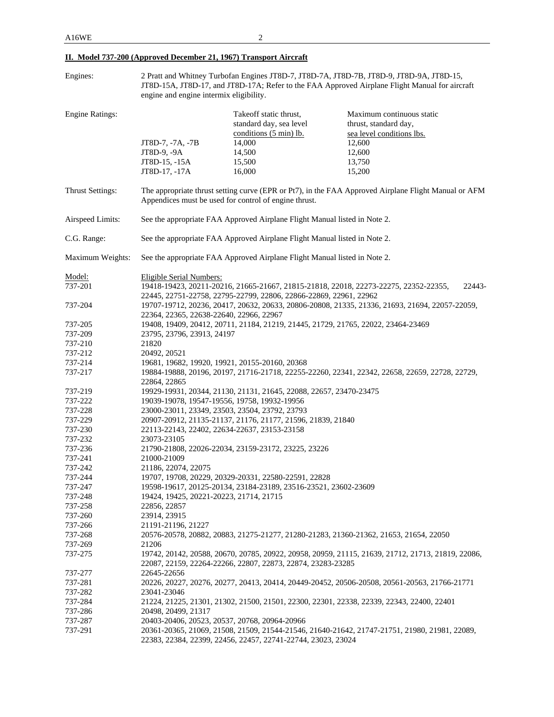| Engines:                |                                         |                                                                                       | 2 Pratt and Whitney Turbofan Engines JT8D-7, JT8D-7A, JT8D-7B, JT8D-9, JT8D-9A, JT8D-15,             |
|-------------------------|-----------------------------------------|---------------------------------------------------------------------------------------|------------------------------------------------------------------------------------------------------|
|                         |                                         |                                                                                       | JT8D-15A, JT8D-17, and JT8D-17A; Refer to the FAA Approved Airplane Flight Manual for aircraft       |
|                         | engine and engine intermix eligibility. |                                                                                       |                                                                                                      |
| <b>Engine Ratings:</b>  |                                         | Takeoff static thrust,<br>standard day, sea level<br>conditions $(5 \text{ min})$ lb. | Maximum continuous static<br>thrust, standard day,<br>sea level conditions lbs.                      |
|                         | JT8D-7, -7A, -7B                        | 14,000                                                                                | 12,600                                                                                               |
|                         | JT8D-9, -9A                             | 14,500                                                                                | 12,600                                                                                               |
|                         | JT8D-15, -15A                           | 15,500                                                                                | 13,750                                                                                               |
|                         | JT8D-17, -17A                           | 16,000                                                                                | 15,200                                                                                               |
| <b>Thrust Settings:</b> |                                         | Appendices must be used for control of engine thrust.                                 | The appropriate thrust setting curve (EPR or Pt7), in the FAA Approved Airplane Flight Manual or AFM |
| Airspeed Limits:        |                                         | See the appropriate FAA Approved Airplane Flight Manual listed in Note 2.             |                                                                                                      |
| C.G. Range:             |                                         | See the appropriate FAA Approved Airplane Flight Manual listed in Note 2.             |                                                                                                      |
| Maximum Weights:        |                                         | See the appropriate FAA Approved Airplane Flight Manual listed in Note 2.             |                                                                                                      |
| Model:                  | <b>Eligible Serial Numbers:</b>         |                                                                                       |                                                                                                      |
| 737-201                 |                                         |                                                                                       | 19418-19423, 20211-20216, 21665-21667, 21815-21818, 22018, 22273-22275, 22352-22355,<br>22443-       |
|                         |                                         | 22445, 22751-22758, 22795-22799, 22806, 22866-22869, 22961, 22962                     |                                                                                                      |
| 737-204                 |                                         |                                                                                       | 19707-19712, 20236, 20417, 20632, 20633, 20806-20808, 21335, 21336, 21693, 21694, 22057-22059,       |
|                         | 22364, 22365, 22638-22640, 22966, 22967 |                                                                                       |                                                                                                      |
| 737-205                 |                                         | 19408, 19409, 20412, 20711, 21184, 21219, 21445, 21729, 21765, 22022, 23464-23469     |                                                                                                      |
| 737-209                 | 23795, 23796, 23913, 24197              |                                                                                       |                                                                                                      |
| 737-210                 | 21820                                   |                                                                                       |                                                                                                      |
| 737-212                 | 20492, 20521                            |                                                                                       |                                                                                                      |
| 737-214                 |                                         | 19681, 19682, 19920, 19921, 20155-20160, 20368                                        |                                                                                                      |
| 737-217                 | 22864, 22865                            |                                                                                       | 19884-19888, 20196, 20197, 21716-21718, 22255-22260, 22341, 22342, 22658, 22659, 22728, 22729,       |
| 737-219                 |                                         | 19929-19931, 20344, 21130, 21131, 21645, 22088, 22657, 23470-23475                    |                                                                                                      |
| 737-222                 |                                         | 19039-19078, 19547-19556, 19758, 19932-19956                                          |                                                                                                      |
| 737-228                 |                                         | 23000-23011, 23349, 23503, 23504, 23792, 23793                                        |                                                                                                      |
| 737-229                 |                                         | 20907-20912, 21135-21137, 21176, 21177, 21596, 21839, 21840                           |                                                                                                      |
| 737-230                 |                                         | 22113-22143, 22402, 22634-22637, 23153-23158                                          |                                                                                                      |
| 737-232                 | 23073-23105                             |                                                                                       |                                                                                                      |
| 737-236                 |                                         | 21790-21808, 22026-22034, 23159-23172, 23225, 23226                                   |                                                                                                      |
| 737-241                 | 21000-21009                             |                                                                                       |                                                                                                      |
| 737-242                 | 21186, 22074, 22075                     |                                                                                       |                                                                                                      |
| 737-244                 |                                         | 19707, 19708, 20229, 20329-20331, 22580-22591, 22828                                  |                                                                                                      |
| 737-247                 |                                         | 19598-19617, 20125-20134, 23184-23189, 23516-23521, 23602-23609                       |                                                                                                      |
| 737-248                 | 19424, 19425, 20221-20223, 21714, 21715 |                                                                                       |                                                                                                      |
| 737-258                 | 22856, 22857                            |                                                                                       |                                                                                                      |
| 737-260                 | 23914, 23915                            |                                                                                       |                                                                                                      |
| 737-266                 | 21191-21196, 21227                      |                                                                                       |                                                                                                      |
| 737-268                 |                                         |                                                                                       | 20576-20578, 20882, 20883, 21275-21277, 21280-21283, 21360-21362, 21653, 21654, 22050                |
| 737-269                 | 21206                                   |                                                                                       |                                                                                                      |
| 737-275                 |                                         | 22087, 22159, 22264-22266, 22807, 22873, 22874, 23283-23285                           | 19742, 20142, 20588, 20670, 20785, 20922, 20958, 20959, 21115, 21639, 21712, 21713, 21819, 22086,    |
| 737-277                 | 22645-22656                             |                                                                                       |                                                                                                      |
| 737-281                 |                                         |                                                                                       | 20226, 20227, 20276, 20277, 20413, 20414, 20449-20452, 20506-20508, 20561-20563, 21766-21771         |
| 737-282                 | 23041-23046                             |                                                                                       |                                                                                                      |
| 737-284                 |                                         |                                                                                       | 21224, 21225, 21301, 21302, 21500, 21501, 22300, 22301, 22338, 22339, 22343, 22400, 22401            |
| 737-286                 | 20498, 20499, 21317                     |                                                                                       |                                                                                                      |
| 737-287                 |                                         | 20403-20406, 20523, 20537, 20768, 20964-20966                                         |                                                                                                      |
| 737-291                 |                                         | 22383, 22384, 22399, 22456, 22457, 22741-22744, 23023, 23024                          | 20361-20365, 21069, 21508, 21509, 21544-21546, 21640-21642, 21747-21751, 21980, 21981, 22089,        |

# **II. Model 737-200 (Approved December 21, 1967) Transport Aircraft**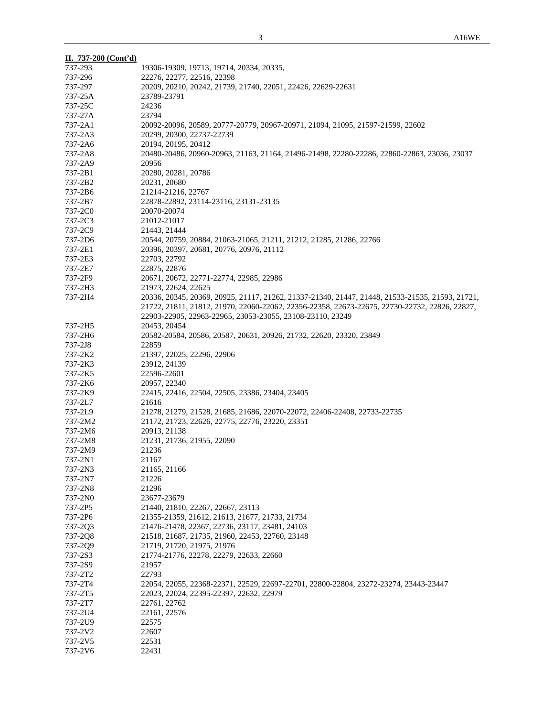| II. 737-200 (Cont'd) |                                                                                                                                                                                                  |
|----------------------|--------------------------------------------------------------------------------------------------------------------------------------------------------------------------------------------------|
| 737-293              | 19306-19309, 19713, 19714, 20334, 20335,                                                                                                                                                         |
| 737-296              | 22276, 22277, 22516, 22398                                                                                                                                                                       |
| 737-297              | 20209, 20210, 20242, 21739, 21740, 22051, 22426, 22629-22631                                                                                                                                     |
| 737-25A              | 23789-23791                                                                                                                                                                                      |
| 737-25C              | 24236                                                                                                                                                                                            |
| 737-27A              | 23794                                                                                                                                                                                            |
| 737-2A1              | 20092-20096, 20589, 20777-20779, 20967-20971, 21094, 21095, 21597-21599, 22602                                                                                                                   |
| 737-2A3              | 20299, 20300, 22737-22739                                                                                                                                                                        |
| 737-2A6              | 20194, 20195, 20412                                                                                                                                                                              |
| 737-2A8              | 20480-20486, 20960-20963, 21163, 21164, 21496-21498, 22280-22286, 22860-22863, 23036, 23037                                                                                                      |
| 737-2A9              | 20956                                                                                                                                                                                            |
| 737-2B1              | 20280, 20281, 20786                                                                                                                                                                              |
| 737-2B2              | 20231, 20680                                                                                                                                                                                     |
| 737-2B6              | 21214-21216, 22767                                                                                                                                                                               |
| 737-2B7              | 22878-22892, 23114-23116, 23131-23135                                                                                                                                                            |
| 737-2C0              | 20070-20074                                                                                                                                                                                      |
| 737-2C3              | 21012-21017                                                                                                                                                                                      |
| 737-2C9              | 21443, 21444                                                                                                                                                                                     |
| 737-2D6              | 20544, 20759, 20884, 21063-21065, 21211, 21212, 21285, 21286, 22766                                                                                                                              |
| 737-2E1              | 20396, 20397, 20681, 20776, 20976, 21112                                                                                                                                                         |
| 737-2E3              | 22703, 22792                                                                                                                                                                                     |
| 737-2E7              | 22875, 22876                                                                                                                                                                                     |
| 737-2F9              | 20671, 20672, 22771-22774, 22985, 22986                                                                                                                                                          |
| 737-2H3              | 21973, 22624, 22625                                                                                                                                                                              |
| 737-2H4              | 20336, 20345, 20369, 20925, 21117, 21262, 21337-21340, 21447, 21448, 21533-21535, 21593, 21721,<br>21722, 21811, 21812, 21970, 22060-22062, 22356-22358, 22673-22675, 22730-22732, 22826, 22827, |
|                      | 22903-22905, 22963-22965, 23053-23055, 23108-23110, 23249                                                                                                                                        |
| 737-2H5              | 20453, 20454                                                                                                                                                                                     |
| 737-2H6              | 20582-20584, 20586, 20587, 20631, 20926, 21732, 22620, 23320, 23849                                                                                                                              |
| 737-2J8              | 22859                                                                                                                                                                                            |
| 737-2K2              | 21397, 22025, 22296, 22906                                                                                                                                                                       |
| 737-2K3              | 23912, 24139                                                                                                                                                                                     |
| 737-2K5              | 22596-22601                                                                                                                                                                                      |
| 737-2K6              | 20957, 22340                                                                                                                                                                                     |
| 737-2K9              | 22415, 22416, 22504, 22505, 23386, 23404, 23405                                                                                                                                                  |
| 737-2L7              | 21616                                                                                                                                                                                            |
| 737-2L9              | 21278, 21279, 21528, 21685, 21686, 22070-22072, 22406-22408, 22733-22735                                                                                                                         |
| 737-2M2              | 21172, 21723, 22626, 22775, 22776, 23220, 23351                                                                                                                                                  |
| 737-2M6              | 20913, 21138                                                                                                                                                                                     |
| 737-2M8              | 21231, 21736, 21955, 22090                                                                                                                                                                       |
| 737-2M9              | 21236                                                                                                                                                                                            |
| 737-2N1              | 21167                                                                                                                                                                                            |
| 737-2N3              | 21165, 21166                                                                                                                                                                                     |
| 737-2N7              | 21226                                                                                                                                                                                            |
| 737-2N8              | 21296                                                                                                                                                                                            |
| 737-2N0              | 23677-23679                                                                                                                                                                                      |
| 737-2P5              | 21440, 21810, 22267, 22667, 23113                                                                                                                                                                |
| 737-2P6              | 21355-21359, 21612, 21613, 21677, 21733, 21734                                                                                                                                                   |
| 737-2Q3              | 21476-21478, 22367, 22736, 23117, 23481, 24103                                                                                                                                                   |
| 737-2Q8              | 21518, 21687, 21735, 21960, 22453, 22760, 23148                                                                                                                                                  |
| 737-2Q9              | 21719, 21720, 21975, 21976                                                                                                                                                                       |
| 737-2S3              | 21774-21776, 22278, 22279, 22633, 22660                                                                                                                                                          |
| 737-2S9              | 21957                                                                                                                                                                                            |
| 737-2T2              | 22793                                                                                                                                                                                            |
| 737-2T4              | 22054, 22055, 22368-22371, 22529, 22697-22701, 22800-22804, 23272-23274, 23443-23447                                                                                                             |
| 737-2T5              | 22023, 22024, 22395-22397, 22632, 22979                                                                                                                                                          |
| 737-2T7<br>737-2U4   | 22761, 22762                                                                                                                                                                                     |
| 737-2U9              | 22161, 22576<br>22575                                                                                                                                                                            |
| 737-2V2              | 22607                                                                                                                                                                                            |
| 737-2V5              | 22531                                                                                                                                                                                            |
| 737-2V6              | 22431                                                                                                                                                                                            |
|                      |                                                                                                                                                                                                  |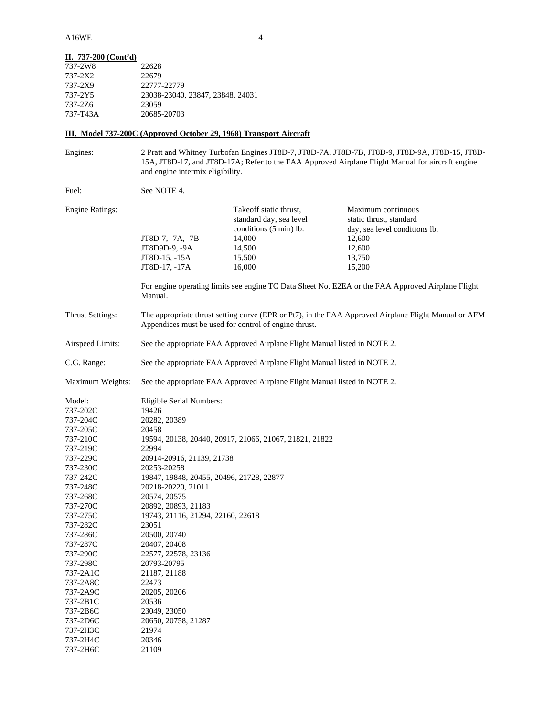# **II. 737-200 (Cont'd)**

| 737-2W8  | 22628                            |
|----------|----------------------------------|
| 737-2X2  | 22679                            |
| 737-2X9  | 22777-22779                      |
| 737-2Y5  | 23038-23040, 23847, 23848, 24031 |
| 737-276  | 23059                            |
| 737-T43A | 20685-20703                      |

# **III. Model 737-200C (Approved October 29, 1968) Transport Aircraft**

| Engines:                | and engine intermix eligibility.                                          |                                                                             | 2 Pratt and Whitney Turbofan Engines JT8D-7, JT8D-7A, JT8D-7B, JT8D-9, JT8D-9A, JT8D-15, JT8D-<br>15A, JT8D-17, and JT8D-17A; Refer to the FAA Approved Airplane Flight Manual for aircraft engine |  |  |  |
|-------------------------|---------------------------------------------------------------------------|-----------------------------------------------------------------------------|----------------------------------------------------------------------------------------------------------------------------------------------------------------------------------------------------|--|--|--|
| Fuel:                   | See NOTE 4.                                                               |                                                                             |                                                                                                                                                                                                    |  |  |  |
| <b>Engine Ratings:</b>  |                                                                           | Takeoff static thrust,<br>standard day, sea level<br>conditions (5 min) lb. | Maximum continuous<br>static thrust, standard<br>day, sea level conditions lb.                                                                                                                     |  |  |  |
|                         | JT8D-7, -7A, -7B                                                          | 14,000                                                                      | 12,600                                                                                                                                                                                             |  |  |  |
|                         | JT8D9D-9, -9A                                                             | 14,500                                                                      | 12,600                                                                                                                                                                                             |  |  |  |
|                         | JT8D-15, -15A                                                             | 15,500                                                                      | 13,750                                                                                                                                                                                             |  |  |  |
|                         | JT8D-17, -17A                                                             | 16,000                                                                      | 15,200                                                                                                                                                                                             |  |  |  |
|                         | Manual.                                                                   |                                                                             | For engine operating limits see engine TC Data Sheet No. E2EA or the FAA Approved Airplane Flight                                                                                                  |  |  |  |
| <b>Thrust Settings:</b> |                                                                           | Appendices must be used for control of engine thrust.                       | The appropriate thrust setting curve (EPR or Pt7), in the FAA Approved Airplane Flight Manual or AFM                                                                                               |  |  |  |
| Airspeed Limits:        |                                                                           | See the appropriate FAA Approved Airplane Flight Manual listed in NOTE 2.   |                                                                                                                                                                                                    |  |  |  |
| C.G. Range:             |                                                                           | See the appropriate FAA Approved Airplane Flight Manual listed in NOTE 2.   |                                                                                                                                                                                                    |  |  |  |
| Maximum Weights:        | See the appropriate FAA Approved Airplane Flight Manual listed in NOTE 2. |                                                                             |                                                                                                                                                                                                    |  |  |  |
| Model:                  | <b>Eligible Serial Numbers:</b>                                           |                                                                             |                                                                                                                                                                                                    |  |  |  |
| 737-202C                | 19426                                                                     |                                                                             |                                                                                                                                                                                                    |  |  |  |
| 737-204C                | 20282, 20389                                                              |                                                                             |                                                                                                                                                                                                    |  |  |  |
| 737-205C                | 20458                                                                     |                                                                             |                                                                                                                                                                                                    |  |  |  |
| 737-210C                |                                                                           | 19594, 20138, 20440, 20917, 21066, 21067, 21821, 21822                      |                                                                                                                                                                                                    |  |  |  |
| 737-219C                | 22994                                                                     |                                                                             |                                                                                                                                                                                                    |  |  |  |
| 737-229C<br>737-230C    | 20914-20916, 21139, 21738<br>20253-20258                                  |                                                                             |                                                                                                                                                                                                    |  |  |  |
| 737-242C                | 19847, 19848, 20455, 20496, 21728, 22877                                  |                                                                             |                                                                                                                                                                                                    |  |  |  |
| 737-248C                | 20218-20220, 21011                                                        |                                                                             |                                                                                                                                                                                                    |  |  |  |
| 737-268C                | 20574, 20575                                                              |                                                                             |                                                                                                                                                                                                    |  |  |  |
| 737-270C                | 20892, 20893, 21183                                                       |                                                                             |                                                                                                                                                                                                    |  |  |  |
| 737-275C                | 19743, 21116, 21294, 22160, 22618                                         |                                                                             |                                                                                                                                                                                                    |  |  |  |
| 737-282C                | 23051                                                                     |                                                                             |                                                                                                                                                                                                    |  |  |  |
| 737-286C                | 20500, 20740                                                              |                                                                             |                                                                                                                                                                                                    |  |  |  |
| 737-287C                | 20407, 20408                                                              |                                                                             |                                                                                                                                                                                                    |  |  |  |
| 737-290C                | 22577, 22578, 23136                                                       |                                                                             |                                                                                                                                                                                                    |  |  |  |
| 737-298C                | 20793-20795                                                               |                                                                             |                                                                                                                                                                                                    |  |  |  |
| 737-2A1C                | 21187, 21188                                                              |                                                                             |                                                                                                                                                                                                    |  |  |  |
| 737-2A8C                | 22473                                                                     |                                                                             |                                                                                                                                                                                                    |  |  |  |
| 737-2A9C                | 20205, 20206                                                              |                                                                             |                                                                                                                                                                                                    |  |  |  |
| 737-2B1C                | 20536                                                                     |                                                                             |                                                                                                                                                                                                    |  |  |  |
| 737-2B6C                | 23049, 23050                                                              |                                                                             |                                                                                                                                                                                                    |  |  |  |
| 737-2D6C                | 20650, 20758, 21287                                                       |                                                                             |                                                                                                                                                                                                    |  |  |  |
| 737-2H3C                | 21974                                                                     |                                                                             |                                                                                                                                                                                                    |  |  |  |
| 737-2H4C                | 20346                                                                     |                                                                             |                                                                                                                                                                                                    |  |  |  |
| 737-2H6C                | 21109                                                                     |                                                                             |                                                                                                                                                                                                    |  |  |  |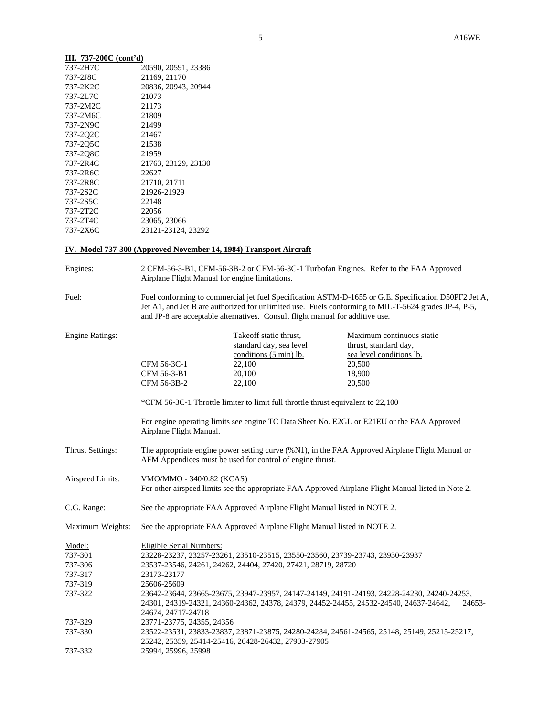# **III. 737-200C (cont'd)**

| 737-2H7C | 20590, 20591, 23386 |
|----------|---------------------|
| 737-2J8C | 21169, 21170        |
| 737-2K2C | 20836, 20943, 20944 |
| 737-2L7C | 21073               |
| 737-2M2C | 21173               |
| 737-2M6C | 21809               |
| 737-2N9C | 21499               |
| 737-202C | 21467               |
| 737-205C | 21538               |
| 737-208C | 21959               |
| 737-2R4C | 21763, 23129, 23130 |
| 737-2R6C | 22627               |
| 737-2R8C | 21710, 21711        |
| 737-2S2C | 21926-21929         |
| 737-2S5C | 22148               |
| 737-2T2C | 22056               |
| 737-2T4C | 23065, 23066        |
| 737-2X6C | 23121-23124, 23292  |

# **IV. Model 737-300 (Approved November 14, 1984) Transport Aircraft**

| Engines:                                                      | 2 CFM-56-3-B1, CFM-56-3B-2 or CFM-56-3C-1 Turbofan Engines. Refer to the FAA Approved<br>Airplane Flight Manual for engine limitations.                                                                                                                                                                                                                                                                        |                                                                                                                                                                                               |                                                                                                                                                                                                              |  |  |
|---------------------------------------------------------------|----------------------------------------------------------------------------------------------------------------------------------------------------------------------------------------------------------------------------------------------------------------------------------------------------------------------------------------------------------------------------------------------------------------|-----------------------------------------------------------------------------------------------------------------------------------------------------------------------------------------------|--------------------------------------------------------------------------------------------------------------------------------------------------------------------------------------------------------------|--|--|
| Fuel:                                                         |                                                                                                                                                                                                                                                                                                                                                                                                                | and JP-8 are acceptable alternatives. Consult flight manual for additive use.                                                                                                                 | Fuel conforming to commercial jet fuel Specification ASTM-D-1655 or G.E. Specification D50PF2 Jet A,<br>Jet A1, and Jet B are authorized for unlimited use. Fuels conforming to MIL-T-5624 grades JP-4, P-5, |  |  |
| <b>Engine Ratings:</b>                                        | CFM 56-3C-1<br>CFM 56-3-B1<br>CFM 56-3B-2<br>Airplane Flight Manual.                                                                                                                                                                                                                                                                                                                                           | Takeoff static thrust,<br>standard day, sea level<br>conditions (5 min) lb.<br>22,100<br>20,100<br>22,100<br>*CFM 56-3C-1 Throttle limiter to limit full throttle thrust equivalent to 22,100 | Maximum continuous static<br>thrust, standard day,<br>sea level conditions lb.<br>20,500<br>18,900<br>20,500<br>For engine operating limits see engine TC Data Sheet No. E2GL or E21EU or the FAA Approved   |  |  |
| <b>Thrust Settings:</b>                                       | The appropriate engine power setting curve (%N1), in the FAA Approved Airplane Flight Manual or<br>AFM Appendices must be used for control of engine thrust.                                                                                                                                                                                                                                                   |                                                                                                                                                                                               |                                                                                                                                                                                                              |  |  |
| Airspeed Limits:                                              | VMO/MMO - 340/0.82 (KCAS)                                                                                                                                                                                                                                                                                                                                                                                      |                                                                                                                                                                                               | For other airspeed limits see the appropriate FAA Approved Airplane Flight Manual listed in Note 2.                                                                                                          |  |  |
| C.G. Range:                                                   | See the appropriate FAA Approved Airplane Flight Manual listed in NOTE 2.                                                                                                                                                                                                                                                                                                                                      |                                                                                                                                                                                               |                                                                                                                                                                                                              |  |  |
| Maximum Weights:                                              | See the appropriate FAA Approved Airplane Flight Manual listed in NOTE 2.                                                                                                                                                                                                                                                                                                                                      |                                                                                                                                                                                               |                                                                                                                                                                                                              |  |  |
| Model:<br>737-301<br>737-306<br>737-317<br>737-319<br>737-322 | <b>Eligible Serial Numbers:</b><br>23228-23237, 23257-23261, 23510-23515, 23550-23560, 23739-23743, 23930-23937<br>23537-23546, 24261, 24262, 24404, 27420, 27421, 28719, 28720<br>23173-23177<br>25606-25609<br>23642-23644, 23665-23675, 23947-23957, 24147-24149, 24191-24193, 24228-24230, 24240-24253,<br>24301, 24319-24321, 24360-24362, 24378, 24379, 24452-24455, 24532-24540, 24637-24642,<br>24653- |                                                                                                                                                                                               |                                                                                                                                                                                                              |  |  |
| 737-329<br>737-330<br>737-332                                 | 24674, 24717-24718<br>23771-23775, 24355, 24356<br>23522-23531, 23833-23837, 23871-23875, 24280-24284, 24561-24565, 25148, 25149, 25215-25217,<br>25242, 25359, 25414-25416, 26428-26432, 27903-27905<br>25994, 25996, 25998                                                                                                                                                                                   |                                                                                                                                                                                               |                                                                                                                                                                                                              |  |  |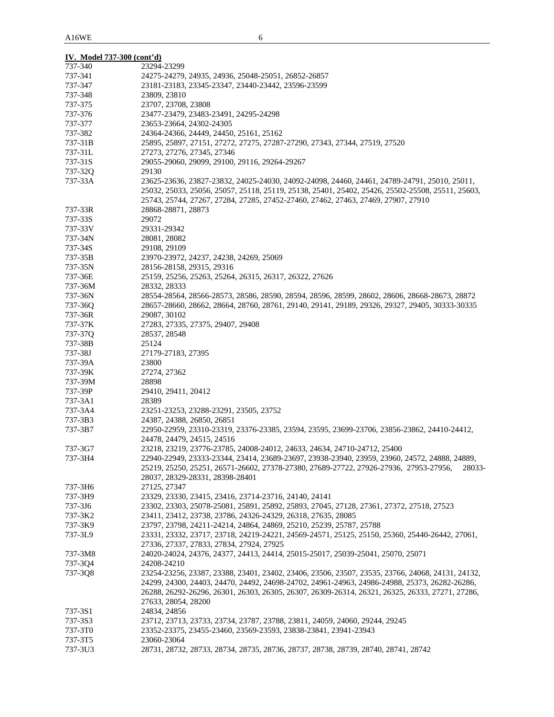| IV. Model 737-300 (cont'd) |                                                                                                                                                                                       |
|----------------------------|---------------------------------------------------------------------------------------------------------------------------------------------------------------------------------------|
| 737-340                    | 23294-23299                                                                                                                                                                           |
| 737-341                    | 24275-24279, 24935, 24936, 25048-25051, 26852-26857                                                                                                                                   |
| 737-347                    | 23181-23183, 23345-23347, 23440-23442, 23596-23599                                                                                                                                    |
| 737-348                    | 23809, 23810                                                                                                                                                                          |
| 737-375                    | 23707, 23708, 23808                                                                                                                                                                   |
| 737-376                    | 23477-23479, 23483-23491, 24295-24298                                                                                                                                                 |
| 737-377                    | 23653-23664, 24302-24305                                                                                                                                                              |
| 737-382                    | 24364-24366, 24449, 24450, 25161, 25162                                                                                                                                               |
| 737-31B                    | 25895, 25897, 27151, 27272, 27275, 27287-27290, 27343, 27344, 27519, 27520                                                                                                            |
| 737-31L                    | 27273, 27276, 27345, 27346                                                                                                                                                            |
| 737-31S                    | 29055-29060, 29099, 29100, 29116, 29264-29267                                                                                                                                         |
| 737-32Q                    | 29130                                                                                                                                                                                 |
| 737-33A                    | 23625-23636, 23827-23832, 24025-24030, 24092-24098, 24460, 24461, 24789-24791, 25010, 25011,                                                                                          |
|                            | 25032, 25033, 25056, 25057, 25118, 25119, 25138, 25401, 25402, 25426, 25502-25508, 25511, 25603,<br>25743, 25744, 27267, 27284, 27285, 27452-27460, 27462, 27463, 27469, 27907, 27910 |
| 737-33R                    | 28868-28871, 28873                                                                                                                                                                    |
| 737-33S                    | 29072                                                                                                                                                                                 |
| 737-33V                    | 29331-29342                                                                                                                                                                           |
| 737-34N                    | 28081, 28082                                                                                                                                                                          |
| 737-34S                    | 29108, 29109                                                                                                                                                                          |
| 737-35B                    | 23970-23972, 24237, 24238, 24269, 25069                                                                                                                                               |
| 737-35N                    | 28156-28158, 29315, 29316                                                                                                                                                             |
| 737-36E                    | 25159, 25256, 25263, 25264, 26315, 26317, 26322, 27626                                                                                                                                |
| 737-36M                    | 28332, 28333                                                                                                                                                                          |
| 737-36N                    | 28554-28564, 28566-28573, 28586, 28590, 28594, 28596, 28599, 28602, 28606, 28668-28673, 28872                                                                                         |
| 737-36Q                    | 28657-28660, 28662, 28664, 28760, 28761, 29140, 29141, 29189, 29326, 29327, 29405, 30333-30335                                                                                        |
| 737-36R                    | 29087, 30102                                                                                                                                                                          |
| 737-37K                    | 27283, 27335, 27375, 29407, 29408                                                                                                                                                     |
| 737-37Q                    | 28537, 28548                                                                                                                                                                          |
| 737-38B                    | 25124                                                                                                                                                                                 |
| 737-38J                    | 27179-27183, 27395                                                                                                                                                                    |
| 737-39A                    | 23800                                                                                                                                                                                 |
| 737-39K                    | 27274, 27362                                                                                                                                                                          |
| 737-39M                    | 28898                                                                                                                                                                                 |
| 737-39P                    | 29410, 29411, 20412                                                                                                                                                                   |
| 737-3A1                    | 28389                                                                                                                                                                                 |
| 737-3A4                    | 23251-23253, 23288-23291, 23505, 23752                                                                                                                                                |
| 737-3B3                    | 24387, 24388, 26850, 26851                                                                                                                                                            |
| 737-3B7                    | 22950-22959, 23310-23319, 23376-23385, 23594, 23595, 23699-23706, 23856-23862, 24410-24412,                                                                                           |
|                            | 24478, 24479, 24515, 24516                                                                                                                                                            |
| 737-3G7                    | 23218, 23219, 23776-23785, 24008-24012, 24633, 24634, 24710-24712, 25400                                                                                                              |
| 737-3H4                    | 22940-22949, 23333-23344, 23414, 23689-23697, 23938-23940, 23959, 23960, 24572, 24888, 24889,                                                                                         |
|                            | 25219, 25250, 25251, 26571-26602, 27378-27380, 27689-27722, 27926-27936, 27953-27956,<br>28033-                                                                                       |
|                            | 28037, 28329-28331, 28398-28401                                                                                                                                                       |
| 737-3H6                    | 27125, 27347                                                                                                                                                                          |
| 737-3H9                    | 23329, 23330, 23415, 23416, 23714-23716, 24140, 24141                                                                                                                                 |
| 737-3J6                    | 23302, 23303, 25078-25081, 25891, 25892, 25893, 27045, 27128, 27361, 27372, 27518, 27523                                                                                              |
| 737-3K2                    | 23411, 23412, 23738, 23786, 24326-24329, 26318, 27635, 28085                                                                                                                          |
| 737-3K9                    | 23797, 23798, 24211-24214, 24864, 24869, 25210, 25239, 25787, 25788                                                                                                                   |
| 737-3L9                    | 23331, 23332, 23717, 23718, 24219-24221, 24569-24571, 25125, 25150, 25360, 25440-26442, 27061,                                                                                        |
|                            | 27336, 27337, 27833, 27834, 27924, 27925                                                                                                                                              |
| 737-3M8                    | 24020-24024, 24376, 24377, 24413, 24414, 25015-25017, 25039-25041, 25070, 25071                                                                                                       |
| 737-3Q4                    | 24208-24210                                                                                                                                                                           |
| 737-3Q8                    | 23254-23256, 23387, 23388, 23401, 23402, 23406, 23506, 23507, 23535, 23766, 24068, 24131, 24132,                                                                                      |
|                            | 24299, 24300, 24403, 24470, 24492, 24698-24702, 24961-24963, 24986-24988, 25373, 26282-26286,                                                                                         |
|                            | 26288, 26292-26296, 26301, 26303, 26305, 26307, 26309-26314, 26321, 26325, 26333, 27271, 27286,                                                                                       |
|                            | 27633, 28054, 28200                                                                                                                                                                   |
| 737-3S1                    | 24834, 24856                                                                                                                                                                          |
| 737-3S3                    | 23712, 23713, 23733, 23734, 23787, 23788, 23811, 24059, 24060, 29244, 29245                                                                                                           |
| 737-3T0                    | 23352-23375, 23455-23460, 23569-23593, 23838-23841, 23941-23943                                                                                                                       |
| 737-3T5                    | 23060-23064                                                                                                                                                                           |
| 737-3U3                    | 28731, 28732, 28733, 28734, 28735, 28736, 28737, 28738, 28739, 28740, 28741, 28742                                                                                                    |
|                            |                                                                                                                                                                                       |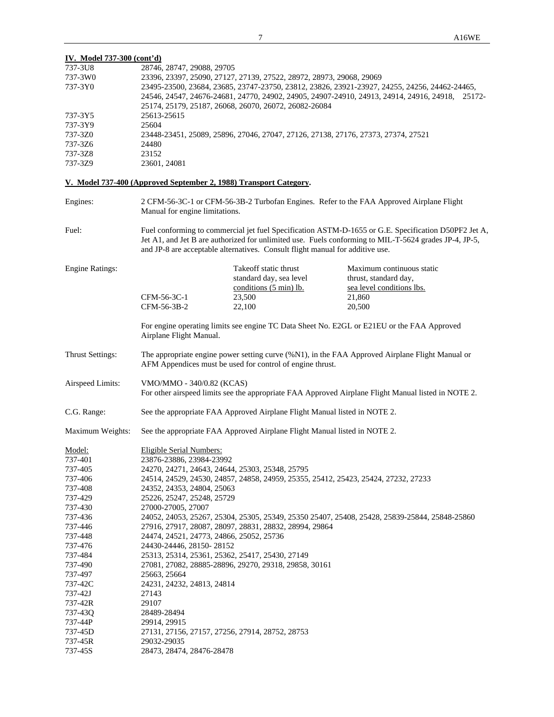| IV. Model 737-300 (cont'd) |                                                                                                 |                                                                                               |                                                                                                                                                                                                               |  |  |  |  |  |
|----------------------------|-------------------------------------------------------------------------------------------------|-----------------------------------------------------------------------------------------------|---------------------------------------------------------------------------------------------------------------------------------------------------------------------------------------------------------------|--|--|--|--|--|
| 737-3U8                    | 28746, 28747, 29088, 29705                                                                      |                                                                                               |                                                                                                                                                                                                               |  |  |  |  |  |
| 737-3W0                    |                                                                                                 | 23396, 23397, 25090, 27127, 27139, 27522, 28972, 28973, 29068, 29069                          |                                                                                                                                                                                                               |  |  |  |  |  |
| 737-3Y0                    |                                                                                                 | 23495-23500, 23684, 23685, 23747-23750, 23812, 23826, 23921-23927, 24255, 24256, 24462-24465, |                                                                                                                                                                                                               |  |  |  |  |  |
|                            | 24546, 24547, 24676-24681, 24770, 24902, 24905, 24907-24910, 24913, 24914, 24916, 24918, 25172- |                                                                                               |                                                                                                                                                                                                               |  |  |  |  |  |
|                            |                                                                                                 | 25174, 25179, 25187, 26068, 26070, 26072, 26082-26084                                         |                                                                                                                                                                                                               |  |  |  |  |  |
| 737-3Y5                    | 25613-25615                                                                                     |                                                                                               |                                                                                                                                                                                                               |  |  |  |  |  |
| 737-3Y9                    |                                                                                                 |                                                                                               |                                                                                                                                                                                                               |  |  |  |  |  |
|                            | 25604<br>23448-23451, 25089, 25896, 27046, 27047, 27126, 27138, 27176, 27373, 27374, 27521      |                                                                                               |                                                                                                                                                                                                               |  |  |  |  |  |
| 737-3Z0                    |                                                                                                 |                                                                                               |                                                                                                                                                                                                               |  |  |  |  |  |
| 737-3Z6                    | 24480                                                                                           |                                                                                               |                                                                                                                                                                                                               |  |  |  |  |  |
| 737-3Z8                    | 23152                                                                                           |                                                                                               |                                                                                                                                                                                                               |  |  |  |  |  |
| 737-3Z9                    | 23601, 24081                                                                                    |                                                                                               |                                                                                                                                                                                                               |  |  |  |  |  |
|                            | V. Model 737-400 (Approved September 2, 1988) Transport Category.                               |                                                                                               |                                                                                                                                                                                                               |  |  |  |  |  |
| Engines:                   | Manual for engine limitations.                                                                  |                                                                                               | 2 CFM-56-3C-1 or CFM-56-3B-2 Turbofan Engines. Refer to the FAA Approved Airplane Flight                                                                                                                      |  |  |  |  |  |
| Fuel:                      |                                                                                                 | and JP-8 are acceptable alternatives. Consult flight manual for additive use.                 | Fuel conforming to commercial jet fuel Specification ASTM-D-1655 or G.E. Specification D50PF2 Jet A,<br>Jet A1, and Jet B are authorized for unlimited use. Fuels conforming to MIL-T-5624 grades JP-4, JP-5, |  |  |  |  |  |
| <b>Engine Ratings:</b>     |                                                                                                 | Takeoff static thrust                                                                         | Maximum continuous static                                                                                                                                                                                     |  |  |  |  |  |
|                            |                                                                                                 | standard day, sea level                                                                       | thrust, standard day,                                                                                                                                                                                         |  |  |  |  |  |
|                            |                                                                                                 | conditions (5 min) lb.                                                                        | sea level conditions lbs.                                                                                                                                                                                     |  |  |  |  |  |
|                            | CFM-56-3C-1                                                                                     |                                                                                               |                                                                                                                                                                                                               |  |  |  |  |  |
|                            |                                                                                                 | 23,500                                                                                        | 21,860                                                                                                                                                                                                        |  |  |  |  |  |
|                            | CFM-56-3B-2                                                                                     | 22,100                                                                                        | 20,500                                                                                                                                                                                                        |  |  |  |  |  |
|                            | Airplane Flight Manual.                                                                         |                                                                                               | For engine operating limits see engine TC Data Sheet No. E2GL or E21EU or the FAA Approved                                                                                                                    |  |  |  |  |  |
| <b>Thrust Settings:</b>    |                                                                                                 | AFM Appendices must be used for control of engine thrust.                                     | The appropriate engine power setting curve (%N1), in the FAA Approved Airplane Flight Manual or                                                                                                               |  |  |  |  |  |
| Airspeed Limits:           | VMO/MMO - 340/0.82 (KCAS)                                                                       |                                                                                               | For other airspeed limits see the appropriate FAA Approved Airplane Flight Manual listed in NOTE 2.                                                                                                           |  |  |  |  |  |
| C.G. Range:                |                                                                                                 | See the appropriate FAA Approved Airplane Flight Manual listed in NOTE 2.                     |                                                                                                                                                                                                               |  |  |  |  |  |
| Maximum Weights:           |                                                                                                 | See the appropriate FAA Approved Airplane Flight Manual listed in NOTE 2.                     |                                                                                                                                                                                                               |  |  |  |  |  |
| Model:                     | Eligible Serial Numbers:                                                                        |                                                                                               |                                                                                                                                                                                                               |  |  |  |  |  |
| 737-401                    | 23876-23886, 23984-23992                                                                        |                                                                                               |                                                                                                                                                                                                               |  |  |  |  |  |
| 737-405                    | 24270, 24271, 24643, 24644, 25303, 25348, 25795                                                 |                                                                                               |                                                                                                                                                                                                               |  |  |  |  |  |
| 737-406                    |                                                                                                 | 24514, 24529, 24530, 24857, 24858, 24959, 25355, 25412, 25423, 25424, 27232, 27233            |                                                                                                                                                                                                               |  |  |  |  |  |
|                            |                                                                                                 |                                                                                               |                                                                                                                                                                                                               |  |  |  |  |  |
| 737-408                    | 24352, 24353, 24804, 25063                                                                      |                                                                                               |                                                                                                                                                                                                               |  |  |  |  |  |
| 737-429                    | 25226, 25247, 25248, 25729                                                                      |                                                                                               |                                                                                                                                                                                                               |  |  |  |  |  |
| 737-430                    | 27000-27005, 27007                                                                              |                                                                                               |                                                                                                                                                                                                               |  |  |  |  |  |
| 737-436                    |                                                                                                 |                                                                                               | 24052, 24053, 25267, 25304, 25305, 25349, 25350 25407, 25408, 25428, 25839-25844, 25848-25860                                                                                                                 |  |  |  |  |  |
| 737-446                    |                                                                                                 | 27916, 27917, 28087, 28097, 28831, 28832, 28994, 29864                                        |                                                                                                                                                                                                               |  |  |  |  |  |
| 737-448                    | 24474, 24521, 24773, 24866, 25052, 25736                                                        |                                                                                               |                                                                                                                                                                                                               |  |  |  |  |  |
| 737-476                    | 24430-24446, 28150-28152                                                                        |                                                                                               |                                                                                                                                                                                                               |  |  |  |  |  |
| 737-484                    | 25313, 25314, 25361, 25362, 25417, 25430, 27149                                                 |                                                                                               |                                                                                                                                                                                                               |  |  |  |  |  |
| 737-490                    |                                                                                                 | 27081, 27082, 28885-28896, 29270, 29318, 29858, 30161                                         |                                                                                                                                                                                                               |  |  |  |  |  |
| 737-497                    | 25663, 25664                                                                                    |                                                                                               |                                                                                                                                                                                                               |  |  |  |  |  |
|                            |                                                                                                 |                                                                                               |                                                                                                                                                                                                               |  |  |  |  |  |
| 737-42C                    | 24231, 24232, 24813, 24814                                                                      |                                                                                               |                                                                                                                                                                                                               |  |  |  |  |  |
| 737-42J                    | 27143                                                                                           |                                                                                               |                                                                                                                                                                                                               |  |  |  |  |  |
| 737-42R                    | 29107                                                                                           |                                                                                               |                                                                                                                                                                                                               |  |  |  |  |  |
| 737-43Q                    | 28489-28494                                                                                     |                                                                                               |                                                                                                                                                                                                               |  |  |  |  |  |
| 737-44P                    | 29914, 29915                                                                                    |                                                                                               |                                                                                                                                                                                                               |  |  |  |  |  |
| 737-45D                    | 27131, 27156, 27157, 27256, 27914, 28752, 28753                                                 |                                                                                               |                                                                                                                                                                                                               |  |  |  |  |  |
| 737-45R                    | 29032-29035                                                                                     |                                                                                               |                                                                                                                                                                                                               |  |  |  |  |  |
| 737-45S                    | 28473, 28474, 28476-28478                                                                       |                                                                                               |                                                                                                                                                                                                               |  |  |  |  |  |
|                            |                                                                                                 |                                                                                               |                                                                                                                                                                                                               |  |  |  |  |  |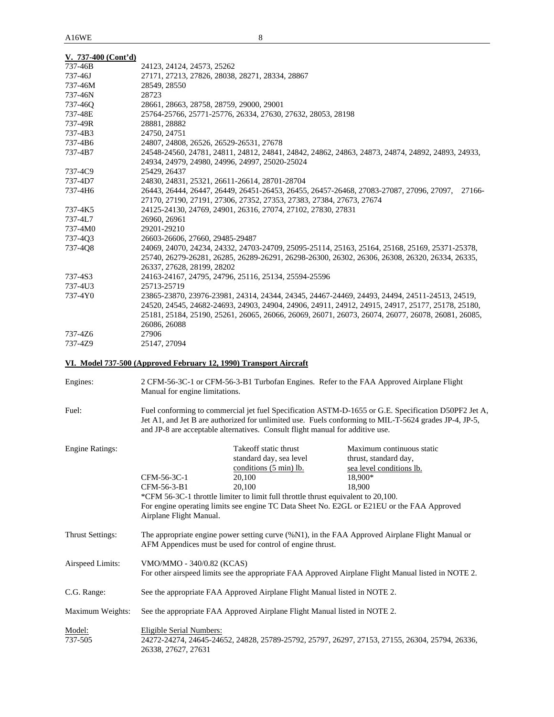|  |  | $V. 737-400$ (Cont'd) |
|--|--|-----------------------|
|--|--|-----------------------|

| 737-46B | 24123, 24124, 24573, 25262                                                                        |
|---------|---------------------------------------------------------------------------------------------------|
| 737-46J | 27171, 27213, 27826, 28038, 28271, 28334, 28867                                                   |
| 737-46M | 28549, 28550                                                                                      |
| 737-46N | 28723                                                                                             |
| 737-460 | 28661, 28663, 28758, 28759, 29000, 29001                                                          |
| 737-48E | 25764-25766, 25771-25776, 26334, 27630, 27632, 28053, 28198                                       |
| 737-49R | 28881, 28882                                                                                      |
| 737-4B3 | 24750, 24751                                                                                      |
| 737-4B6 | 24807, 24808, 26526, 26529-26531, 27678                                                           |
| 737-4B7 | 24548-24560, 24781, 24811, 24812, 24841, 24842, 24862, 24863, 24873, 24874, 24892, 24893, 24933,  |
|         | 24934, 24979, 24980, 24996, 24997, 25020-25024                                                    |
| 737-4C9 | 25429, 26437                                                                                      |
| 737-4D7 | 24830, 24831, 25321, 26611-26614, 28701-28704                                                     |
| 737-4H6 | 26443, 26444, 26447, 26449, 26451-26453, 26455, 26457-26468, 27083-27087, 27096, 27097,<br>27166- |
|         | 27170, 27190, 27191, 27306, 27352, 27353, 27383, 27384, 27673, 27674                              |
| 737-4K5 | 24125-24130, 24769, 24901, 26316, 27074, 27102, 27830, 27831                                      |
| 737-4L7 | 26960, 26961                                                                                      |
| 737-4M0 | 29201-29210                                                                                       |
| 737-403 | 26603-26606, 27660, 29485-29487                                                                   |
| 737-4Q8 | 24069, 24070, 24234, 24332, 24703-24709, 25095-25114, 25163, 25164, 25168, 25169, 25371-25378,    |
|         | 25740, 26279-26281, 26285, 26289-26291, 26298-26300, 26302, 26306, 26308, 26320, 26334, 26335,    |
|         | 26337, 27628, 28199, 28202                                                                        |
| 737-4S3 | 24163-24167, 24795, 24796, 25116, 25134, 25594-25596                                              |
| 737-4U3 | 25713-25719                                                                                       |
| 737-4Y0 | 23865-23870, 23976-23981, 24314, 24344, 24345, 24467-24469, 24493, 24494, 24511-24513, 24519,     |
|         | 24520, 24545, 24682-24693, 24903, 24904, 24906, 24911, 24912, 24915, 24917, 25177, 25178, 25180,  |
|         | 25181, 25184, 25190, 25261, 26065, 26066, 26069, 26071, 26073, 26074, 26077, 26078, 26081, 26085, |
|         | 26086, 26088                                                                                      |
| 737-4Z6 | 27906                                                                                             |
| 737-4Z9 | 25147, 27094                                                                                      |

# **VI. Model 737-500 (Approved February 12, 1990) Transport Aircraft**

| Engines:                | 2 CFM-56-3C-1 or CFM-56-3-B1 Turbofan Engines. Refer to the FAA Approved Airplane Flight<br>Manual for engine limitations.                                                                                                                                                                     |                                                                                                                                                                                               |                                                                                                                                                                                                   |
|-------------------------|------------------------------------------------------------------------------------------------------------------------------------------------------------------------------------------------------------------------------------------------------------------------------------------------|-----------------------------------------------------------------------------------------------------------------------------------------------------------------------------------------------|---------------------------------------------------------------------------------------------------------------------------------------------------------------------------------------------------|
| Fuel:                   | Fuel conforming to commercial jet fuel Specification ASTM-D-1655 or G.E. Specification D50PF2 Jet A,<br>Jet A1, and Jet B are authorized for unlimited use. Fuels conforming to MIL-T-5624 grades JP-4, JP-5,<br>and JP-8 are acceptable alternatives. Consult flight manual for additive use. |                                                                                                                                                                                               |                                                                                                                                                                                                   |
| <b>Engine Ratings:</b>  | CFM-56-3C-1<br>CFM-56-3-B1<br>Airplane Flight Manual.                                                                                                                                                                                                                                          | Takeoff static thrust<br>standard day, sea level<br>conditions $(5 \text{ min})$ lb.<br>20,100<br>20,100<br>*CFM 56-3C-1 throttle limiter to limit full throttle thrust equivalent to 20,100. | Maximum continuous static<br>thrust, standard day,<br>sea level conditions lb.<br>18.900*<br>18,900<br>For engine operating limits see engine TC Data Sheet No. E2GL or E21EU or the FAA Approved |
| <b>Thrust Settings:</b> | The appropriate engine power setting curve (%N1), in the FAA Approved Airplane Flight Manual or<br>AFM Appendices must be used for control of engine thrust.                                                                                                                                   |                                                                                                                                                                                               |                                                                                                                                                                                                   |
| Airspeed Limits:        | VMO/MMO - 340/0.82 (KCAS)<br>For other airspeed limits see the appropriate FAA Approved Airplane Flight Manual listed in NOTE 2.                                                                                                                                                               |                                                                                                                                                                                               |                                                                                                                                                                                                   |
| C.G. Range:             |                                                                                                                                                                                                                                                                                                | See the appropriate FAA Approved Airplane Flight Manual listed in NOTE 2.                                                                                                                     |                                                                                                                                                                                                   |
| Maximum Weights:        |                                                                                                                                                                                                                                                                                                | See the appropriate FAA Approved Airplane Flight Manual listed in NOTE 2.                                                                                                                     |                                                                                                                                                                                                   |
| Model:<br>737-505       | Eligible Serial Numbers:<br>26338, 27627, 27631                                                                                                                                                                                                                                                |                                                                                                                                                                                               | 24272-24274, 24645-24652, 24828, 25789-25792, 25797, 26297, 27153, 27155, 26304, 25794, 26336,                                                                                                    |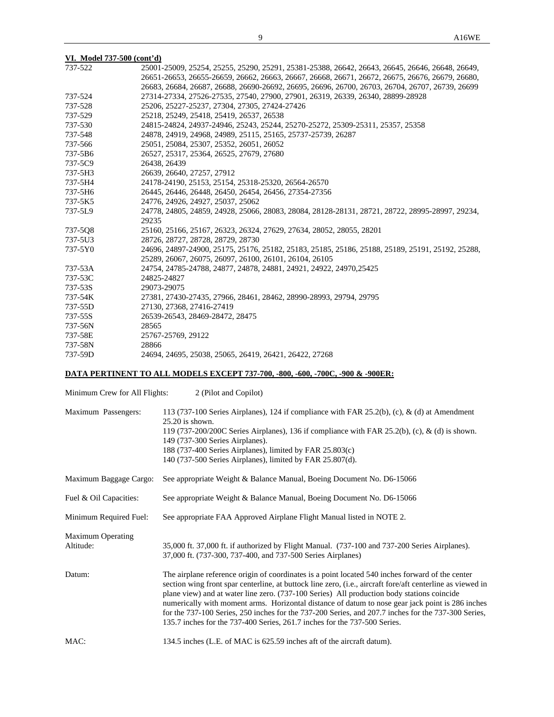| VI. Model 737-500 (cont'd) |  |
|----------------------------|--|
|----------------------------|--|

| 737-522 | 25001-25009, 25254, 25255, 25290, 25291, 25381-25388, 26642, 26643, 26645, 26646, 26648, 26649,  |
|---------|--------------------------------------------------------------------------------------------------|
|         | 26651-26653, 26655-26659, 26662, 26663, 26667, 26668, 26671, 26672, 26675, 26676, 26679, 26680,  |
|         | 26683, 26684, 26687, 26688, 26690-26692, 26695, 26696, 26700, 26703, 26704, 26707, 26739, 26699  |
| 737-524 | 27314-27334, 27526-27535, 27540, 27900, 27901, 26319, 26339, 26340, 28899-28928                  |
| 737-528 | 25206, 25227-25237, 27304, 27305, 27424-27426                                                    |
| 737-529 | 25218, 25249, 25418, 25419, 26537, 26538                                                         |
| 737-530 | 24815-24824, 24937-24946, 25243, 25244, 25270-25272, 25309-25311, 25357, 25358                   |
| 737-548 | 24878, 24919, 24968, 24989, 25115, 25165, 25737-25739, 26287                                     |
| 737-566 | 25051, 25084, 25307, 25352, 26051, 26052                                                         |
| 737-5B6 | 26527, 25317, 25364, 26525, 27679, 27680                                                         |
| 737-5C9 | 26438, 26439                                                                                     |
| 737-5H3 | 26639, 26640, 27257, 27912                                                                       |
| 737-5H4 | 24178-24190, 25153, 25154, 25318-25320, 26564-26570                                              |
| 737-5H6 | 26445, 26446, 26448, 26450, 26454, 26456, 27354-27356                                            |
| 737-5K5 | 24776, 24926, 24927, 25037, 25062                                                                |
| 737-5L9 | 24778, 24805, 24859, 24928, 25066, 28083, 28084, 28128-28131, 28721, 28722, 28995-28997, 29234,  |
|         | 29235                                                                                            |
| 737-5Q8 | 25160, 25166, 25167, 26323, 26324, 27629, 27634, 28052, 28055, 28201                             |
| 737-5U3 | 28726, 28727, 28728, 28729, 28730                                                                |
| 737-5Y0 | 24696, 24897-24900, 25175, 25176, 25182, 25183, 25185, 25186, 25188, 25189, 25191, 25192, 25288, |
|         | 25289, 26067, 26075, 26097, 26100, 26101, 26104, 26105                                           |
| 737-53A | 24754, 24785-24788, 24877, 24878, 24881, 24921, 24922, 24970, 25425                              |
| 737-53C | 24825-24827                                                                                      |
| 737-53S | 29073-29075                                                                                      |
| 737-54K | 27381, 27430-27435, 27966, 28461, 28462, 28990-28993, 29794, 29795                               |
| 737-55D | 27130, 27368, 27416-27419                                                                        |
| 737-55S | 26539-26543, 28469-28472, 28475                                                                  |
| 737-56N | 28565                                                                                            |
| 737-58E | 25767-25769, 29122                                                                               |
| 737-58N | 28866                                                                                            |
| 737-59D | 24694, 24695, 25038, 25065, 26419, 26421, 26422, 27268                                           |

# **DATA PERTINENT TO ALL MODELS EXCEPT 737-700, -800, -600, -700C, -900 & -900ER:**

| Minimum Crew for All Flights: | 2 (Pilot and Copilot) |
|-------------------------------|-----------------------|
|-------------------------------|-----------------------|

| Maximum Passengers:                   | 113 (737-100 Series Airplanes), 124 if compliance with FAR 25.2(b), (c), & (d) at Amendment<br>$25.20$ is shown.<br>119 (737-200/200C Series Airplanes), 136 if compliance with FAR 25.2(b), (c), & (d) is shown.<br>149 (737-300 Series Airplanes).<br>188 (737-400 Series Airplanes), limited by FAR 25.803(c)<br>140 (737-500 Series Airplanes), limited by FAR 25.807(d).                                                                                                                                                                                                                        |
|---------------------------------------|------------------------------------------------------------------------------------------------------------------------------------------------------------------------------------------------------------------------------------------------------------------------------------------------------------------------------------------------------------------------------------------------------------------------------------------------------------------------------------------------------------------------------------------------------------------------------------------------------|
| Maximum Baggage Cargo:                | See appropriate Weight & Balance Manual, Boeing Document No. D6-15066                                                                                                                                                                                                                                                                                                                                                                                                                                                                                                                                |
| Fuel & Oil Capacities:                | See appropriate Weight & Balance Manual, Boeing Document No. D6-15066                                                                                                                                                                                                                                                                                                                                                                                                                                                                                                                                |
| Minimum Required Fuel:                | See appropriate FAA Approved Airplane Flight Manual listed in NOTE 2.                                                                                                                                                                                                                                                                                                                                                                                                                                                                                                                                |
| <b>Maximum Operating</b><br>Altitude: | 35,000 ft. 37,000 ft. if authorized by Flight Manual. (737-100 and 737-200 Series Airplanes).<br>37,000 ft. (737-300, 737-400, and 737-500 Series Airplanes)                                                                                                                                                                                                                                                                                                                                                                                                                                         |
| Datum:                                | The airplane reference origin of coordinates is a point located 540 inches forward of the center<br>section wing front spar centerline, at buttock line zero, (i.e., aircraft fore/aft centerline as viewed in<br>plane view) and at water line zero. (737-100 Series) All production body stations coincide<br>numerically with moment arms. Horizontal distance of datum to nose gear jack point is 286 inches<br>for the 737-100 Series, 250 inches for the 737-200 Series, and 207.7 inches for the 737-300 Series,<br>135.7 inches for the 737-400 Series, 261.7 inches for the 737-500 Series. |
| MAC:                                  | 134.5 inches (L.E. of MAC is 625.59 inches aft of the aircraft datum).                                                                                                                                                                                                                                                                                                                                                                                                                                                                                                                               |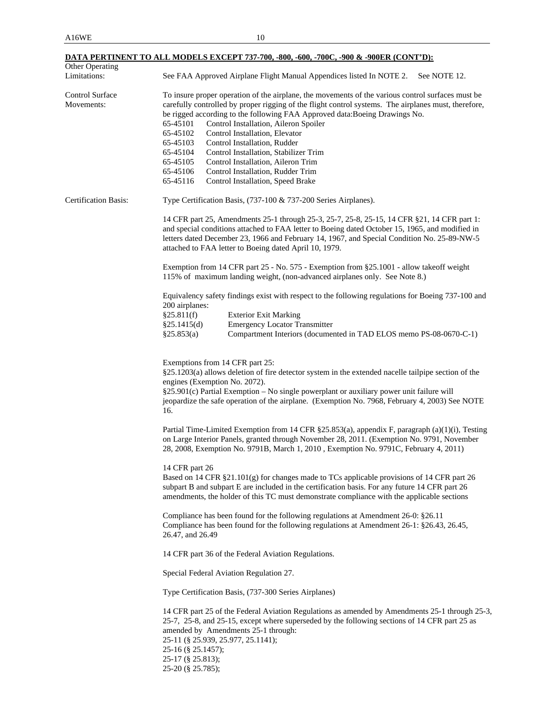|                               | DATA PERTINENT TO ALL MODELS EXCEPT 737-700, -800, -600, -700C, -900 & -900ER (CONT'D):                                                                                                                                                                                                                                                                                      |
|-------------------------------|------------------------------------------------------------------------------------------------------------------------------------------------------------------------------------------------------------------------------------------------------------------------------------------------------------------------------------------------------------------------------|
| Other Operating               |                                                                                                                                                                                                                                                                                                                                                                              |
| Limitations:                  | See FAA Approved Airplane Flight Manual Appendices listed In NOTE 2.<br>See NOTE 12.                                                                                                                                                                                                                                                                                         |
| Control Surface<br>Movements: | To insure proper operation of the airplane, the movements of the various control surfaces must be<br>carefully controlled by proper rigging of the flight control systems. The airplanes must, therefore,                                                                                                                                                                    |
|                               | be rigged according to the following FAA Approved data: Boeing Drawings No.                                                                                                                                                                                                                                                                                                  |
|                               | 65-45101<br>Control Installation, Aileron Spoiler                                                                                                                                                                                                                                                                                                                            |
|                               | 65-45102<br>Control Installation, Elevator                                                                                                                                                                                                                                                                                                                                   |
|                               | 65-45103<br>Control Installation, Rudder                                                                                                                                                                                                                                                                                                                                     |
|                               | 65-45104<br>Control Installation, Stabilizer Trim                                                                                                                                                                                                                                                                                                                            |
|                               | 65-45105<br>Control Installation, Aileron Trim                                                                                                                                                                                                                                                                                                                               |
|                               | 65-45106<br>Control Installation, Rudder Trim                                                                                                                                                                                                                                                                                                                                |
|                               | 65-45116<br>Control Installation, Speed Brake                                                                                                                                                                                                                                                                                                                                |
| Certification Basis:          | Type Certification Basis, (737-100 & 737-200 Series Airplanes).                                                                                                                                                                                                                                                                                                              |
|                               | 14 CFR part 25, Amendments 25-1 through 25-3, 25-7, 25-8, 25-15, 14 CFR § 21, 14 CFR part 1:<br>and special conditions attached to FAA letter to Boeing dated October 15, 1965, and modified in<br>letters dated December 23, 1966 and February 14, 1967, and Special Condition No. 25-89-NW-5<br>attached to FAA letter to Boeing dated April 10, 1979.                     |
|                               | Exemption from 14 CFR part 25 - No. 575 - Exemption from §25.1001 - allow takeoff weight<br>115% of maximum landing weight, (non-advanced airplanes only. See Note 8.)                                                                                                                                                                                                       |
|                               | Equivalency safety findings exist with respect to the following regulations for Boeing 737-100 and<br>200 airplanes:                                                                                                                                                                                                                                                         |
|                               | <b>Exterior Exit Marking</b><br>§25.811(f)                                                                                                                                                                                                                                                                                                                                   |
|                               | <b>Emergency Locator Transmitter</b><br>§25.1415(d)                                                                                                                                                                                                                                                                                                                          |
|                               | §25.853(a)<br>Compartment Interiors (documented in TAD ELOS memo PS-08-0670-C-1)                                                                                                                                                                                                                                                                                             |
|                               | Exemptions from 14 CFR part 25:<br>§25.1203(a) allows deletion of fire detector system in the extended nacelle tailpipe section of the<br>engines (Exemption No. 2072).<br>§25.901(c) Partial Exemption - No single powerplant or auxiliary power unit failure will<br>jeopardize the safe operation of the airplane. (Exemption No. 7968, February 4, 2003) See NOTE<br>16. |
|                               | Partial Time-Limited Exemption from 14 CFR §25.853(a), appendix F, paragraph (a)(1)(i), Testing<br>on Large Interior Panels, granted through November 28, 2011. (Exemption No. 9791, November<br>28, 2008, Exemption No. 9791B, March 1, 2010, Exemption No. 9791C, February 4, 2011)                                                                                        |
|                               | 14 CFR part 26<br>Based on 14 CFR §21.101(g) for changes made to TCs applicable provisions of 14 CFR part 26<br>subpart B and subpart E are included in the certification basis. For any future 14 CFR part 26<br>amendments, the holder of this TC must demonstrate compliance with the applicable sections                                                                 |
|                               | Compliance has been found for the following regulations at Amendment 26-0: §26.11<br>Compliance has been found for the following regulations at Amendment 26-1: §26.43, 26.45,<br>26.47, and 26.49                                                                                                                                                                           |
|                               | 14 CFR part 36 of the Federal Aviation Regulations.                                                                                                                                                                                                                                                                                                                          |
|                               | Special Federal Aviation Regulation 27.                                                                                                                                                                                                                                                                                                                                      |
|                               | Type Certification Basis, (737-300 Series Airplanes)                                                                                                                                                                                                                                                                                                                         |
|                               | 14 CFR part 25 of the Federal Aviation Regulations as amended by Amendments 25-1 through 25-3,<br>25-7, 25-8, and 25-15, except where superseded by the following sections of 14 CFR part 25 as<br>amended by Amendments 25-1 through:<br>25-11 (§ 25.939, 25.977, 25.1141);<br>$25-16$ (§ 25.1457);<br>25-17 (§ 25.813);<br>25-20 (§ 25.785);                               |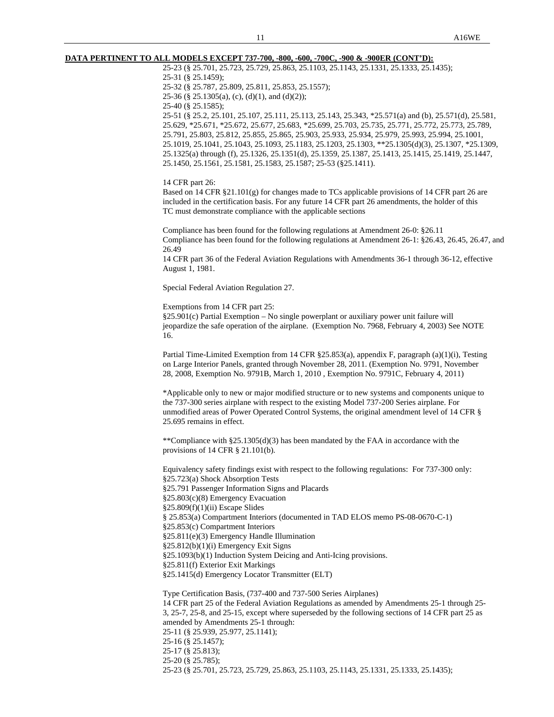#### **DATA PERTINENT TO ALL MODELS EXCEPT 737-700, -800, -600, -700C, -900 & -900ER (CONT'D):**

 25-23 (§ 25.701, 25.723, 25.729, 25.863, 25.1103, 25.1143, 25.1331, 25.1333, 25.1435); 25-31 (§ 25.1459); 25-32 (§ 25.787, 25.809, 25.811, 25.853, 25.1557); 25-36 (§ 25.1305(a), (c), (d)(1), and (d)(2)); 25-40 (§ 25.1585); 25-51 (§ 25.2, 25.101, 25.107, 25.111, 25.113, 25.143, 25.343, \*25.571(a) and (b), 25.571(d), 25.581, 25.629, \*25.671, \*25.672, 25.677, 25.683, \*25.699, 25.703, 25.735, 25.771, 25.772, 25.773, 25.789, 25.791, 25.803, 25.812, 25.855, 25.865, 25.903, 25.933, 25.934, 25.979, 25.993, 25.994, 25.1001, 25.1019, 25.1041, 25.1043, 25.1093, 25.1183, 25.1203, 25.1303, \*\*25.1305(d)(3), 25.1307, \*25.1309,

25.1325(a) through (f), 25.1326, 25.1351(d), 25.1359, 25.1387, 25.1413, 25.1415, 25.1419, 25.1447, 25.1450, 25.1561, 25.1581, 25.1583, 25.1587; 25-53 (§25.1411).

14 CFR part 26:

 Based on 14 CFR §21.101(g) for changes made to TCs applicable provisions of 14 CFR part 26 are included in the certification basis. For any future 14 CFR part 26 amendments, the holder of this TC must demonstrate compliance with the applicable sections

 Compliance has been found for the following regulations at Amendment 26-0: §26.11 Compliance has been found for the following regulations at Amendment 26-1: §26.43, 26.45, 26.47, and 26.49

 14 CFR part 36 of the Federal Aviation Regulations with Amendments 36-1 through 36-12, effective August 1, 1981.

Special Federal Aviation Regulation 27.

Exemptions from 14 CFR part 25:

 §25.901(c) Partial Exemption – No single powerplant or auxiliary power unit failure will jeopardize the safe operation of the airplane. (Exemption No. 7968, February 4, 2003) See NOTE 16.

 Partial Time-Limited Exemption from 14 CFR §25.853(a), appendix F, paragraph (a)(1)(i), Testing on Large Interior Panels, granted through November 28, 2011. (Exemption No. 9791, November 28, 2008, Exemption No. 9791B, March 1, 2010 , Exemption No. 9791C, February 4, 2011)

 \*Applicable only to new or major modified structure or to new systems and components unique to the 737-300 series airplane with respect to the existing Model 737-200 Series airplane. For unmodified areas of Power Operated Control Systems, the original amendment level of 14 CFR § 25.695 remains in effect.

\*\*Compliance with  $\S 25.1305(d)(3)$  has been mandated by the FAA in accordance with the provisions of 14 CFR § 21.101(b).

 Equivalency safety findings exist with respect to the following regulations: For 737-300 only: §25.723(a) Shock Absorption Tests §25.791 Passenger Information Signs and Placards §25.803(c)(8) Emergency Evacuation §25.809(f)(1)(ii) Escape Slides § 25.853(a) Compartment Interiors (documented in TAD ELOS memo PS-08-0670-C-1) §25.853(c) Compartment Interiors §25.811(e)(3) Emergency Handle Illumination §25.812(b)(1)(i) Emergency Exit Signs §25.1093(b)(1) Induction System Deicing and Anti-Icing provisions. §25.811(f) Exterior Exit Markings §25.1415(d) Emergency Locator Transmitter (ELT) Type Certification Basis, (737-400 and 737-500 Series Airplanes)

 14 CFR part 25 of the Federal Aviation Regulations as amended by Amendments 25-1 through 25- 3, 25-7, 25-8, and 25-15, except where superseded by the following sections of 14 CFR part 25 as amended by Amendments 25-1 through: 25-11 (§ 25.939, 25.977, 25.1141); 25-16 (§ 25.1457); 25-17 (§ 25.813); 25-20 (§ 25.785); 25-23 (§ 25.701, 25.723, 25.729, 25.863, 25.1103, 25.1143, 25.1331, 25.1333, 25.1435);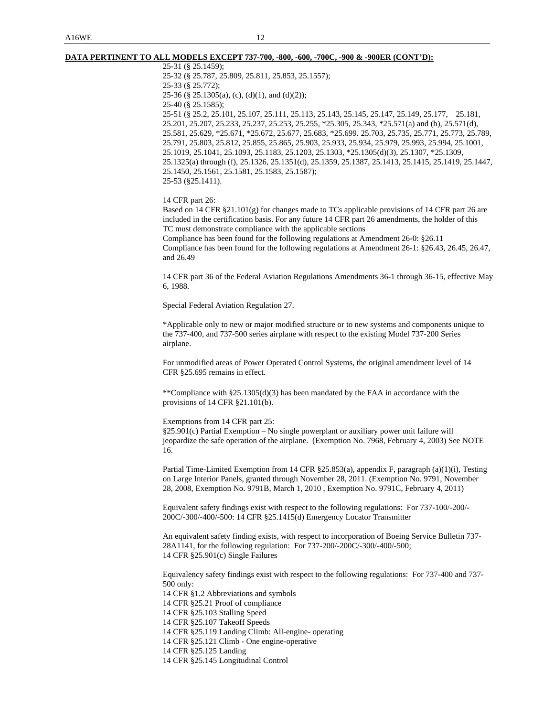#### **DATA PERTINENT TO ALL MODELS EXCEPT 737-700, -800, -600, -700C, -900 & -900ER (CONT'D):**

 25-31 (§ 25.1459); 25-32 (§ 25.787, 25.809, 25.811, 25.853, 25.1557); 25-33 (§ 25.772); 25-36 (§ 25.1305(a), (c), (d)(1), and (d)(2)); 25-40 (§ 25.1585);

 25-51 (§ 25.2, 25.101, 25.107, 25.111, 25.113, 25.143, 25.145, 25.147, 25.149, 25.177, 25.181, 25.201, 25.207, 25.233, 25.237, 25.253, 25.255, \*25.305, 25.343, \*25.571(a) and (b), 25.571(d), 25.581, 25.629, \*25.671, \*25.672, 25.677, 25.683, \*25.699. 25.703, 25.735, 25.771, 25.773, 25.789, 25.791, 25.803, 25.812, 25.855, 25.865, 25.903, 25.933, 25.934, 25.979, 25.993, 25.994, 25.1001, 25.1019, 25.1041, 25.1093, 25.1183, 25.1203, 25.1303, \*25.1305(d)(3), 25.1307, \*25.1309, 25.1325(a) through (f), 25.1326, 25.1351(d), 25.1359, 25.1387, 25.1413, 25.1415, 25.1419, 25.1447, 25.1450, 25.1561, 25.1581, 25.1583, 25.1587); 25-53 (§25.1411).

14 CFR part 26:

 Based on 14 CFR §21.101(g) for changes made to TCs applicable provisions of 14 CFR part 26 are included in the certification basis. For any future 14 CFR part 26 amendments, the holder of this TC must demonstrate compliance with the applicable sections

 Compliance has been found for the following regulations at Amendment 26-0: §26.11 Compliance has been found for the following regulations at Amendment 26-1: §26.43, 26.45, 26.47, and 26.49

 14 CFR part 36 of the Federal Aviation Regulations Amendments 36-1 through 36-15, effective May 6, 1988.

Special Federal Aviation Regulation 27.

 \*Applicable only to new or major modified structure or to new systems and components unique to the 737-400, and 737-500 series airplane with respect to the existing Model 737-200 Series airplane.

 For unmodified areas of Power Operated Control Systems, the original amendment level of 14 CFR §25.695 remains in effect.

 \*\*Compliance with §25.1305(d)(3) has been mandated by the FAA in accordance with the provisions of 14 CFR §21.101(b).

Exemptions from 14 CFR part 25:

 §25.901(c) Partial Exemption – No single powerplant or auxiliary power unit failure will jeopardize the safe operation of the airplane. (Exemption No. 7968, February 4, 2003) See NOTE 16.

 Partial Time-Limited Exemption from 14 CFR §25.853(a), appendix F, paragraph (a)(1)(i), Testing on Large Interior Panels, granted through November 28, 2011. (Exemption No. 9791, November 28, 2008, Exemption No. 9791B, March 1, 2010 , Exemption No. 9791C, February 4, 2011)

 Equivalent safety findings exist with respect to the following regulations: For 737-100/-200/- 200C/-300/-400/-500: 14 CFR §25.1415(d) Emergency Locator Transmitter

 An equivalent safety finding exists, with respect to incorporation of Boeing Service Bulletin 737- 28A1141, for the following regulation: For 737-200/-200C/-300/-400/-500; 14 CFR §25.901(c) Single Failures

 Equivalency safety findings exist with respect to the following regulations: For 737-400 and 737- 500 only:

14 CFR §1.2 Abbreviations and symbols

14 CFR §25.21 Proof of compliance

14 CFR §25.103 Stalling Speed

14 CFR §25.107 Takeoff Speeds

14 CFR §25.119 Landing Climb: All-engine- operating

14 CFR §25.121 Climb - One engine-operative

14 CFR §25.125 Landing

14 CFR §25.145 Longitudinal Control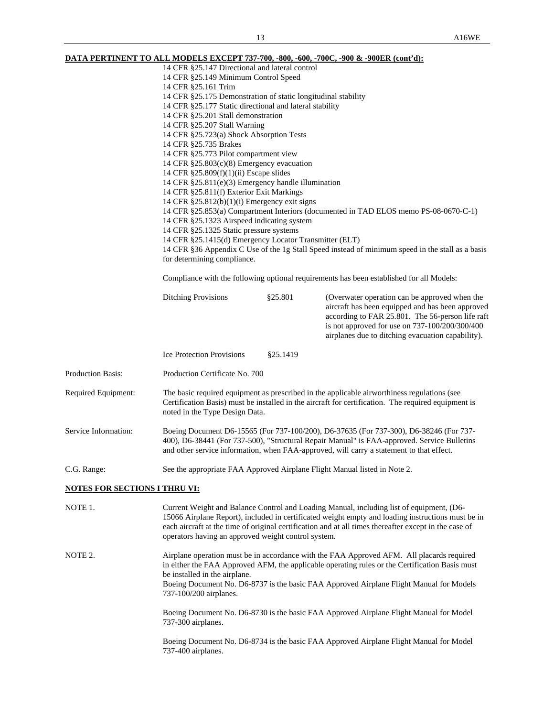**DATA PERTINENT TO ALL MODELS EXCEPT 737-700, -800, -600, -700C, -900 & -900ER (cont'd):** 14 CFR §25.147 Directional and lateral control 14 CFR §25.149 Minimum Control Speed

| 14 CFR §25.161 Trim                                           |
|---------------------------------------------------------------|
| 14 CFR §25.175 Demonstration of static longitudinal stability |
| 14 CFR §25.177 Static directional and lateral stability       |
| 14 CFR §25.201 Stall demonstration                            |
| 14 CFR §25.207 Stall Warning                                  |
| 14 CFR §25.723(a) Shock Absorption Tests                      |
| 14 CFR §25.735 Brakes                                         |
| 14 CFR §25.773 Pilot compartment view                         |
| 14 CFR $\S 25.803(c)(8)$ Emergency evacuation                 |
| 14 CFR $\S 25.809(f)(1)(ii)$ Escape slides                    |
| 14 CFR $\S 25.811(e)(3)$ Emergency handle illumination        |
| 14 CFR §25.811(f) Exterior Exit Markings                      |
|                                                               |

14 CFR §25.812(b)(1)(i) Emergency exit signs

14 CFR §25.853(a) Compartment Interiors (documented in TAD ELOS memo PS-08-0670-C-1)

14 CFR §25.1323 Airspeed indicating system

14 CFR §25.1325 Static pressure systems

14 CFR §25.1415(d) Emergency Locator Transmitter (ELT)

 14 CFR §36 Appendix C Use of the 1g Stall Speed instead of minimum speed in the stall as a basis for determining compliance.

Compliance with the following optional requirements has been established for all Models:

|                                      | <b>Ditching Provisions</b>                                                                                                                                                                                                                                                        | \$25.801                                                                  | (Overwater operation can be approved when the<br>aircraft has been equipped and has been approved<br>according to FAR 25.801. The 56-person life raft<br>is not approved for use on 737-100/200/300/400<br>airplanes due to ditching evacuation capability).                                           |  |
|--------------------------------------|-----------------------------------------------------------------------------------------------------------------------------------------------------------------------------------------------------------------------------------------------------------------------------------|---------------------------------------------------------------------------|--------------------------------------------------------------------------------------------------------------------------------------------------------------------------------------------------------------------------------------------------------------------------------------------------------|--|
|                                      | <b>Ice Protection Provisions</b>                                                                                                                                                                                                                                                  | \$25.1419                                                                 |                                                                                                                                                                                                                                                                                                        |  |
| Production Basis:                    | Production Certificate No. 700                                                                                                                                                                                                                                                    |                                                                           |                                                                                                                                                                                                                                                                                                        |  |
| Required Equipment:                  | The basic required equipment as prescribed in the applicable airworthiness regulations (see<br>Certification Basis) must be installed in the aircraft for certification. The required equipment is<br>noted in the Type Design Data.                                              |                                                                           |                                                                                                                                                                                                                                                                                                        |  |
| Service Information:                 | Boeing Document D6-15565 (For 737-100/200), D6-37635 (For 737-300), D6-38246 (For 737-<br>400), D6-38441 (For 737-500), "Structural Repair Manual" is FAA-approved. Service Bulletins<br>and other service information, when FAA-approved, will carry a statement to that effect. |                                                                           |                                                                                                                                                                                                                                                                                                        |  |
| C.G. Range:                          |                                                                                                                                                                                                                                                                                   | See the appropriate FAA Approved Airplane Flight Manual listed in Note 2. |                                                                                                                                                                                                                                                                                                        |  |
| <b>NOTES FOR SECTIONS I THRU VI:</b> |                                                                                                                                                                                                                                                                                   |                                                                           |                                                                                                                                                                                                                                                                                                        |  |
| NOTE 1.                              | operators having an approved weight control system.                                                                                                                                                                                                                               |                                                                           | Current Weight and Balance Control and Loading Manual, including list of equipment, (D6-<br>15066 Airplane Report), included in certificated weight empty and loading instructions must be in<br>each aircraft at the time of original certification and at all times thereafter except in the case of |  |
| NOTE 2.                              | be installed in the airplane.<br>737-100/200 airplanes.                                                                                                                                                                                                                           |                                                                           | Airplane operation must be in accordance with the FAA Approved AFM. All placards required<br>in either the FAA Approved AFM, the applicable operating rules or the Certification Basis must<br>Boeing Document No. D6-8737 is the basic FAA Approved Airplane Flight Manual for Models                 |  |
|                                      | 737-300 airplanes.                                                                                                                                                                                                                                                                |                                                                           | Boeing Document No. D6-8730 is the basic FAA Approved Airplane Flight Manual for Model                                                                                                                                                                                                                 |  |

 Boeing Document No. D6-8734 is the basic FAA Approved Airplane Flight Manual for Model 737-400 airplanes.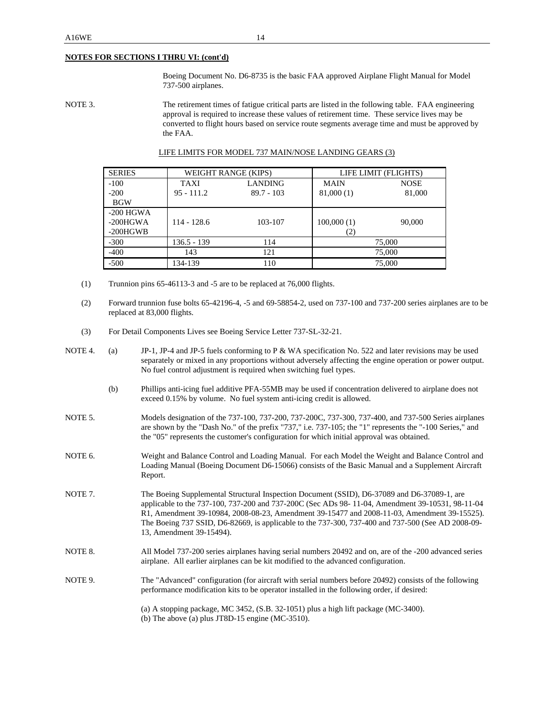#### **NOTES FOR SECTIONS I THRU VI: (cont'd)**

 Boeing Document No. D6-8735 is the basic FAA approved Airplane Flight Manual for Model 737-500 airplanes.

NOTE 3. The retirement times of fatigue critical parts are listed in the following table. FAA engineering approval is required to increase these values of retirement time. These service lives may be converted to flight hours based on service route segments average time and must be approved by the FAA.

| <b>SERIES</b> |               | WEIGHT RANGE (KIPS) |             | LIFE LIMIT (FLIGHTS) |
|---------------|---------------|---------------------|-------------|----------------------|
| $-100$        | <b>TAXI</b>   | <b>LANDING</b>      | <b>MAIN</b> | <b>NOSE</b>          |
| $-200$        | $95 - 111.2$  | $89.7 - 103$        | 81,000(1)   | 81,000               |
| <b>BGW</b>    |               |                     |             |                      |
| $-200$ HGWA   |               |                     |             |                      |
| $-200H$ GWA   | $114 - 128.6$ | 103-107             | 100,000(1)  | 90,000               |
| $-200HGWB$    |               |                     | (2)         |                      |
| $-300$        | 136.5 - 139   | 114                 |             | 75,000               |
| $-400$        | 143           | 121                 |             | 75,000               |
| $-500$        | 134-139       | 110                 |             | 75,000               |

#### LIFE LIMITS FOR MODEL 737 MAIN/NOSE LANDING GEARS (3)

- (1) Trunnion pins 65-46113-3 and -5 are to be replaced at 76,000 flights.
- (2) Forward trunnion fuse bolts 65-42196-4, -5 and 69-58854-2, used on 737-100 and 737-200 series airplanes are to be replaced at 83,000 flights.
- (3) For Detail Components Lives see Boeing Service Letter 737-SL-32-21.

| NOTE <sub>4</sub> . | (a) | JP-1, JP-4 and JP-5 fuels conforming to P & WA specification No. 522 and later revisions may be used<br>separately or mixed in any proportions without adversely affecting the engine operation or power output.<br>No fuel control adjustment is required when switching fuel types.                                                                                                                                          |
|---------------------|-----|--------------------------------------------------------------------------------------------------------------------------------------------------------------------------------------------------------------------------------------------------------------------------------------------------------------------------------------------------------------------------------------------------------------------------------|
|                     | (b) | Phillips anti-icing fuel additive PFA-55MB may be used if concentration delivered to airplane does not<br>exceed 0.15% by volume. No fuel system anti-icing credit is allowed.                                                                                                                                                                                                                                                 |
| NOTE 5.             |     | Models designation of the 737-100, 737-200, 737-200C, 737-300, 737-400, and 737-500 Series airplanes<br>are shown by the "Dash No." of the prefix "737," i.e. 737-105; the "1" represents the "-100 Series," and<br>the "05" represents the customer's configuration for which initial approval was obtained.                                                                                                                  |
| NOTE 6.             |     | Weight and Balance Control and Loading Manual. For each Model the Weight and Balance Control and<br>Loading Manual (Boeing Document D6-15066) consists of the Basic Manual and a Supplement Aircraft<br>Report.                                                                                                                                                                                                                |
| NOTE <sub>7</sub> . |     | The Boeing Supplemental Structural Inspection Document (SSID), D6-37089 and D6-37089-1, are<br>applicable to the 737-100, 737-200 and 737-200C (Sec ADs 98-11-04, Amendment 39-10531, 98-11-04<br>R1, Amendment 39-10984, 2008-08-23, Amendment 39-15477 and 2008-11-03, Amendment 39-15525).<br>The Boeing 737 SSID, D6-82669, is applicable to the 737-300, 737-400 and 737-500 (See AD 2008-09-<br>13, Amendment 39-15494). |
| NOTE 8.             |     | All Model 737-200 series airplanes having serial numbers 20492 and on, are of the -200 advanced series<br>airplane. All earlier airplanes can be kit modified to the advanced configuration.                                                                                                                                                                                                                                   |
| NOTE 9.             |     | The "Advanced" configuration (for aircraft with serial numbers before 20492) consists of the following<br>performance modification kits to be operator installed in the following order, if desired:                                                                                                                                                                                                                           |
|                     |     | (a) A stopping package, MC 3452, (S.B. 32-1051) plus a high lift package (MC-3400).<br>(b) The above (a) plus JT8D-15 engine (MC-3510).                                                                                                                                                                                                                                                                                        |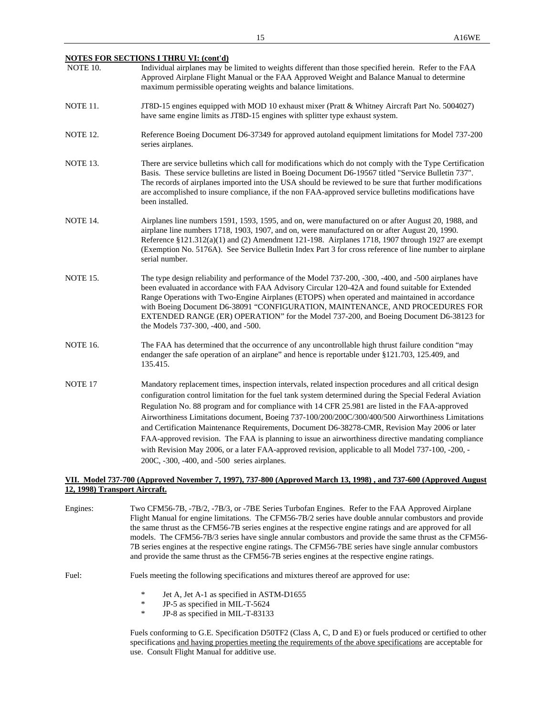|                 | <b>NOTES FOR SECTIONS I THRU VI: (cont'd)</b>                                                                                                                                                                                                                                                                                                                                                                                                         |
|-----------------|-------------------------------------------------------------------------------------------------------------------------------------------------------------------------------------------------------------------------------------------------------------------------------------------------------------------------------------------------------------------------------------------------------------------------------------------------------|
| NOTE 10.        | Individual airplanes may be limited to weights different than those specified herein. Refer to the FAA<br>Approved Airplane Flight Manual or the FAA Approved Weight and Balance Manual to determine<br>maximum permissible operating weights and balance limitations.                                                                                                                                                                                |
| NOTE 11.        | JT8D-15 engines equipped with MOD 10 exhaust mixer (Pratt & Whitney Aircraft Part No. 5004027)<br>have same engine limits as JT8D-15 engines with splitter type exhaust system.                                                                                                                                                                                                                                                                       |
| <b>NOTE 12.</b> | Reference Boeing Document D6-37349 for approved autoland equipment limitations for Model 737-200<br>series airplanes.                                                                                                                                                                                                                                                                                                                                 |
| NOTE 13.        | There are service bulletins which call for modifications which do not comply with the Type Certification<br>Basis. These service bulletins are listed in Boeing Document D6-19567 titled "Service Bulletin 737".<br>The records of airplanes imported into the USA should be reviewed to be sure that further modifications<br>are accomplished to insure compliance, if the non FAA-approved service bulletins modifications have<br>been installed. |
| NOTE 14.        | Airplanes line numbers 1591, 1593, 1595, and on, were manufactured on or after August 20, 1988, and<br>airplane line numbers 1718, 1903, 1907, and on, were manufactured on or after August 20, 1990.<br>Reference $$121.312(a)(1)$ and (2) Amendment 121-198. Airplanes 1718, 1907 through 1927 are exempt<br>(Exemption No. 5176A). See Service Bulletin Index Part 3 for cross reference of line number to airplane<br>serial number.              |

- NOTE 15. The type design reliability and performance of the Model 737-200, -300, -400, and -500 airplanes have been evaluated in accordance with FAA Advisory Circular 120-42A and found suitable for Extended Range Operations with Two-Engine Airplanes (ETOPS) when operated and maintained in accordance with Boeing Document D6-38091 "CONFIGURATION, MAINTENANCE, AND PROCEDURES FOR EXTENDED RANGE (ER) OPERATION" for the Model 737-200, and Boeing Document D6-38123 for the Models 737-300, -400, and -500.
- NOTE 16. The FAA has determined that the occurrence of any uncontrollable high thrust failure condition "may endanger the safe operation of an airplane" and hence is reportable under §121.703, 125.409, and 135.415.
- NOTE 17 Mandatory replacement times, inspection intervals, related inspection procedures and all critical design configuration control limitation for the fuel tank system determined during the Special Federal Aviation Regulation No. 88 program and for compliance with 14 CFR 25.981 are listed in the FAA-approved Airworthiness Limitations document, Boeing 737-100/200/200C/300/400/500 Airworthiness Limitations and Certification Maintenance Requirements, Document D6-38278-CMR, Revision May 2006 or later FAA-approved revision. The FAA is planning to issue an airworthiness directive mandating compliance with Revision May 2006, or a later FAA-approved revision, applicable to all Model 737-100, -200, - 200C, -300, -400, and -500 series airplanes.

#### **VII. Model 737-700 (Approved November 7, 1997), 737-800 (Approved March 13, 1998) , and 737-600 (Approved August 12, 1998) Transport Aircraft.**

Engines: Two CFM56-7B, -7B/2, -7B/3, or -7BE Series Turbofan Engines. Refer to the FAA Approved Airplane Flight Manual for engine limitations. The CFM56-7B/2 series have double annular combustors and provide the same thrust as the CFM56-7B series engines at the respective engine ratings and are approved for all models. The CFM56-7B/3 series have single annular combustors and provide the same thrust as the CFM56- 7B series engines at the respective engine ratings. The CFM56-7BE series have single annular combustors and provide the same thrust as the CFM56-7B series engines at the respective engine ratings. Fuel: Fuels meeting the following specifications and mixtures thereof are approved for use: \* Jet A, Jet A-1 as specified in ASTM-D1655<br> $\frac{\text{p}}{\text{p}}$  B 5 as specified in MIL T 5624 JP-5 as specified in MIL-T-5624 \* JP-8 as specified in MIL-T-83133

 Fuels conforming to G.E. Specification D50TF2 (Class A, C, D and E) or fuels produced or certified to other specifications and having properties meeting the requirements of the above specifications are acceptable for use. Consult Flight Manual for additive use.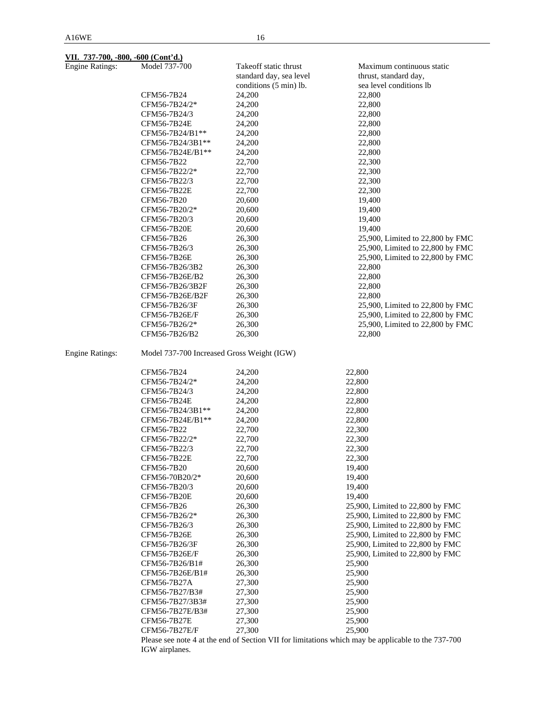| <b>Engine Ratings:</b> | Model 737-700                              | Takeoff static thrust<br>standard day, sea level | Maximum continuous static<br>thrust, standard day, |  |
|------------------------|--------------------------------------------|--------------------------------------------------|----------------------------------------------------|--|
|                        |                                            | conditions (5 min) lb.                           | sea level conditions lb                            |  |
|                        | CFM56-7B24                                 | 24,200                                           | 22,800                                             |  |
|                        | CFM56-7B24/2*                              | 24,200                                           | 22,800                                             |  |
|                        | CFM56-7B24/3                               | 24,200                                           | 22,800                                             |  |
|                        | CFM56-7B24E                                | 24,200                                           | 22,800                                             |  |
|                        | CFM56-7B24/B1**                            | 24,200                                           | 22,800                                             |  |
|                        | CFM56-7B24/3B1**                           | 24,200                                           | 22,800                                             |  |
|                        | CFM56-7B24E/B1**                           | 24,200                                           | 22,800                                             |  |
|                        | CFM56-7B22                                 |                                                  |                                                    |  |
|                        |                                            | 22,700                                           | 22,300<br>22,300                                   |  |
|                        | CFM56-7B22/2*<br>CFM56-7B22/3              | 22,700<br>22,700                                 | 22,300                                             |  |
|                        | CFM56-7B22E                                | 22,700                                           | 22,300                                             |  |
|                        | CFM56-7B20                                 | 20,600                                           | 19,400                                             |  |
|                        |                                            |                                                  |                                                    |  |
|                        | CFM56-7B20/2*                              | 20,600                                           | 19,400                                             |  |
|                        | CFM56-7B20/3                               | 20,600                                           | 19,400                                             |  |
|                        | CFM56-7B20E                                | 20,600                                           | 19,400                                             |  |
|                        | CFM56-7B26                                 | 26,300                                           | 25,900, Limited to 22,800 by FMC                   |  |
|                        | CFM56-7B26/3                               | 26,300                                           | 25,900, Limited to 22,800 by FMC                   |  |
|                        | CFM56-7B26E                                | 26,300                                           | 25,900, Limited to 22,800 by FMC                   |  |
|                        | CFM56-7B26/3B2                             | 26,300                                           | 22,800                                             |  |
|                        | CFM56-7B26E/B2                             | 26,300                                           | 22,800                                             |  |
|                        | CFM56-7B26/3B2F                            | 26,300                                           | 22,800                                             |  |
|                        | CFM56-7B26E/B2F                            | 26,300                                           | 22,800                                             |  |
|                        | CFM56-7B26/3F                              | 26,300                                           | 25,900, Limited to 22,800 by FMC                   |  |
|                        | CFM56-7B26E/F                              | 26,300                                           | 25,900, Limited to 22,800 by FMC                   |  |
|                        | CFM56-7B26/2*                              | 26,300                                           | 25,900, Limited to 22,800 by FMC                   |  |
|                        | CFM56-7B26/B2                              | 26,300                                           | 22,800                                             |  |
| <b>Engine Ratings:</b> | Model 737-700 Increased Gross Weight (IGW) |                                                  |                                                    |  |
|                        | CFM56-7B24                                 | 24,200                                           | 22,800                                             |  |
|                        | CFM56-7B24/2*                              | 24,200                                           | 22,800                                             |  |
|                        | CFM56-7B24/3                               | 24,200                                           | 22,800                                             |  |
|                        | CFM56-7B24E                                | 24,200                                           | 22,800                                             |  |
|                        | CFM56-7B24/3B1**                           | 24,200                                           | 22,800                                             |  |
|                        | CFM56-7B24E/B1**                           | 24,200                                           | 22,800                                             |  |
|                        | CFM56-7B22                                 | 22,700                                           | 22,300                                             |  |
|                        | CFM56-7B22/2*                              | 22,700                                           | 22,300                                             |  |
|                        | CFM56-7B22/3                               | 22,700                                           | 22,300                                             |  |
|                        | CFM56-7B22E                                | 22,700                                           | 22,300                                             |  |
|                        | CFM56-7B20                                 | 20,600                                           | 19,400                                             |  |
|                        | CFM56-70B20/2*                             | 20,600                                           | 19,400                                             |  |
|                        | CFM56-7B20/3                               | 20,600                                           | 19,400                                             |  |
|                        | CFM56-7B20E                                | 20,600                                           | 19,400                                             |  |
|                        | CFM56-7B26                                 | 26,300                                           | 25,900, Limited to 22,800 by FMC                   |  |
|                        | CFM56-7B26/2*                              | 26,300                                           | 25,900, Limited to 22,800 by FMC                   |  |
|                        | CFM56-7B26/3                               | 26,300                                           | 25,900, Limited to 22,800 by FMC                   |  |
|                        | CFM56-7B26E                                | 26,300                                           | 25,900, Limited to 22,800 by FMC                   |  |
|                        | CFM56-7B26/3F                              | 26,300                                           | 25,900, Limited to 22,800 by FMC                   |  |
|                        | CFM56-7B26E/F                              | 26,300                                           | 25,900, Limited to 22,800 by FMC                   |  |
|                        | CFM56-7B26/B1#                             | 26,300                                           | 25,900                                             |  |
|                        | CFM56-7B26E/B1#                            | 26,300                                           | 25,900                                             |  |
|                        | CFM56-7B27A                                | 27,300                                           | 25,900                                             |  |
|                        | CFM56-7B27/B3#                             | 27,300                                           | 25,900                                             |  |
|                        | CFM56-7B27/3B3#                            | 27,300                                           | 25,900                                             |  |
|                        | CFM56-7B27E/B3#                            | 27,300                                           | 25,900                                             |  |
|                        | CFM56-7B27E                                | 27,300                                           | 25,900                                             |  |
|                        | CFM56-7B27E/F                              | 27,300                                           | 25,900                                             |  |

 Please see note 4 at the end of Section VII for limitations which may be applicable to the 737-700 IGW airplanes.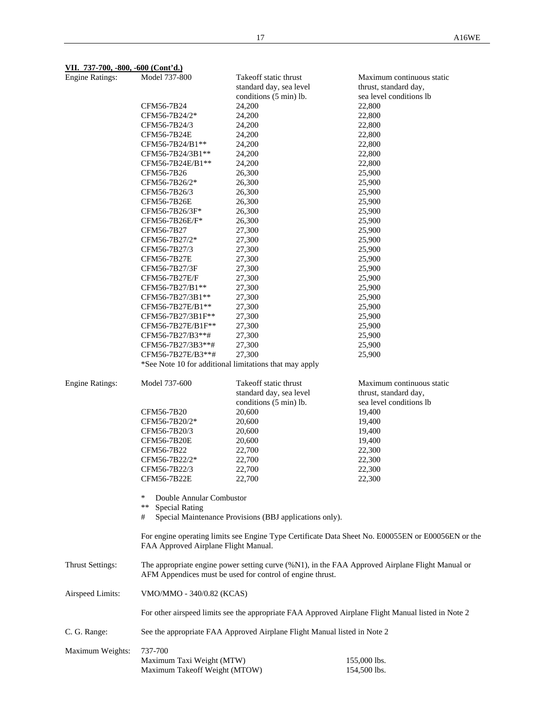### **VII. 737-700, -800, -600 (Cont'd.)**

| <b>Engine Ratings:</b>  | Model 737-800                                                                                                                                                | Takeoff static thrust                                  | Maximum continuous static                          |  |
|-------------------------|--------------------------------------------------------------------------------------------------------------------------------------------------------------|--------------------------------------------------------|----------------------------------------------------|--|
|                         |                                                                                                                                                              | standard day, sea level                                | thrust, standard day,                              |  |
|                         |                                                                                                                                                              | conditions (5 min) lb.                                 | sea level conditions lb                            |  |
|                         | CFM56-7B24                                                                                                                                                   | 24,200                                                 | 22,800                                             |  |
|                         | CFM56-7B24/2*                                                                                                                                                | 24,200                                                 | 22,800                                             |  |
|                         | CFM56-7B24/3                                                                                                                                                 | 24,200                                                 | 22,800                                             |  |
|                         | CFM56-7B24E                                                                                                                                                  | 24,200                                                 | 22,800                                             |  |
|                         | CFM56-7B24/B1**                                                                                                                                              | 24,200                                                 | 22,800                                             |  |
|                         | CFM56-7B24/3B1**                                                                                                                                             | 24,200                                                 | 22,800                                             |  |
|                         | CFM56-7B24E/B1**                                                                                                                                             | 24,200                                                 | 22,800                                             |  |
|                         | CFM56-7B26                                                                                                                                                   | 26,300                                                 | 25,900                                             |  |
|                         | CFM56-7B26/2*                                                                                                                                                | 26,300                                                 | 25,900                                             |  |
|                         | CFM56-7B26/3                                                                                                                                                 | 26,300                                                 | 25,900                                             |  |
|                         | CFM56-7B26E                                                                                                                                                  | 26,300                                                 | 25,900                                             |  |
|                         | CFM56-7B26/3F*                                                                                                                                               | 26,300                                                 | 25,900                                             |  |
|                         | CFM56-7B26E/F*                                                                                                                                               | 26,300                                                 | 25,900                                             |  |
|                         | CFM56-7B27                                                                                                                                                   | 27,300                                                 | 25,900                                             |  |
|                         | CFM56-7B27/2*                                                                                                                                                | 27,300                                                 | 25,900                                             |  |
|                         | CFM56-7B27/3                                                                                                                                                 | 27,300                                                 | 25,900                                             |  |
|                         | CFM56-7B27E                                                                                                                                                  | 27,300                                                 | 25,900                                             |  |
|                         | CFM56-7B27/3F                                                                                                                                                | 27,300                                                 | 25,900                                             |  |
|                         | CFM56-7B27E/F                                                                                                                                                | 27,300                                                 | 25,900                                             |  |
|                         | CFM56-7B27/B1**                                                                                                                                              | 27,300                                                 | 25,900                                             |  |
|                         | CFM56-7B27/3B1**                                                                                                                                             | 27,300                                                 | 25,900                                             |  |
|                         | CFM56-7B27E/B1**                                                                                                                                             | 27,300                                                 | 25,900                                             |  |
|                         | CFM56-7B27/3B1F**                                                                                                                                            | 27,300                                                 | 25,900                                             |  |
|                         | CFM56-7B27E/B1F**                                                                                                                                            | 27,300                                                 | 25,900                                             |  |
|                         | CFM56-7B27/B3**#                                                                                                                                             | 27,300                                                 | 25,900                                             |  |
|                         | CFM56-7B27/3B3**#                                                                                                                                            | 27,300                                                 | 25,900                                             |  |
|                         | CFM56-7B27E/B3**#                                                                                                                                            | 27,300                                                 | 25,900                                             |  |
|                         |                                                                                                                                                              | *See Note 10 for additional limitations that may apply |                                                    |  |
| <b>Engine Ratings:</b>  | Model 737-600                                                                                                                                                | Takeoff static thrust<br>standard day, sea level       | Maximum continuous static<br>thrust, standard day, |  |
|                         |                                                                                                                                                              | conditions (5 min) lb.                                 | sea level conditions lb                            |  |
|                         | CFM56-7B20                                                                                                                                                   | 20,600                                                 | 19,400                                             |  |
|                         | CFM56-7B20/2*                                                                                                                                                | 20,600                                                 | 19,400                                             |  |
|                         | CFM56-7B20/3                                                                                                                                                 | 20,600                                                 | 19,400                                             |  |
|                         | <b>CFM56-7B20E</b>                                                                                                                                           | 20,600                                                 | 19,400                                             |  |
|                         | CFM56-7B22                                                                                                                                                   | 22,700                                                 | 22,300                                             |  |
|                         | CFM56-7B22/2*                                                                                                                                                | 22,700                                                 | 22,300                                             |  |
|                         | CFM56-7B22/3                                                                                                                                                 | 22,700                                                 | 22,300                                             |  |
|                         | <b>CFM56-7B22E</b>                                                                                                                                           | 22,700                                                 | 22,300                                             |  |
|                         |                                                                                                                                                              |                                                        |                                                    |  |
|                         | ∗<br>Double Annular Combustor                                                                                                                                |                                                        |                                                    |  |
|                         | ** Special Rating                                                                                                                                            |                                                        |                                                    |  |
|                         | Special Maintenance Provisions (BBJ applications only).<br>#                                                                                                 |                                                        |                                                    |  |
|                         | For engine operating limits see Engine Type Certificate Data Sheet No. E00055EN or E00056EN or the<br>FAA Approved Airplane Flight Manual.                   |                                                        |                                                    |  |
| <b>Thrust Settings:</b> | The appropriate engine power setting curve (%N1), in the FAA Approved Airplane Flight Manual or<br>AFM Appendices must be used for control of engine thrust. |                                                        |                                                    |  |
| Airspeed Limits:        | VMO/MMO - 340/0.82 (KCAS)                                                                                                                                    |                                                        |                                                    |  |
|                         | For other airspeed limits see the appropriate FAA Approved Airplane Flight Manual listed in Note 2                                                           |                                                        |                                                    |  |
| C. G. Range:            | See the appropriate FAA Approved Airplane Flight Manual listed in Note 2                                                                                     |                                                        |                                                    |  |
|                         |                                                                                                                                                              |                                                        |                                                    |  |
| Maximum Weights:        | 737-700<br>Maximum Taxi Weight (MTW)                                                                                                                         |                                                        | 155,000 lbs.                                       |  |
|                         | Maximum Takeoff Weight (MTOW)                                                                                                                                |                                                        | 154,500 lbs.                                       |  |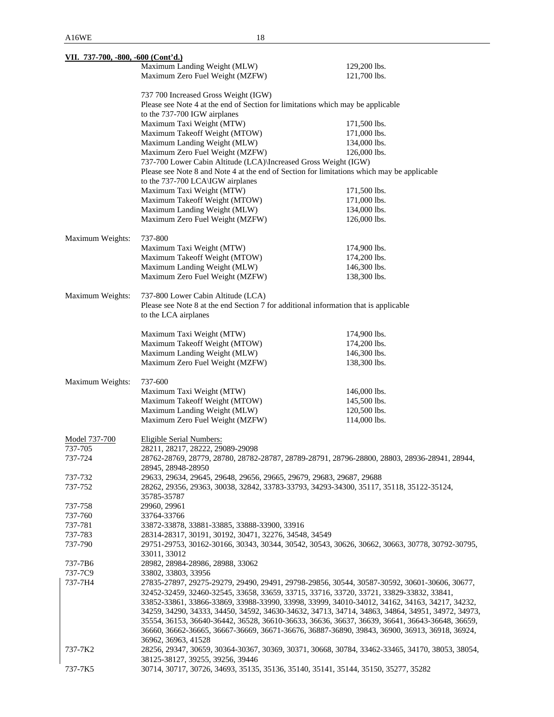| VII. 737-700, -800, -600 (Cont'd.)                                                               |                                                                                                                                                               |                                                                                                 |  |
|--------------------------------------------------------------------------------------------------|---------------------------------------------------------------------------------------------------------------------------------------------------------------|-------------------------------------------------------------------------------------------------|--|
|                                                                                                  | Maximum Landing Weight (MLW)                                                                                                                                  | 129,200 lbs.                                                                                    |  |
|                                                                                                  | Maximum Zero Fuel Weight (MZFW)                                                                                                                               | 121,700 lbs.                                                                                    |  |
|                                                                                                  | 737 700 Increased Gross Weight (IGW)                                                                                                                          |                                                                                                 |  |
|                                                                                                  | Please see Note 4 at the end of Section for limitations which may be applicable                                                                               |                                                                                                 |  |
|                                                                                                  | to the 737-700 IGW airplanes                                                                                                                                  |                                                                                                 |  |
|                                                                                                  | Maximum Taxi Weight (MTW)                                                                                                                                     | 171,500 lbs.                                                                                    |  |
|                                                                                                  | Maximum Takeoff Weight (MTOW)                                                                                                                                 | 171,000 lbs.                                                                                    |  |
|                                                                                                  | Maximum Landing Weight (MLW)                                                                                                                                  | 134,000 lbs.                                                                                    |  |
|                                                                                                  | Maximum Zero Fuel Weight (MZFW)                                                                                                                               | 126,000 lbs.                                                                                    |  |
|                                                                                                  | 737-700 Lower Cabin Altitude (LCA)\Increased Gross Weight (IGW)<br>Please see Note 8 and Note 4 at the end of Section for limitations which may be applicable |                                                                                                 |  |
|                                                                                                  | to the 737-700 LCA\IGW airplanes                                                                                                                              |                                                                                                 |  |
|                                                                                                  | Maximum Taxi Weight (MTW)                                                                                                                                     | 171,500 lbs.                                                                                    |  |
|                                                                                                  | Maximum Takeoff Weight (MTOW)                                                                                                                                 | 171,000 lbs.                                                                                    |  |
|                                                                                                  | Maximum Landing Weight (MLW)                                                                                                                                  | 134,000 lbs.                                                                                    |  |
|                                                                                                  | Maximum Zero Fuel Weight (MZFW)                                                                                                                               | 126,000 lbs.                                                                                    |  |
| Maximum Weights:                                                                                 | 737-800                                                                                                                                                       |                                                                                                 |  |
|                                                                                                  | Maximum Taxi Weight (MTW)                                                                                                                                     | 174,900 lbs.                                                                                    |  |
|                                                                                                  | Maximum Takeoff Weight (MTOW)                                                                                                                                 | 174,200 lbs.                                                                                    |  |
|                                                                                                  | Maximum Landing Weight (MLW)                                                                                                                                  | 146,300 lbs.                                                                                    |  |
|                                                                                                  | Maximum Zero Fuel Weight (MZFW)                                                                                                                               | 138,300 lbs.                                                                                    |  |
| Maximum Weights:                                                                                 | 737-800 Lower Cabin Altitude (LCA)                                                                                                                            |                                                                                                 |  |
|                                                                                                  | Please see Note 8 at the end Section 7 for additional information that is applicable                                                                          |                                                                                                 |  |
|                                                                                                  | to the LCA airplanes                                                                                                                                          |                                                                                                 |  |
|                                                                                                  | Maximum Taxi Weight (MTW)                                                                                                                                     | 174,900 lbs.                                                                                    |  |
|                                                                                                  | Maximum Takeoff Weight (MTOW)                                                                                                                                 | 174,200 lbs.                                                                                    |  |
|                                                                                                  | Maximum Landing Weight (MLW)                                                                                                                                  | 146,300 lbs.                                                                                    |  |
|                                                                                                  | Maximum Zero Fuel Weight (MZFW)                                                                                                                               | 138,300 lbs.                                                                                    |  |
| Maximum Weights:                                                                                 | 737-600                                                                                                                                                       |                                                                                                 |  |
|                                                                                                  | Maximum Taxi Weight (MTW)                                                                                                                                     | 146,000 lbs.                                                                                    |  |
|                                                                                                  | Maximum Takeoff Weight (MTOW)                                                                                                                                 | 145,500 lbs.                                                                                    |  |
|                                                                                                  | Maximum Landing Weight (MLW)                                                                                                                                  | 120,500 lbs.                                                                                    |  |
|                                                                                                  | Maximum Zero Fuel Weight (MZFW)                                                                                                                               | 114,000 lbs.                                                                                    |  |
|                                                                                                  |                                                                                                                                                               |                                                                                                 |  |
| Model 737-700                                                                                    | Eligible Serial Numbers:                                                                                                                                      |                                                                                                 |  |
| 737-705                                                                                          | 28211, 28217, 28222, 29089-29098                                                                                                                              |                                                                                                 |  |
| 737-724                                                                                          | 28945, 28948-28950                                                                                                                                            | 28762-28769, 28779, 28780, 28782-28787, 28789-28791, 28796-28800, 28803, 28936-28941, 28944,    |  |
| 737-732                                                                                          | 29633, 29634, 29645, 29648, 29656, 29665, 29679, 29683, 29687, 29688                                                                                          |                                                                                                 |  |
| 737-752                                                                                          | 28262, 29356, 29363, 30038, 32842, 33783-33793, 34293-34300, 35117, 35118, 35122-35124,<br>35785-35787                                                        |                                                                                                 |  |
| 737-758                                                                                          | 29960, 29961                                                                                                                                                  |                                                                                                 |  |
| 737-760                                                                                          | 33764-33766                                                                                                                                                   |                                                                                                 |  |
| 737-781                                                                                          | 33872-33878, 33881-33885, 33888-33900, 33916                                                                                                                  |                                                                                                 |  |
| 737-783                                                                                          | 28314-28317, 30191, 30192, 30471, 32276, 34548, 34549                                                                                                         |                                                                                                 |  |
| 737-790                                                                                          |                                                                                                                                                               | 29751-29753, 30162-30166, 30343, 30344, 30542, 30543, 30626, 30662, 30663, 30778, 30792-30795,  |  |
|                                                                                                  | 33011, 33012                                                                                                                                                  |                                                                                                 |  |
| 737-7B6                                                                                          | 28982, 28984-28986, 28988, 33062                                                                                                                              |                                                                                                 |  |
| 737-7C9                                                                                          | 33802, 33803, 33956                                                                                                                                           |                                                                                                 |  |
| 737-7H4                                                                                          | 27835-27897, 29275-29279, 29490, 29491, 29798-29856, 30544, 30587-30592, 30601-30606, 30677,                                                                  |                                                                                                 |  |
|                                                                                                  | 32452-32459, 32460-32545, 33658, 33659, 33715, 33716, 33720, 33721, 33829-33832, 33841,                                                                       |                                                                                                 |  |
|                                                                                                  | 33852-33861, 33866-33869, 33988-33990, 33998, 33999, 34010-34012, 34162, 34163, 34217, 34232,                                                                 |                                                                                                 |  |
| 34259, 34290, 34333, 34450, 34592, 34630-34632, 34713, 34714, 34863, 34864, 34951, 34972, 34973, |                                                                                                                                                               |                                                                                                 |  |
|                                                                                                  |                                                                                                                                                               | 35554, 36153, 36640-36442, 36528, 36610-36633, 36636, 36637, 36639, 36641, 36643-36648, 36659,  |  |
|                                                                                                  |                                                                                                                                                               | 36660, 36662-36665, 36667-36669, 36671-36676, 36887-36890, 39843, 36900, 36913, 36918, 36924,   |  |
|                                                                                                  | 36962, 36963, 41528                                                                                                                                           |                                                                                                 |  |
| 737-7K2                                                                                          | 38125-38127, 39255, 39256, 39446                                                                                                                              | 28256, 29347, 30659, 30364-30367, 30369, 30371, 30668, 30784, 33462-33465, 34170, 38053, 38054, |  |
| 737-7K5                                                                                          | 30714, 30717, 30726, 34693, 35135, 35136, 35140, 35141, 35144, 35150, 35277, 35282                                                                            |                                                                                                 |  |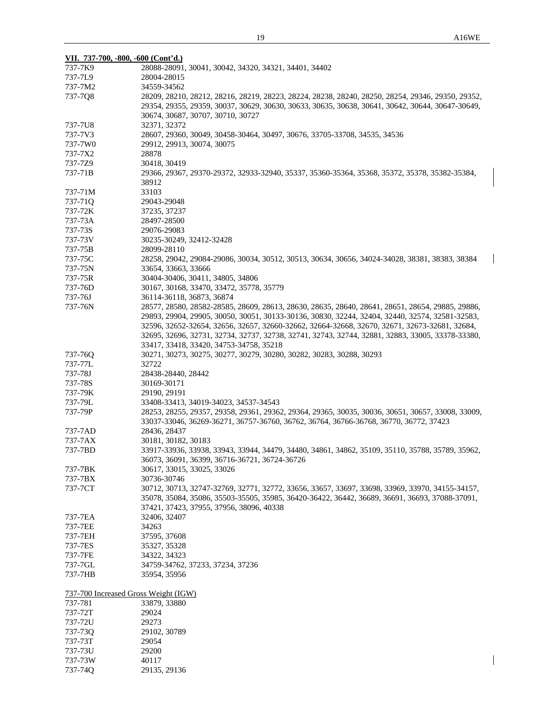$\overline{\phantom{a}}$ 

 $\overline{\phantom{a}}$ 

| VII. 737-700, -800, -600 (Cont'd.)   |                                                                                                                                                                                                       |
|--------------------------------------|-------------------------------------------------------------------------------------------------------------------------------------------------------------------------------------------------------|
| 737-7K9                              | 28088-28091, 30041, 30042, 34320, 34321, 34401, 34402                                                                                                                                                 |
| 737-7L9                              | 28004-28015                                                                                                                                                                                           |
| 737-7M2                              | 34559-34562                                                                                                                                                                                           |
|                                      |                                                                                                                                                                                                       |
| 737-7Q8                              | 28209, 28210, 28212, 28216, 28219, 28223, 28224, 28238, 28240, 28250, 28254, 29346, 29350, 29352,<br>29354, 29355, 29359, 30037, 30629, 30630, 30633, 30635, 30638, 30641, 30642, 30644, 30647-30649, |
|                                      |                                                                                                                                                                                                       |
|                                      | 30674, 30687, 30707, 30710, 30727                                                                                                                                                                     |
| 737-7U8                              | 32371, 32372                                                                                                                                                                                          |
| 737-7V3                              | 28607, 29360, 30049, 30458-30464, 30497, 30676, 33705-33708, 34535, 34536                                                                                                                             |
| 737-7W0                              | 29912, 29913, 30074, 30075                                                                                                                                                                            |
| 737-7X2                              | 28878                                                                                                                                                                                                 |
| 737-7Z9                              | 30418, 30419                                                                                                                                                                                          |
| 737-71B                              | 29366, 29367, 29370-29372, 32933-32940, 35337, 35360-35364, 35368, 35372, 35378, 35382-35384,                                                                                                         |
|                                      | 38912                                                                                                                                                                                                 |
| 737-71M                              | 33103                                                                                                                                                                                                 |
| 737-710                              | 29043-29048                                                                                                                                                                                           |
| 737-72K                              | 37235, 37237                                                                                                                                                                                          |
| 737-73A                              | 28497-28500                                                                                                                                                                                           |
| 737-73S                              | 29076-29083                                                                                                                                                                                           |
| 737-73V                              | 30235-30249, 32412-32428                                                                                                                                                                              |
| 737-75B                              | 28099-28110                                                                                                                                                                                           |
|                                      |                                                                                                                                                                                                       |
| 737-75C                              | 28258, 29042, 29084-29086, 30034, 30512, 30513, 30634, 30656, 34024-34028, 38381, 38383, 38384                                                                                                        |
| 737-75N                              | 33654, 33663, 33666                                                                                                                                                                                   |
| 737-75R                              | 30404-30406, 30411, 34805, 34806                                                                                                                                                                      |
| 737-76D                              | 30167, 30168, 33470, 33472, 35778, 35779                                                                                                                                                              |
| 737-76J                              | 36114-36118, 36873, 36874                                                                                                                                                                             |
| 737-76N                              | 28577, 28580, 28582-28585, 28609, 28613, 28630, 28635, 28640, 28641, 28651, 28654, 29885, 29886,                                                                                                      |
|                                      | 29893, 29904, 29905, 30050, 30051, 30133-30136, 30830, 32244, 32404, 32440, 32574, 32581-32583,                                                                                                       |
|                                      | 32596, 32652-32654, 32656, 32657, 32660-32662, 32664-32668, 32670, 32671, 32673-32681, 32684,                                                                                                         |
|                                      | 32695, 32696, 32731, 32734, 32737, 32738, 32741, 32743, 32744, 32881, 32883, 33005, 33378-33380,                                                                                                      |
|                                      | 33417, 33418, 33420, 34753-34758, 35218                                                                                                                                                               |
| 737-76Q                              | 30271, 30273, 30275, 30277, 30279, 30280, 30282, 30283, 30288, 30293                                                                                                                                  |
| 737-77L                              | 32722                                                                                                                                                                                                 |
| 737-78J                              | 28438-28440, 28442                                                                                                                                                                                    |
|                                      |                                                                                                                                                                                                       |
| 737-78S                              | 30169-30171                                                                                                                                                                                           |
| 737-79K                              | 29190, 29191                                                                                                                                                                                          |
| 737-79L                              | 33408-33413, 34019-34023, 34537-34543                                                                                                                                                                 |
| 737-79P                              | 28253, 28255, 29357, 29358, 29361, 29362, 29364, 29365, 30035, 30036, 30651, 30657, 33008, 33009,                                                                                                     |
|                                      | 33037-33046, 36269-36271, 36757-36760, 36762, 36764, 36766-36768, 36770, 36772, 37423                                                                                                                 |
| 737-7AD                              | 28436, 28437                                                                                                                                                                                          |
| 737-7AX                              | 30181, 30182, 30183                                                                                                                                                                                   |
| 737-7BD                              | 33917-33936, 33938, 33943, 33944, 34479, 34480, 34861, 34862, 35109, 35110, 35788, 35789, 35962,                                                                                                      |
|                                      | 36073, 36091, 36399, 36716-36721, 36724-36726                                                                                                                                                         |
| 737-7BK                              | 30617, 33015, 33025, 33026                                                                                                                                                                            |
| 737-7BX                              | 30736-30746                                                                                                                                                                                           |
| 737-7CT                              | 30712, 30713, 32747-32769, 32771, 32772, 33656, 33657, 33697, 33698, 33969, 33970, 34155-34157,                                                                                                       |
|                                      | 35078, 35084, 35086, 35503-35505, 35985, 36420-36422, 36442, 36689, 36691, 36693, 37088-37091,                                                                                                        |
|                                      | 37421, 37423, 37955, 37956, 38096, 40338                                                                                                                                                              |
| 737-7EA                              | 32406, 32407                                                                                                                                                                                          |
|                                      |                                                                                                                                                                                                       |
| 737-7EE                              | 34263                                                                                                                                                                                                 |
| 737-7EH                              | 37595, 37608                                                                                                                                                                                          |
| 737-7ES                              | 35327, 35328                                                                                                                                                                                          |
| 737-7FE                              | 34322, 34323                                                                                                                                                                                          |
| 737-7GL                              | 34759-34762, 37233, 37234, 37236                                                                                                                                                                      |
| 737-7HB                              | 35954, 35956                                                                                                                                                                                          |
| 737-700 Increased Gross Weight (IGW) |                                                                                                                                                                                                       |
| 737-781                              | 33879, 33880                                                                                                                                                                                          |
| 737-72T                              | 29024                                                                                                                                                                                                 |
|                                      | 29273                                                                                                                                                                                                 |
| 737-72U                              |                                                                                                                                                                                                       |
| 737-73Q                              | 29102, 30789                                                                                                                                                                                          |
| 737-73T                              | 29054                                                                                                                                                                                                 |
| 737-73U                              | 29200                                                                                                                                                                                                 |

737-73W 40117

737-74Q 29135, 29136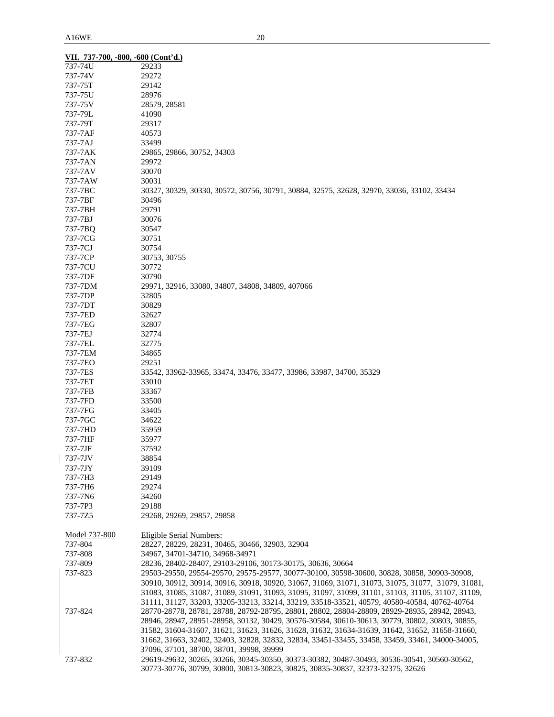|               | VII. 737-700, -800, -600 (Cont'd.)                                                                |
|---------------|---------------------------------------------------------------------------------------------------|
| 737-74U       | 29233                                                                                             |
| 737-74V       | 29272                                                                                             |
| 737-75T       | 29142                                                                                             |
| 737-75U       | 28976                                                                                             |
| 737-75V       | 28579, 28581                                                                                      |
| 737-79L       | 41090                                                                                             |
| 737-79T       | 29317                                                                                             |
| 737-7AF       | 40573                                                                                             |
| 737-7AJ       | 33499                                                                                             |
| 737-7AK       | 29865, 29866, 30752, 34303                                                                        |
| 737-7AN       | 29972                                                                                             |
| 737-7AV       | 30070                                                                                             |
| 737-7AW       | 30031                                                                                             |
| 737-7BC       | 30327, 30329, 30330, 30572, 30756, 30791, 30884, 32575, 32628, 32970, 33036, 33102, 33434         |
| 737-7BF       | 30496                                                                                             |
| 737-7BH       | 29791                                                                                             |
| 737-7BJ       | 30076                                                                                             |
| 737-7BQ       | 30547                                                                                             |
| 737-7CG       | 30751                                                                                             |
| 737-7CJ       | 30754                                                                                             |
| 737-7CP       | 30753, 30755                                                                                      |
| 737-7CU       | 30772                                                                                             |
| 737-7DF       | 30790                                                                                             |
| 737-7DM       | 29971, 32916, 33080, 34807, 34808, 34809, 407066                                                  |
| 737-7DP       | 32805                                                                                             |
| 737-7DT       | 30829                                                                                             |
| 737-7ED       | 32627                                                                                             |
| 737-7EG       | 32807                                                                                             |
| 737-7EJ       | 32774                                                                                             |
| 737-7EL       | 32775                                                                                             |
| 737-7EM       | 34865                                                                                             |
| 737-7EO       | 29251                                                                                             |
| 737-7ES       | 33542, 33962-33965, 33474, 33476, 33477, 33986, 33987, 34700, 35329                               |
| 737-7ET       | 33010                                                                                             |
| 737-7FB       | 33367                                                                                             |
| 737-7FD       | 33500                                                                                             |
| 737-7FG       | 33405                                                                                             |
| 737-7GC       | 34622                                                                                             |
| 737-7HD       | 35959                                                                                             |
| 737-7HF       | 35977                                                                                             |
| 737-7JF       | 37592                                                                                             |
| 737-7JV       | 38854                                                                                             |
| 737-7JY       | 39109                                                                                             |
| 737-7H3       | 29149                                                                                             |
| 737-7H6       | 29274                                                                                             |
| 737-7N6       | 34260                                                                                             |
| 737-7P3       | 29188                                                                                             |
| 737-7Z5       | 29268, 29269, 29857, 29858                                                                        |
|               |                                                                                                   |
| Model 737-800 | Eligible Serial Numbers:                                                                          |
| 737-804       | 28227, 28229, 28231, 30465, 30466, 32903, 32904                                                   |
| 737-808       | 34967, 34701-34710, 34968-34971                                                                   |
| 737-809       | 28236, 28402-28407, 29103-29106, 30173-30175, 30636, 30664                                        |
| 737-823       | 29503-29550, 29554-29570, 29575-29577, 30077-30100, 30598-30600, 30828, 30858, 30903-30908,       |
|               | 30910, 30912, 30914, 30916, 30918, 30920, 31067, 31069, 31071, 31073, 31075, 31077, 31079, 31081, |
|               | 31083, 31085, 31087, 31089, 31091, 31093, 31095, 31097, 31099, 31101, 31103, 31105, 31107, 31109, |
|               | 31111, 31127, 33203, 33205-33213, 33214, 33219, 33518-33521, 40579, 40580-40584, 40762-40764      |
| 737-824       | 28770-28778, 28781, 28788, 28792-28795, 28801, 28802, 28804-28809, 28929-28935, 28942, 28943,     |
|               | 28946, 28947, 28951-28958, 30132, 30429, 30576-30584, 30610-30613, 30779, 30802, 30803, 30855,    |
|               | 31582, 31604-31607, 31621, 31623, 31626, 31628, 31632, 31634-31639, 31642, 31652, 31658-31660,    |
|               | 31662, 31663, 32402, 32403, 32828, 32832, 32834, 33451-33455, 33458, 33459, 33461, 34000-34005,   |
|               | 37096, 37101, 38700, 38701, 39998, 39999                                                          |
| 737-832       | 29619-29632, 30265, 30266, 30345-30350, 30373-30382, 30487-30493, 30536-30541, 30560-30562,       |
|               | 30773-30776, 30799, 30800, 30813-30823, 30825, 30835-30837, 32373-32375, 32626                    |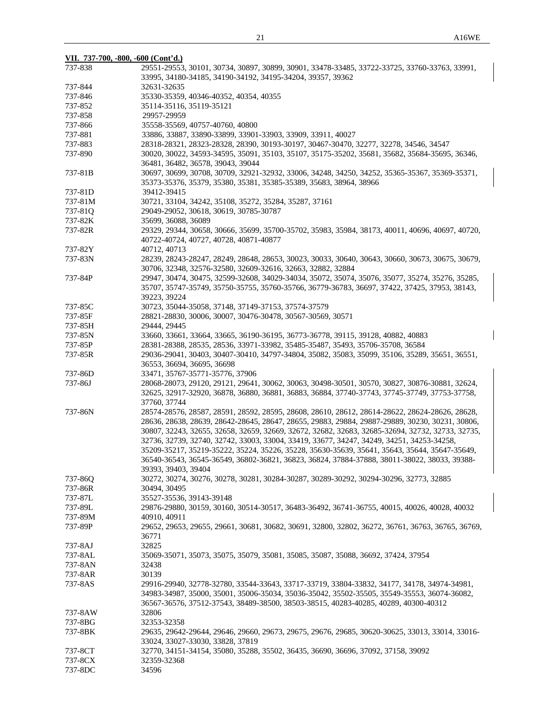| VII. 737-700, -800, -600 (Cont'd.) |                                                                                                   |  |  |
|------------------------------------|---------------------------------------------------------------------------------------------------|--|--|
| 737-838                            | 29551-29553, 30101, 30734, 30897, 30899, 30901, 33478-33485, 33722-33725, 33760-33763, 33991,     |  |  |
|                                    | 33995, 34180-34185, 34190-34192, 34195-34204, 39357, 39362                                        |  |  |
| 737-844                            | 32631-32635                                                                                       |  |  |
| 737-846                            | 35330-35359, 40346-40352, 40354, 40355                                                            |  |  |
| 737-852                            | 35114-35116, 35119-35121                                                                          |  |  |
| 737-858                            | 29957-29959                                                                                       |  |  |
| 737-866                            | 35558-35569, 40757-40760, 40800                                                                   |  |  |
| 737-881                            | 33886, 33887, 33890-33899, 33901-33903, 33909, 33911, 40027                                       |  |  |
| 737-883                            | 28318-28321, 28323-28328, 28390, 30193-30197, 30467-30470, 32277, 32278, 34546, 34547             |  |  |
| 737-890                            | 30020, 30022, 34593-34595, 35091, 35103, 35107, 35175-35202, 35681, 35682, 35684-35695, 36346,    |  |  |
|                                    | 36481, 36482, 36578, 39043, 39044                                                                 |  |  |
| 737-81B                            | 30697, 30699, 30708, 30709, 32921-32932, 33006, 34248, 34250, 34252, 35365-35367, 35369-35371,    |  |  |
|                                    | 35373-35376, 35379, 35380, 35381, 35385-35389, 35683, 38964, 38966                                |  |  |
| 737-81D                            | 39412-39415                                                                                       |  |  |
| 737-81M                            | 30721, 33104, 34242, 35108, 35272, 35284, 35287, 37161                                            |  |  |
| 737-810                            | 29049-29052, 30618, 30619, 30785-30787                                                            |  |  |
| 737-82K                            | 35699, 36088, 36089                                                                               |  |  |
| 737-82R                            | 29329, 29344, 30658, 30666, 35699, 35700-35702, 35983, 35984, 38173, 40011, 40696, 40697, 40720,  |  |  |
|                                    | 40722-40724, 40727, 40728, 40871-40877                                                            |  |  |
| 737-82Y                            | 40712, 40713                                                                                      |  |  |
| 737-83N                            | 28239, 28243-28247, 28249, 28648, 28653, 30023, 30033, 30640, 30643, 30660, 30673, 30675, 30679,  |  |  |
|                                    | 30706, 32348, 32576-32580, 32609-32616, 32663, 32882, 32884                                       |  |  |
| 737-84P                            | 29947, 30474, 30475, 32599-32608, 34029-34034, 35072, 35074, 35076, 35077, 35274, 35276, 35285,   |  |  |
|                                    | 35707, 35747-35749, 35750-35755, 35760-35766, 36779-36783, 36697, 37422, 37425, 37953, 38143,     |  |  |
|                                    | 39223, 39224                                                                                      |  |  |
| 737-85C                            | 30723, 35044-35058, 37148, 37149-37153, 37574-37579                                               |  |  |
| 737-85F                            | 28821-28830, 30006, 30007, 30476-30478, 30567-30569, 30571                                        |  |  |
| 737-85H                            | 29444, 29445                                                                                      |  |  |
| 737-85N                            | 33660, 33661, 33664, 33665, 36190-36195, 36773-36778, 39115, 39128, 40882, 40883                  |  |  |
| 737-85P                            | 28381-28388, 28535, 28536, 33971-33982, 35485-35487, 35493, 35706-35708, 36584                    |  |  |
| 737-85R                            | 29036-29041, 30403, 30407-30410, 34797-34804, 35082, 35083, 35099, 35106, 35289, 35651, 36551,    |  |  |
|                                    | 36553, 36694, 36695, 36698                                                                        |  |  |
| 737-86D                            | 33471, 35767-35771-35776, 37906                                                                   |  |  |
| 737-86J                            | 28068-28073, 29120, 29121, 29641, 30062, 30063, 30498-30501, 30570, 30827, 30876-30881, 32624,    |  |  |
|                                    | 32625, 32917-32920, 36878, 36880, 36881, 36883, 36884, 37740-37743, 37745-37749, 37753-37758,     |  |  |
|                                    | 37760, 37744                                                                                      |  |  |
| 737-86N                            | 28574-28576, 28587, 28591, 28592, 28595, 28608, 28610, 28612, 28614-28622, 28624-28626, 28628,    |  |  |
|                                    | 28636, 28638, 28639, 28642-28645, 28647, 28655, 29883, 29884, 29887-29889, 30230, 30231, 30806,   |  |  |
|                                    | 30807, 32243, 32655, 32658, 32659, 32669, 32672, 32682, 32683, 32685-32694, 32732, 32733, 32735,  |  |  |
|                                    | 32736, 32739, 32740, 32742, 33003, 33004, 33419, 33677, 34247, 34249, 34251, 34253-34258,         |  |  |
|                                    | 35209-35217, 35219-35222, 35224, 35226, 35228, 35630-35639, 35641, 35643, 35644, 35647-35649,     |  |  |
|                                    | 36540-36543, 36545-36549, 36802-36821, 36823, 36824, 37884-37888, 38011-38022, 38033, 39388-      |  |  |
|                                    | 39393, 39403, 39404                                                                               |  |  |
| 737-86Q                            | 30272, 30274, 30276, 30278, 30281, 30284-30287, 30289-30292, 30294-30296, 32773, 32885            |  |  |
| 737-86R                            | 30494, 30495                                                                                      |  |  |
| 737-87L                            | 35527-35536, 39143-39148                                                                          |  |  |
| 737-89L                            | 29876-29880, 30159, 30160, 30514-30517, 36483-36492, 36741-36755, 40015, 40026, 40028, 40032      |  |  |
| 737-89M                            | 40910, 40911                                                                                      |  |  |
| 737-89P                            | 29652, 29653, 29655, 29661, 30681, 30682, 30691, 32800, 32802, 36272, 36761, 36763, 36765, 36769, |  |  |
|                                    | 36771                                                                                             |  |  |
| 737-8AJ                            | 32825                                                                                             |  |  |
| 737-8AL                            | 35069-35071, 35073, 35075, 35079, 35081, 35085, 35087, 35088, 36692, 37424, 37954                 |  |  |
| 737-8AN                            | 32438                                                                                             |  |  |
| 737-8AR                            | 30139                                                                                             |  |  |
| 737-8AS                            | 29916-29940, 32778-32780, 33544-33643, 33717-33719, 33804-33832, 34177, 34178, 34974-34981,       |  |  |
|                                    | 34983-34987, 35000, 35001, 35006-35034, 35036-35042, 35502-35505, 35549-35553, 36074-36082,       |  |  |
|                                    | 36567-36576, 37512-37543, 38489-38500, 38503-38515, 40283-40285, 40289, 40300-40312               |  |  |
| 737-8AW                            | 32806                                                                                             |  |  |
| 737-8BG                            | 32353-32358                                                                                       |  |  |
| 737-8BK                            | 29635, 29642-29644, 29646, 29660, 29673, 29675, 29676, 29685, 30620-30625, 33013, 33014, 33016-   |  |  |
|                                    | 33024, 33027-33030, 33828, 37819                                                                  |  |  |
| 737-8CT                            | 32770, 34151-34154, 35080, 35288, 35502, 36435, 36690, 36696, 37092, 37158, 39092                 |  |  |
| 737-8CX                            | 32359-32368                                                                                       |  |  |
| 737-8DC                            | 34596                                                                                             |  |  |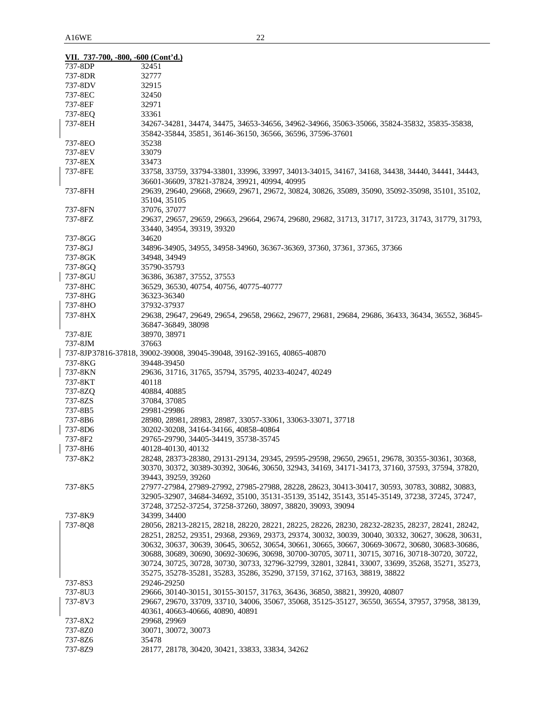| VII. 737-700, -800, -600 (Cont'd.) |                                                                                                   |
|------------------------------------|---------------------------------------------------------------------------------------------------|
| 737-8DP                            | 32451                                                                                             |
| 737-8DR                            | 32777                                                                                             |
| 737-8DV                            | 32915                                                                                             |
| 737-8EC                            | 32450                                                                                             |
| 737-8EF                            | 32971                                                                                             |
| 737-8EQ                            | 33361                                                                                             |
| 737-8EH                            | 34267-34281, 34474, 34475, 34653-34656, 34962-34966, 35063-35066, 35824-35832, 35835-35838,       |
|                                    | 35842-35844, 35851, 36146-36150, 36566, 36596, 37596-37601                                        |
|                                    |                                                                                                   |
| 737-8EO                            | 35238                                                                                             |
| 737-8EV                            | 33079                                                                                             |
| 737-8EX                            | 33473                                                                                             |
| 737-8FE                            | 33758, 33759, 33794-33801, 33996, 33997, 34013-34015, 34167, 34168, 34438, 34440, 34441, 34443,   |
|                                    | 36601-36609, 37821-37824, 39921, 40994, 40995                                                     |
| 737-8FH                            | 29639, 29640, 29668, 29669, 29671, 29672, 30824, 30826, 35089, 35090, 35092-35098, 35101, 35102,  |
|                                    | 35104, 35105                                                                                      |
| 737-8FN                            | 37076, 37077                                                                                      |
| 737-8FZ                            | 29637, 29657, 29659, 29663, 29664, 29674, 29680, 29682, 31713, 31717, 31723, 31743, 31779, 31793, |
|                                    | 33440, 34954, 39319, 39320                                                                        |
| 737-8GG                            | 34620                                                                                             |
| 737-8GJ                            | 34896-34905, 34955, 34958-34960, 36367-36369, 37360, 37361, 37365, 37366                          |
| 737-8GK                            | 34948, 34949                                                                                      |
| 737-8GO                            | 35790-35793                                                                                       |
| 737-8GU                            | 36386, 36387, 37552, 37553                                                                        |
| 737-8HC                            | 36529, 36530, 40754, 40756, 40775-40777                                                           |
| 737-8HG                            | 36323-36340                                                                                       |
| 737-8HO                            | 37932-37937                                                                                       |
| 737-8HX                            | 29638, 29647, 29649, 29654, 29658, 29662, 29677, 29681, 29684, 29686, 36433, 36434, 36552, 36845- |
|                                    | 36847-36849, 38098                                                                                |
|                                    |                                                                                                   |
| 737-8JE                            | 38970, 38971                                                                                      |
| 737-8JM                            | 37663                                                                                             |
|                                    | 737-8JP37816-37818, 39002-39008, 39045-39048, 39162-39165, 40865-40870                            |
| 737-8KG                            | 39448-39450                                                                                       |
| 737-8KN                            | 29636, 31716, 31765, 35794, 35795, 40233-40247, 40249                                             |
| 737-8KT                            | 40118                                                                                             |
| 737-8ZQ                            | 40884, 40885                                                                                      |
| 737-8ZS                            | 37084, 37085                                                                                      |
| 737-8B5                            | 29981-29986                                                                                       |
| 737-8B6                            | 28980, 28981, 28983, 28987, 33057-33061, 33063-33071, 37718                                       |
| 737-8D6                            | 30202-30208, 34164-34166, 40858-40864                                                             |
| 737-8F2                            | 29765-29790, 34405-34419, 35738-35745                                                             |
| 737-8H6                            | 40128-40130, 40132                                                                                |
| 737-8K2                            | 28248, 28373-28380, 29131-29134, 29345, 29595-29598, 29650, 29651, 29678, 30355-30361, 30368,     |
|                                    | 30370, 30372, 30389-30392, 30646, 30650, 32943, 34169, 34171-34173, 37160, 37593, 37594, 37820,   |
|                                    | 39443, 39259, 39260                                                                               |
| 737-8K5                            | 27977-27984, 27989-27992, 27985-27988, 28228, 28623, 30413-30417, 30593, 30783, 30882, 30883,     |
|                                    | 32905-32907, 34684-34692, 35100, 35131-35139, 35142, 35143, 35145-35149, 37238, 37245, 37247,     |
|                                    | 37248, 37252-37254, 37258-37260, 38097, 38820, 39093, 39094                                       |
| 737-8K9                            | 34399, 34400                                                                                      |
| 737-8Q8                            | 28056, 28213-28215, 28218, 28220, 28221, 28225, 28226, 28230, 28232-28235, 28237, 28241, 28242,   |
|                                    | 28251, 28252, 29351, 29368, 29369, 29373, 29374, 30032, 30039, 30040, 30332, 30627, 30628, 30631, |
|                                    | 30632, 30637, 30639, 30645, 30652, 30654, 30661, 30665, 30667, 30669-30672, 30680, 30683-30686,   |
|                                    | 30688, 30689, 30690, 30692-30696, 30698, 30700-30705, 30711, 30715, 30716, 30718-30720, 30722,    |
|                                    |                                                                                                   |
|                                    | 30724, 30725, 30728, 30730, 30733, 32796-32799, 32801, 32841, 33007, 33699, 35268, 35271, 35273,  |
|                                    | 35275, 35278-35281, 35283, 35286, 35290, 37159, 37162, 37163, 38819, 38822                        |
| 737-8S3                            | 29246-29250                                                                                       |
| 737-8U3                            | 29666, 30140-30151, 30155-30157, 31763, 36436, 36850, 38821, 39920, 40807                         |
| 737-8V3                            | 29667, 29670, 33709, 33710, 34006, 35067, 35068, 35125-35127, 36550, 36554, 37957, 37958, 38139,  |
|                                    | 40361, 40663-40666, 40890, 40891                                                                  |
| 737-8X2                            | 29968, 29969                                                                                      |
| 737-8Z0                            | 30071, 30072, 30073                                                                               |
| 737-8Z6                            | 35478                                                                                             |
| 737-8Z9                            | 28177, 28178, 30420, 30421, 33833, 33834, 34262                                                   |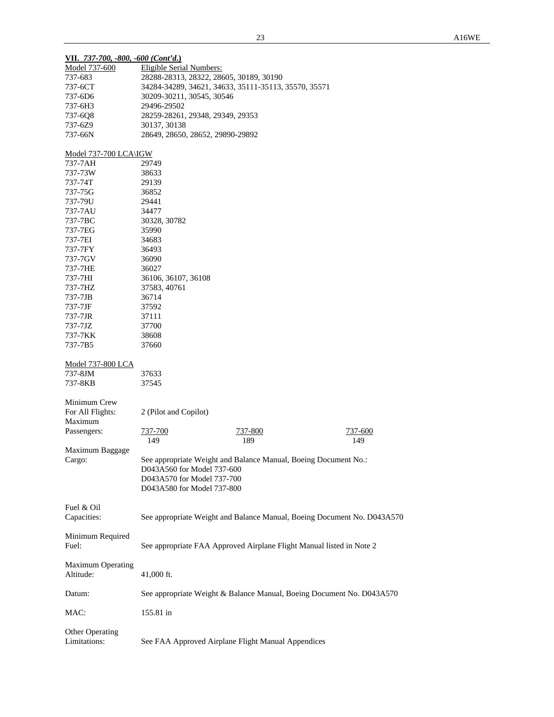| VII. 737-700, -800, -600 (Cont'd.) |                                         |                                                                         |         |
|------------------------------------|-----------------------------------------|-------------------------------------------------------------------------|---------|
| Model 737-600                      | <b>Eligible Serial Numbers:</b>         |                                                                         |         |
| 737-683                            | 28288-28313, 28322, 28605, 30189, 30190 |                                                                         |         |
| 737-6CT                            |                                         | 34284-34289, 34621, 34633, 35111-35113, 35570, 35571                    |         |
| 737-6D6                            | 30209-30211, 30545, 30546               |                                                                         |         |
| 737-6H3                            | 29496-29502                             |                                                                         |         |
| 737-6Q8                            | 28259-28261, 29348, 29349, 29353        |                                                                         |         |
| 737-6Z9                            | 30137, 30138                            |                                                                         |         |
| 737-66N                            | 28649, 28650, 28652, 29890-29892        |                                                                         |         |
|                                    |                                         |                                                                         |         |
| Model 737-700 LCA\IGW              |                                         |                                                                         |         |
| 737-7AH                            | 29749                                   |                                                                         |         |
| 737-73W                            | 38633                                   |                                                                         |         |
| 737-74T                            | 29139                                   |                                                                         |         |
| 737-75G                            | 36852                                   |                                                                         |         |
| 737-79U                            | 29441                                   |                                                                         |         |
| 737-7AU                            | 34477                                   |                                                                         |         |
| 737-7BC                            | 30328, 30782                            |                                                                         |         |
| 737-7EG                            | 35990                                   |                                                                         |         |
| 737-7EI                            | 34683                                   |                                                                         |         |
| 737-7FY                            | 36493                                   |                                                                         |         |
| 737-7GV                            | 36090                                   |                                                                         |         |
| 737-7HE                            | 36027                                   |                                                                         |         |
| 737-7HI                            | 36106, 36107, 36108                     |                                                                         |         |
| 737-7HZ                            | 37583, 40761                            |                                                                         |         |
| 737-7JB                            | 36714                                   |                                                                         |         |
| 737-7JF                            | 37592                                   |                                                                         |         |
| 737-7JR                            | 37111                                   |                                                                         |         |
| 737-7JZ                            | 37700                                   |                                                                         |         |
| 737-7KK                            | 38608                                   |                                                                         |         |
| 737-7B5                            | 37660                                   |                                                                         |         |
|                                    |                                         |                                                                         |         |
| Model 737-800 LCA<br>737-8JM       | 37633                                   |                                                                         |         |
| 737-8KB                            | 37545                                   |                                                                         |         |
|                                    |                                         |                                                                         |         |
| Minimum Crew                       |                                         |                                                                         |         |
| For All Flights:                   | 2 (Pilot and Copilot)                   |                                                                         |         |
| Maximum                            |                                         |                                                                         |         |
| Passengers:                        | 737-700                                 | 737-800                                                                 | 737-600 |
|                                    | 149                                     | 189                                                                     | 149     |
| Maximum Baggage                    |                                         |                                                                         |         |
| Cargo:                             |                                         | See appropriate Weight and Balance Manual, Boeing Document No.:         |         |
|                                    | D043A560 for Model 737-600              |                                                                         |         |
|                                    | D043A570 for Model 737-700              |                                                                         |         |
|                                    | D043A580 for Model 737-800              |                                                                         |         |
|                                    |                                         |                                                                         |         |
| Fuel & Oil                         |                                         |                                                                         |         |
| Capacities:                        |                                         | See appropriate Weight and Balance Manual, Boeing Document No. D043A570 |         |
|                                    |                                         |                                                                         |         |
| Minimum Required                   |                                         |                                                                         |         |
| Fuel:                              |                                         | See appropriate FAA Approved Airplane Flight Manual listed in Note 2    |         |
|                                    |                                         |                                                                         |         |
| Maximum Operating                  |                                         |                                                                         |         |
| Altitude:                          | 41,000 ft.                              |                                                                         |         |
|                                    |                                         |                                                                         |         |
| Datum:                             |                                         | See appropriate Weight & Balance Manual, Boeing Document No. D043A570   |         |
|                                    |                                         |                                                                         |         |
| MAC:                               | 155.81 in                               |                                                                         |         |
|                                    |                                         |                                                                         |         |
| Other Operating<br>Limitations:    |                                         | See FAA Approved Airplane Flight Manual Appendices                      |         |
|                                    |                                         |                                                                         |         |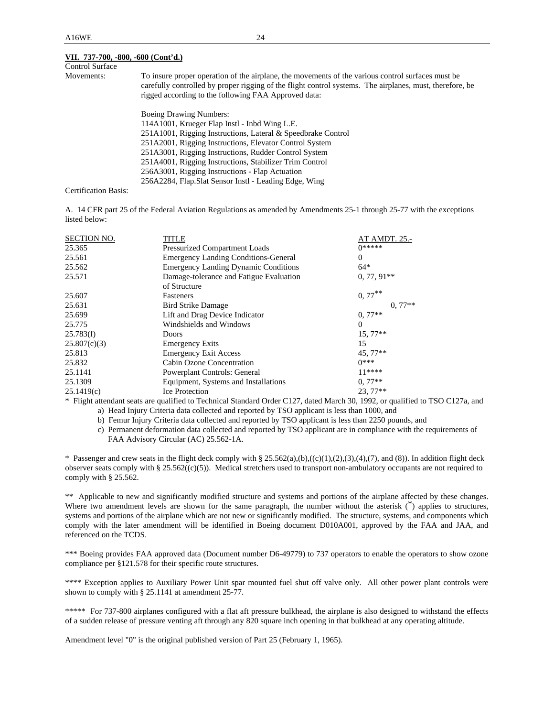#### **VII. 737-700, -800, -600 (Cont'd.)**

| <b>Control Surface</b> |                                                                                                                                                                                                                                                                       |
|------------------------|-----------------------------------------------------------------------------------------------------------------------------------------------------------------------------------------------------------------------------------------------------------------------|
| Movements:             | To insure proper operation of the airplane, the movements of the various control surfaces must be<br>carefully controlled by proper rigging of the flight control systems. The airplanes, must, therefore, be<br>rigged according to the following FAA Approved data: |
|                        | <b>Boeing Drawing Numbers:</b>                                                                                                                                                                                                                                        |
|                        | 114A1001, Krueger Flap Instl - Inbd Wing L.E.                                                                                                                                                                                                                         |
|                        | 251A1001, Rigging Instructions, Lateral & Speedbrake Control                                                                                                                                                                                                          |
|                        | 251A2001, Rigging Instructions, Elevator Control System                                                                                                                                                                                                               |
|                        | 251A3001, Rigging Instructions, Rudder Control System                                                                                                                                                                                                                 |
|                        | 251A4001, Rigging Instructions, Stabilizer Trim Control                                                                                                                                                                                                               |
|                        | 256A3001, Rigging Instructions - Flap Actuation                                                                                                                                                                                                                       |
|                        | 256A2284, Flap.Slat Sensor Instl - Leading Edge, Wing                                                                                                                                                                                                                 |
| Certification Basis:   |                                                                                                                                                                                                                                                                       |

A. 14 CFR part 25 of the Federal Aviation Regulations as amended by Amendments 25-1 through 25-77 with the exceptions listed below:

| <b>SECTION NO.</b> | TITLE                                                   | AT AMDT. 25.-         |
|--------------------|---------------------------------------------------------|-----------------------|
| 25.365             | Pressurized Compartment Loads                           | $0*****$              |
| 25.561             | <b>Emergency Landing Conditions-General</b>             | $\Omega$              |
| 25.562             | <b>Emergency Landing Dynamic Conditions</b>             | $64*$                 |
| 25.571             | Damage-tolerance and Fatigue Evaluation<br>of Structure | $0, 77, 91**$         |
| 25.607             | Fasteners                                               | $0, 77$ <sup>**</sup> |
| 25.631             | <b>Bird Strike Damage</b>                               | $0.77**$              |
| 25.699             | Lift and Drag Device Indicator                          | $0.77**$              |
| 25.775             | Windshields and Windows                                 | $\Omega$              |
| 25.783(f)          | <b>Doors</b>                                            | $15,77**$             |
| 25.807(c)(3)       | <b>Emergency Exits</b>                                  | 15                    |
| 25.813             | <b>Emergency Exit Access</b>                            | 45, 77**              |
| 25.832             | Cabin Ozone Concentration                               | $0***$                |
| 25.1141            | Powerplant Controls: General                            | $11****$              |
| 25.1309            | Equipment, Systems and Installations                    | $0.77**$              |
| 25.1419(c)         | <b>Ice Protection</b>                                   | $23,77**$             |

\* Flight attendant seats are qualified to Technical Standard Order C127, dated March 30, 1992, or qualified to TSO C127a, and a) Head Injury Criteria data collected and reported by TSO applicant is less than 1000, and

b) Femur Injury Criteria data collected and reported by TSO applicant is less than 2250 pounds, and

 c) Permanent deformation data collected and reported by TSO applicant are in compliance with the requirements of FAA Advisory Circular (AC) 25.562-1A.

\* Passenger and crew seats in the flight deck comply with § 25.562(a),(b),((c)(1),(2),(3),(4),(7), and (8)). In addition flight deck observer seats comply with § 25.562( $(c)(5)$ ). Medical stretchers used to transport non-ambulatory occupants are not required to comply with § 25.562.

\*\* Applicable to new and significantly modified structure and systems and portions of the airplane affected by these changes. Where two amendment levels are shown for the same paragraph, the number without the asterisk  $\binom{*}{k}$  applies to structures, systems and portions of the airplane which are not new or significantly modified. The structure, systems, and components which comply with the later amendment will be identified in Boeing document D010A001, approved by the FAA and JAA, and referenced on the TCDS.

\*\*\* Boeing provides FAA approved data (Document number D6-49779) to 737 operators to enable the operators to show ozone compliance per §121.578 for their specific route structures.

\*\*\*\* Exception applies to Auxiliary Power Unit spar mounted fuel shut off valve only. All other power plant controls were shown to comply with § 25.1141 at amendment 25-77.

\*\*\*\*\* For 737-800 airplanes configured with a flat aft pressure bulkhead, the airplane is also designed to withstand the effects of a sudden release of pressure venting aft through any 820 square inch opening in that bulkhead at any operating altitude.

Amendment level "0" is the original published version of Part 25 (February 1, 1965).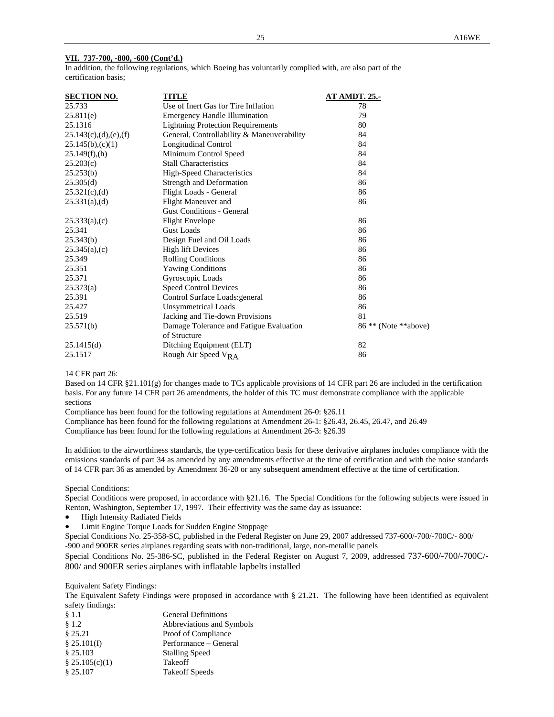#### **VII. 737-700, -800, -600 (Cont'd.)**

In addition, the following regulations, which Boeing has voluntarily complied with, are also part of the certification basis;

| <b>SECTION NO.</b>    | TITLE                                      | <b>AT AMDT. 25.-</b>            |
|-----------------------|--------------------------------------------|---------------------------------|
| 25.733                | Use of Inert Gas for Tire Inflation        | 78                              |
| 25.811(e)             | <b>Emergency Handle Illumination</b>       | 79                              |
| 25.1316               | <b>Lightning Protection Requirements</b>   | 80                              |
| 25.143(c),(d),(e),(f) | General, Controllability & Maneuverability | 84                              |
| $25.145(b)$ , (c)(1)  | <b>Longitudinal Control</b>                | 84                              |
| 25.149(f)(h)          | Minimum Control Speed                      | 84                              |
| 25.203(c)             | <b>Stall Characteristics</b>               | 84                              |
| 25.253(b)             | High-Speed Characteristics                 | 84                              |
| 25.305(d)             | Strength and Deformation                   | 86                              |
| $25.321(c)$ , (d)     | Flight Loads - General                     | 86                              |
| $25.331(a)$ , (d)     | Flight Maneuver and                        | 86                              |
|                       | <b>Gust Conditions - General</b>           |                                 |
| $25.333(a)$ ,(c)      | <b>Flight Envelope</b>                     | 86                              |
| 25.341                | Gust Loads                                 | 86                              |
| 25.343(b)             | Design Fuel and Oil Loads                  | 86                              |
| $25.345(a)$ , (c)     | <b>High lift Devices</b>                   | 86                              |
| 25.349                | <b>Rolling Conditions</b>                  | 86                              |
| 25.351                | <b>Yawing Conditions</b>                   | 86                              |
| 25.371                | Gyroscopic Loads                           | 86                              |
| 25.373(a)             | <b>Speed Control Devices</b>               | 86                              |
| 25.391                | Control Surface Loads: general             | 86                              |
| 25.427                | <b>Unsymmetrical Loads</b>                 | 86                              |
| 25.519                | Jacking and Tie-down Provisions            | 81                              |
| 25.571(b)             | Damage Tolerance and Fatigue Evaluation    | 86 <sup>**</sup> (Note **above) |
|                       | of Structure                               |                                 |
| 25.1415(d)            | Ditching Equipment (ELT)                   | 82                              |
| 25.1517               | Rough Air Speed $V_{RA}$                   | 86                              |

#### 14 CFR part 26:

Based on 14 CFR §21.101(g) for changes made to TCs applicable provisions of 14 CFR part 26 are included in the certification basis. For any future 14 CFR part 26 amendments, the holder of this TC must demonstrate compliance with the applicable sections

Compliance has been found for the following regulations at Amendment 26-0: §26.11

Compliance has been found for the following regulations at Amendment 26-1: §26.43, 26.45, 26.47, and 26.49

Compliance has been found for the following regulations at Amendment 26-3: §26.39

In addition to the airworthiness standards, the type-certification basis for these derivative airplanes includes compliance with the emissions standards of part 34 as amended by any amendments effective at the time of certification and with the noise standards of 14 CFR part 36 as amended by Amendment 36-20 or any subsequent amendment effective at the time of certification.

Special Conditions:

Special Conditions were proposed, in accordance with §21.16. The Special Conditions for the following subjects were issued in Renton, Washington, September 17, 1997. Their effectivity was the same day as issuance:

- **•** High Intensity Radiated Fields
- Limit Engine Torque Loads for Sudden Engine Stoppage

Special Conditions No. 25-358-SC, published in the Federal Register on June 29, 2007 addressed 737-600/-700/-700C/- 800/ -900 and 900ER series airplanes regarding seats with non-traditional, large, non-metallic panels

Special Conditions No. 25-386-SC, published in the Federal Register on August 7, 2009, addressed 737-600/-700/-700C/- 800/ and 900ER series airplanes with inflatable lapbelts installed

Equivalent Safety Findings:

The Equivalent Safety Findings were proposed in accordance with § 21.21. The following have been identified as equivalent safety findings:

| § 1.1          | <b>General Definitions</b> |
|----------------|----------------------------|
| § 1.2          | Abbreviations and Symbols  |
| \$25.21        | Proof of Compliance        |
| \$25.101(I)    | Performance – General      |
| \$25.103       | <b>Stalling Speed</b>      |
| \$25.105(c)(1) | Takeoff                    |
| \$25.107       | <b>Takeoff Speeds</b>      |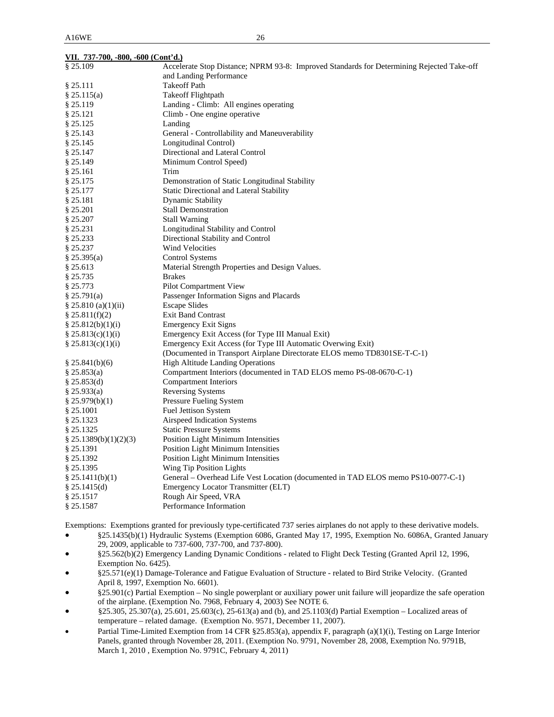| VII. 737-700, -800, -600 (Cont'd.) |                                                                                           |  |  |  |
|------------------------------------|-------------------------------------------------------------------------------------------|--|--|--|
| \$25.109                           | Accelerate Stop Distance; NPRM 93-8: Improved Standards for Determining Rejected Take-off |  |  |  |
|                                    | and Landing Performance                                                                   |  |  |  |
| § 25.111                           | <b>Takeoff Path</b>                                                                       |  |  |  |
| § 25.115(a)                        | <b>Takeoff Flightpath</b>                                                                 |  |  |  |
| § 25.119                           | Landing - Climb: All engines operating                                                    |  |  |  |
| § 25.121                           | Climb - One engine operative                                                              |  |  |  |
| § 25.125                           | Landing                                                                                   |  |  |  |
| § 25.143                           | General - Controllability and Maneuverability                                             |  |  |  |
| § 25.145                           | Longitudinal Control)                                                                     |  |  |  |
| § 25.147                           | Directional and Lateral Control                                                           |  |  |  |
| § 25.149                           | Minimum Control Speed)                                                                    |  |  |  |
| § 25.161                           | Trim                                                                                      |  |  |  |
| § 25.175                           | Demonstration of Static Longitudinal Stability                                            |  |  |  |
| § 25.177                           | <b>Static Directional and Lateral Stability</b>                                           |  |  |  |
| § 25.181                           | Dynamic Stability                                                                         |  |  |  |
| § 25.201                           | <b>Stall Demonstration</b>                                                                |  |  |  |
| § 25.207                           | <b>Stall Warning</b>                                                                      |  |  |  |
| § 25.231                           | Longitudinal Stability and Control                                                        |  |  |  |
| § 25.233                           | Directional Stability and Control                                                         |  |  |  |
| § 25.237                           | Wind Velocities                                                                           |  |  |  |
| § 25.395(a)                        | Control Systems                                                                           |  |  |  |
| § 25.613                           | Material Strength Properties and Design Values.                                           |  |  |  |
| § 25.735                           | <b>Brakes</b>                                                                             |  |  |  |
| § 25.773                           | Pilot Compartment View                                                                    |  |  |  |
| § 25.791(a)                        | Passenger Information Signs and Placards                                                  |  |  |  |
| $\S 25.810$ (a)(1)(ii)             | <b>Escape Slides</b>                                                                      |  |  |  |
| \$25.811(f)(2)                     | <b>Exit Band Contrast</b>                                                                 |  |  |  |
| \$25.812(b)(1)(i)                  | <b>Emergency Exit Signs</b>                                                               |  |  |  |
| \$25.813(c)(1)(i)                  | Emergency Exit Access (for Type III Manual Exit)                                          |  |  |  |
| \$25.813(c)(1)(i)                  | Emergency Exit Access (for Type III Automatic Overwing Exit)                              |  |  |  |
|                                    | (Documented in Transport Airplane Directorate ELOS memo TD8301SE-T-C-1)                   |  |  |  |
| \$25.841(b)(6)                     | <b>High Altitude Landing Operations</b>                                                   |  |  |  |
| § 25.853(a)                        | Compartment Interiors (documented in TAD ELOS memo PS-08-0670-C-1)                        |  |  |  |
| $§$ 25.853(d)                      | Compartment Interiors                                                                     |  |  |  |
| § 25.933(a)                        | Reversing Systems                                                                         |  |  |  |
| § 25.979(b)(1)                     | Pressure Fueling System                                                                   |  |  |  |
| § 25.1001                          | <b>Fuel Jettison System</b>                                                               |  |  |  |
| § 25.1323                          | Airspeed Indication Systems                                                               |  |  |  |
| § 25.1325                          | <b>Static Pressure Systems</b>                                                            |  |  |  |
| $\S$ 25.1389(b)(1)(2)(3)           | <b>Position Light Minimum Intensities</b>                                                 |  |  |  |
| § 25.1391                          | <b>Position Light Minimum Intensities</b>                                                 |  |  |  |
| § 25.1392                          | <b>Position Light Minimum Intensities</b>                                                 |  |  |  |
| § 25.1395                          | Wing Tip Position Lights                                                                  |  |  |  |
| § 25.1411(b)(1)                    | General – Overhead Life Vest Location (documented in TAD ELOS memo PS10-0077-C-1)         |  |  |  |
| § 25.1415(d)                       | Emergency Locator Transmitter (ELT)                                                       |  |  |  |
| § 25.1517                          | Rough Air Speed, VRA                                                                      |  |  |  |
| § 25.1587                          | Performance Information                                                                   |  |  |  |

Exemptions: Exemptions granted for previously type-certificated 737 series airplanes do not apply to these derivative models.

- §25.1435(b)(1) Hydraulic Systems (Exemption 6086, Granted May 17, 1995, Exemption No. 6086A, Granted January 29, 2009, applicable to 737-600, 737-700, and 737-800).
- §25.562(b)(2) Emergency Landing Dynamic Conditions related to Flight Deck Testing (Granted April 12, 1996, Exemption No. 6425).
- §25.571(e)(1) Damage-Tolerance and Fatigue Evaluation of Structure related to Bird Strike Velocity. (Granted April 8, 1997, Exemption No. 6601).
- §25.901(c) Partial Exemption No single powerplant or auxiliary power unit failure will jeopardize the safe operation of the airplane. (Exemption No. 7968, February 4, 2003) See NOTE 6.
- §25.305, 25.307(a), 25.601, 25.603(c), 25-613(a) and (b), and 25.1103(d) Partial Exemption Localized areas of temperature – related damage. (Exemption No. 9571, December 11, 2007).
- Partial Time-Limited Exemption from 14 CFR §25.853(a), appendix F, paragraph (a)(1)(i), Testing on Large Interior Panels, granted through November 28, 2011. (Exemption No. 9791, November 28, 2008, Exemption No. 9791B, March 1, 2010 , Exemption No. 9791C, February 4, 2011)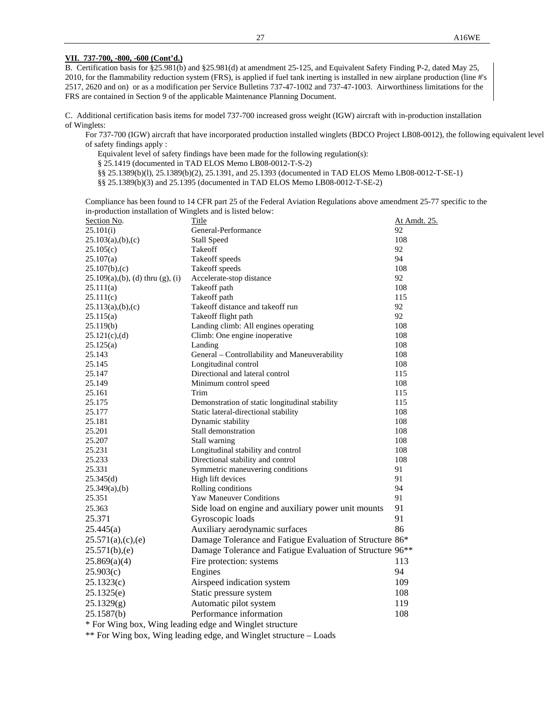### **VII. 737-700, -800, -600 (Cont'd.)**

B. Certification basis for §25.981(b) and §25.981(d) at amendment 25-125, and Equivalent Safety Finding P-2, dated May 25, 2010, for the flammability reduction system (FRS), is applied if fuel tank inerting is installed in new airplane production (line #'s 2517, 2620 and on) or as a modification per Service Bulletins 737-47-1002 and 737-47-1003. Airworthiness limitations for the FRS are contained in Section 9 of the applicable Maintenance Planning Document.

C. Additional certification basis items for model 737-700 increased gross weight (IGW) aircraft with in-production installation of Winglets:

 For 737-700 (IGW) aircraft that have incorporated production installed winglets (BDCO Project LB08-0012), the following equivalent level of safety findings apply :

Equivalent level of safety findings have been made for the following regulation(s):

§ 25.1419 (documented in TAD ELOS Memo LB08-0012-T-S-2)

§§ 25.1389(b)(l), 25.1389(b)(2), 25.1391, and 25.1393 (documented in TAD ELOS Memo LB08-0012-T-SE-1)

§§ 25.1389(b)(3) and 25.1395 (documented in TAD ELOS Memo LB08-0012-T-SE-2)

 Compliance has been found to 14 CFR part 25 of the Federal Aviation Regulations above amendment 25-77 specific to the in-production installation of Winglets and is listed below:

| Section No.                        | Title                                                                 | At Amdt. 25. |
|------------------------------------|-----------------------------------------------------------------------|--------------|
| 25.101(i)                          | General-Performance                                                   | 92           |
| 25.103(a),(b),(c)                  | <b>Stall Speed</b>                                                    | 108          |
| 25.105(c)                          | Takeoff                                                               | 92           |
| 25.107(a)                          | Takeoff speeds                                                        | 94           |
| 25.107(b),(c)                      | Takeoff speeds                                                        | 108          |
| $25.109(a),(b),(d)$ thru $(g),(i)$ | Accelerate-stop distance                                              | 92           |
| 25.111(a)                          | Takeoff path                                                          | 108          |
| 25.111(c)                          | Takeoff path                                                          | 115          |
| 25.113(a),(b),(c)                  | Takeoff distance and takeoff run                                      | 92           |
| 25.115(a)                          | Takeoff flight path                                                   | 92           |
| 25.119(b)                          | Landing climb: All engines operating                                  | 108          |
| 25.121(c),(d)                      | Climb: One engine inoperative                                         | 108          |
| 25.125(a)                          | Landing                                                               | 108          |
| 25.143                             | General - Controllability and Maneuverability                         | 108          |
| 25.145                             | Longitudinal control                                                  | 108          |
| 25.147                             | Directional and lateral control                                       | 115          |
| 25.149                             | Minimum control speed                                                 | 108          |
| 25.161                             | Trim                                                                  | 115          |
| 25.175                             | Demonstration of static longitudinal stability                        | 115          |
| 25.177                             | Static lateral-directional stability                                  | 108          |
| 25.181                             | Dynamic stability                                                     | 108          |
| 25.201                             | Stall demonstration                                                   | 108          |
| 25.207                             | Stall warning                                                         | 108          |
| 25.231                             | Longitudinal stability and control                                    | 108          |
| 25.233                             | Directional stability and control                                     | 108          |
| 25.331                             | Symmetric maneuvering conditions                                      | 91           |
| 25.345(d)                          | High lift devices                                                     | 91           |
| $25.349(a)$ , (b)                  | Rolling conditions                                                    | 94           |
| 25.351                             | Yaw Maneuver Conditions                                               | 91           |
| 25.363                             | Side load on engine and auxiliary power unit mounts                   | 91           |
| 25.371                             | Gyroscopic loads                                                      | 91           |
| 25.445(a)                          | Auxiliary aerodynamic surfaces                                        | 86           |
| 25.571(a),(c),(e)                  | Damage Tolerance and Fatigue Evaluation of Structure 86*              |              |
| 25.571(b),(e)                      | Damage Tolerance and Fatigue Evaluation of Structure 96 <sup>**</sup> |              |
| 25.869(a)(4)                       | Fire protection: systems                                              | 113          |
| 25.903(c)                          | Engines                                                               | 94           |
| 25.1323(c)                         | Airspeed indication system                                            | 109          |
| 25.1325(e)                         | Static pressure system                                                | 108          |
| 25.1329(g)                         | Automatic pilot system                                                | 119          |
| 25.1587(b)                         | Performance information                                               | 108          |
|                                    | * For Wing box, Wing leading edge and Winglet structure               |              |
|                                    |                                                                       |              |

\*\* For Wing box, Wing leading edge, and Winglet structure – Loads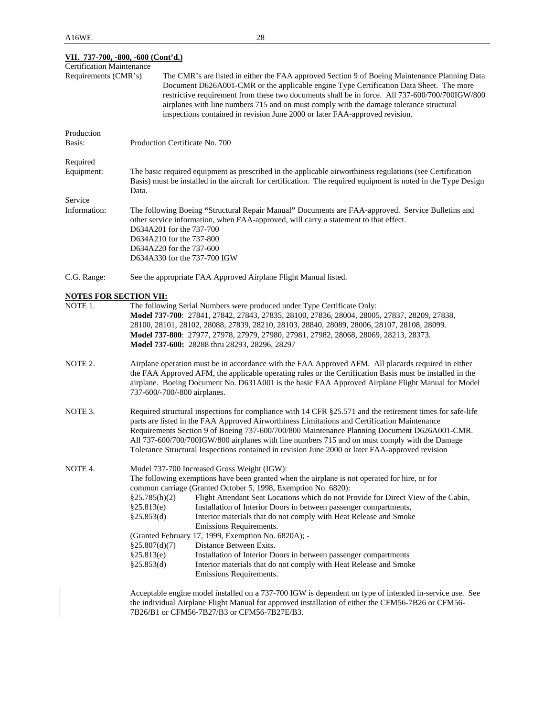| VII. 737-700, -800, -600 (Cont'd.)                       |                                                                                                                                                                                                                                                                                                                                                                                                                                                                                                                                                                                                                                                                                                                                                                                                                           |  |  |  |
|----------------------------------------------------------|---------------------------------------------------------------------------------------------------------------------------------------------------------------------------------------------------------------------------------------------------------------------------------------------------------------------------------------------------------------------------------------------------------------------------------------------------------------------------------------------------------------------------------------------------------------------------------------------------------------------------------------------------------------------------------------------------------------------------------------------------------------------------------------------------------------------------|--|--|--|
| <b>Certification Maintenance</b><br>Requirements (CMR's) | The CMR's are listed in either the FAA approved Section 9 of Boeing Maintenance Planning Data<br>Document D626A001-CMR or the applicable engine Type Certification Data Sheet. The more<br>restrictive requirement from these two documents shall be in force. All 737-600/700/700IGW/800<br>airplanes with line numbers 715 and on must comply with the damage tolerance structural<br>inspections contained in revision June 2000 or later FAA-approved revision.                                                                                                                                                                                                                                                                                                                                                       |  |  |  |
| Production<br>Basis:                                     | Production Certificate No. 700                                                                                                                                                                                                                                                                                                                                                                                                                                                                                                                                                                                                                                                                                                                                                                                            |  |  |  |
| Required<br>Equipment:                                   | The basic required equipment as prescribed in the applicable airworthiness regulations (see Certification<br>Basis) must be installed in the aircraft for certification. The required equipment is noted in the Type Design<br>Data.                                                                                                                                                                                                                                                                                                                                                                                                                                                                                                                                                                                      |  |  |  |
| Service<br>Information:                                  | The following Boeing "Structural Repair Manual" Documents are FAA-approved. Service Bulletins and<br>other service information, when FAA-approved, will carry a statement to that effect.<br>D634A201 for the 737-700<br>D634A210 for the 737-800<br>D634A220 for the 737-600<br>D634A330 for the 737-700 IGW                                                                                                                                                                                                                                                                                                                                                                                                                                                                                                             |  |  |  |
| C.G. Range:                                              | See the appropriate FAA Approved Airplane Flight Manual listed.                                                                                                                                                                                                                                                                                                                                                                                                                                                                                                                                                                                                                                                                                                                                                           |  |  |  |
| <b>NOTES FOR SECTION VII:</b>                            |                                                                                                                                                                                                                                                                                                                                                                                                                                                                                                                                                                                                                                                                                                                                                                                                                           |  |  |  |
| NOTE 1.                                                  | The following Serial Numbers were produced under Type Certificate Only:<br>Model 737-700: 27841, 27842, 27843, 27835, 28100, 27836, 28004, 28005, 27837, 28209, 27838,<br>28100, 28101, 28102, 28088, 27839, 28210, 28103, 28840, 28089, 28006, 28107, 28108, 28099.<br>Model 737-800: 27977, 27978, 27979, 27980, 27981, 27982, 28068, 28069, 28213, 28373.<br>Model 737-600: 28288 thru 28293, 28296, 28297                                                                                                                                                                                                                                                                                                                                                                                                             |  |  |  |
| NOTE 2.                                                  | Airplane operation must be in accordance with the FAA Approved AFM. All placards required in either<br>the FAA Approved AFM, the applicable operating rules or the Certification Basis must be installed in the<br>airplane. Boeing Document No. D631A001 is the basic FAA Approved Airplane Flight Manual for Model<br>737-600/-700/-800 airplanes.                                                                                                                                                                                                                                                                                                                                                                                                                                                                      |  |  |  |
| NOTE 3.                                                  | Required structural inspections for compliance with 14 CFR §25.571 and the retirement times for safe-life<br>parts are listed in the FAA Approved Airworthiness Limitations and Certification Maintenance<br>Requirements Section 9 of Boeing 737-600/700/800 Maintenance Planning Document D626A001-CMR.<br>All 737-600/700/700IGW/800 airplanes with line numbers 715 and on must comply with the Damage<br>Tolerance Structural Inspections contained in revision June 2000 or later FAA-approved revision                                                                                                                                                                                                                                                                                                             |  |  |  |
| NOTE 4.                                                  | Model 737-700 Increased Gross Weight (IGW):<br>The following exemptions have been granted when the airplane is not operated for hire, or for<br>common carriage (Granted October 5, 1998, Exemption No. 6820):<br>§25.785(h)(2)<br>Flight Attendant Seat Locations which do not Provide for Direct View of the Cabin,<br>Installation of Interior Doors in between passenger compartments,<br>§25.813(e)<br>Interior materials that do not comply with Heat Release and Smoke<br>§25.853(d)<br>Emissions Requirements.<br>(Granted February 17, 1999, Exemption No. 6820A); -<br>Distance Between Exits.<br>§25.807(d)(7)<br>§25.813(e)<br>Installation of Interior Doors in between passenger compartments<br>§25.853(d)<br>Interior materials that do not comply with Heat Release and Smoke<br>Emissions Requirements. |  |  |  |
|                                                          | Acceptable engine model installed on a 737-700 IGW is dependent on type of intended in-service use. See<br>the individual Airplane Flight Manual for approved installation of either the CFM56-7B26 or CFM56-<br>7B26/B1 or CFM56-7B27/B3 or CFM56-7B27E/B3.                                                                                                                                                                                                                                                                                                                                                                                                                                                                                                                                                              |  |  |  |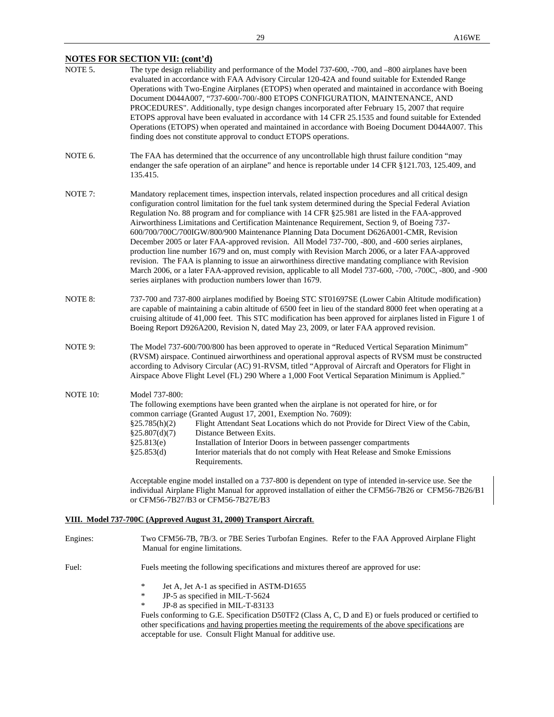# **NOTES FOR SECTION VII: (cont'd)**

| NOTE 5.            | The type design reliability and performance of the Model 737-600, -700, and -800 airplanes have been<br>evaluated in accordance with FAA Advisory Circular 120-42A and found suitable for Extended Range<br>Operations with Two-Engine Airplanes (ETOPS) when operated and maintained in accordance with Boeing<br>Document D044A007, "737-600/-700/-800 ETOPS CONFIGURATION, MAINTENANCE, AND<br>PROCEDURES". Additionally, type design changes incorporated after February 15, 2007 that require<br>ETOPS approval have been evaluated in accordance with 14 CFR 25.1535 and found suitable for Extended<br>Operations (ETOPS) when operated and maintained in accordance with Boeing Document D044A007. This<br>finding does not constitute approval to conduct ETOPS operations.                                                                                                                                                                                                                            |  |  |
|--------------------|-----------------------------------------------------------------------------------------------------------------------------------------------------------------------------------------------------------------------------------------------------------------------------------------------------------------------------------------------------------------------------------------------------------------------------------------------------------------------------------------------------------------------------------------------------------------------------------------------------------------------------------------------------------------------------------------------------------------------------------------------------------------------------------------------------------------------------------------------------------------------------------------------------------------------------------------------------------------------------------------------------------------|--|--|
| NOTE 6.            | The FAA has determined that the occurrence of any uncontrollable high thrust failure condition "may<br>endanger the safe operation of an airplane" and hence is reportable under 14 CFR §121.703, 125.409, and<br>135.415.                                                                                                                                                                                                                                                                                                                                                                                                                                                                                                                                                                                                                                                                                                                                                                                      |  |  |
| NOTE <sub>7:</sub> | Mandatory replacement times, inspection intervals, related inspection procedures and all critical design<br>configuration control limitation for the fuel tank system determined during the Special Federal Aviation<br>Regulation No. 88 program and for compliance with 14 CFR §25.981 are listed in the FAA-approved<br>Airworthiness Limitations and Certification Maintenance Requirement, Section 9, of Boeing 737-<br>600/700/700C/700IGW/800/900 Maintenance Planning Data Document D626A001-CMR, Revision<br>December 2005 or later FAA-approved revision. All Model 737-700, -800, and -600 series airplanes,<br>production line number 1679 and on, must comply with Revision March 2006, or a later FAA-approved<br>revision. The FAA is planning to issue an airworthiness directive mandating compliance with Revision<br>March 2006, or a later FAA-approved revision, applicable to all Model 737-600, -700, -700C, -800, and -900<br>series airplanes with production numbers lower than 1679. |  |  |
| NOTE 8:            | 737-700 and 737-800 airplanes modified by Boeing STC ST01697SE (Lower Cabin Altitude modification)<br>are capable of maintaining a cabin altitude of 6500 feet in lieu of the standard 8000 feet when operating at a<br>cruising altitude of 41,000 feet. This STC modification has been approved for airplanes listed in Figure 1 of<br>Boeing Report D926A200, Revision N, dated May 23, 2009, or later FAA approved revision.                                                                                                                                                                                                                                                                                                                                                                                                                                                                                                                                                                                |  |  |
| NOTE 9:            | The Model 737-600/700/800 has been approved to operate in "Reduced Vertical Separation Minimum"<br>(RVSM) airspace. Continued airworthiness and operational approval aspects of RVSM must be constructed<br>according to Advisory Circular (AC) 91-RVSM, titled "Approval of Aircraft and Operators for Flight in<br>Airspace Above Flight Level (FL) 290 Where a 1,000 Foot Vertical Separation Minimum is Applied."                                                                                                                                                                                                                                                                                                                                                                                                                                                                                                                                                                                           |  |  |
| NOTE 10:           | Model 737-800:<br>The following exemptions have been granted when the airplane is not operated for hire, or for<br>common carriage (Granted August 17, 2001, Exemption No. 7609):<br>Flight Attendant Seat Locations which do not Provide for Direct View of the Cabin,<br>§25.785(h)(2)<br>Distance Between Exits.<br>§25.807(d)(7)<br>§25.813(e)<br>Installation of Interior Doors in between passenger compartments<br>§25.853(d)<br>Interior materials that do not comply with Heat Release and Smoke Emissions<br>Requirements.                                                                                                                                                                                                                                                                                                                                                                                                                                                                            |  |  |
|                    | Acceptable engine model installed on a 737-800 is dependent on type of intended in-service use. See the<br>individual Airplane Flight Manual for approved installation of either the CFM56-7B26 or CFM56-7B26/B1<br>or CFM56-7B27/B3 or CFM56-7B27E/B3                                                                                                                                                                                                                                                                                                                                                                                                                                                                                                                                                                                                                                                                                                                                                          |  |  |

# **VIII. Model 737-700C (Approved August 31, 2000) Transport Aircraft**.

| Engines: | Two CFM56-7B, 7B/3. or 7BE Series Turbofan Engines. Refer to the FAA Approved Airplane Flight<br>Manual for engine limitations.                                                                                                                                                                                                                                                                                |  |  |
|----------|----------------------------------------------------------------------------------------------------------------------------------------------------------------------------------------------------------------------------------------------------------------------------------------------------------------------------------------------------------------------------------------------------------------|--|--|
| Fuel:    | Fuels meeting the following specifications and mixtures thereof are approved for use:                                                                                                                                                                                                                                                                                                                          |  |  |
|          | ∗<br>Jet A, Jet A-1 as specified in ASTM-D1655<br>JP-5 as specified in MIL-T-5624<br>∗<br>JP-8 as specified in MIL-T-83133<br>∗<br>Fuels conforming to G.E. Specification D50TF2 (Class A, C, D and E) or fuels produced or certified to<br>other specifications and having properties meeting the requirements of the above specifications are<br>acceptable for use. Consult Flight Manual for additive use. |  |  |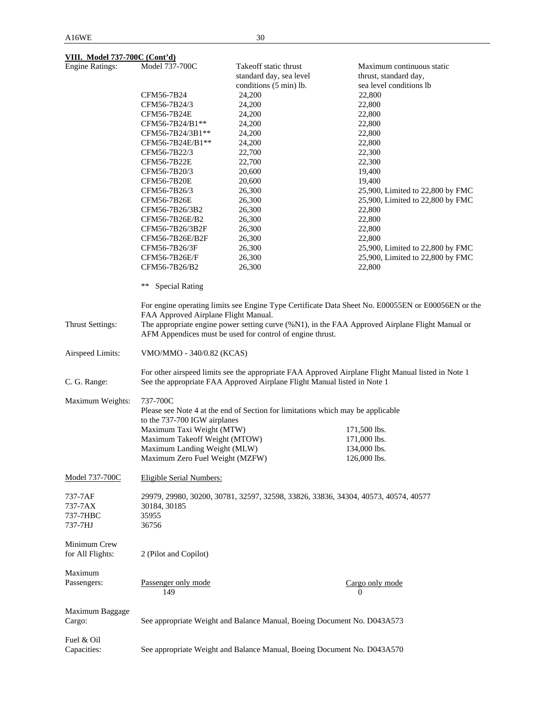# **VIII. Model 737-700C (Cont'd)**

| <b>Engine Ratings:</b>  | Model 737-700C                       | Takeoff static thrust                                                              | Maximum continuous static                                                                          |
|-------------------------|--------------------------------------|------------------------------------------------------------------------------------|----------------------------------------------------------------------------------------------------|
|                         |                                      | standard day, sea level                                                            | thrust, standard day,                                                                              |
|                         |                                      | conditions (5 min) lb.                                                             | sea level conditions lb                                                                            |
|                         | CFM56-7B24                           | 24,200                                                                             | 22,800                                                                                             |
|                         | CFM56-7B24/3                         | 24,200                                                                             | 22,800                                                                                             |
|                         | CFM56-7B24E                          | 24,200                                                                             | 22,800                                                                                             |
|                         | CFM56-7B24/B1**                      | 24,200                                                                             | 22,800                                                                                             |
|                         | CFM56-7B24/3B1**                     | 24,200                                                                             | 22,800                                                                                             |
|                         | CFM56-7B24E/B1**                     | 24,200                                                                             | 22,800                                                                                             |
|                         |                                      |                                                                                    |                                                                                                    |
|                         | CFM56-7B22/3                         | 22,700                                                                             | 22,300                                                                                             |
|                         | CFM56-7B22E                          | 22,700                                                                             | 22,300                                                                                             |
|                         | CFM56-7B20/3                         | 20,600                                                                             | 19,400                                                                                             |
|                         | CFM56-7B20E                          | 20,600                                                                             | 19,400                                                                                             |
|                         | CFM56-7B26/3                         | 26,300                                                                             | 25,900, Limited to 22,800 by FMC                                                                   |
|                         | CFM56-7B26E                          | 26,300                                                                             | 25,900, Limited to 22,800 by FMC                                                                   |
|                         | CFM56-7B26/3B2                       | 26,300                                                                             | 22,800                                                                                             |
|                         | CFM56-7B26E/B2                       | 26,300                                                                             | 22,800                                                                                             |
|                         | CFM56-7B26/3B2F                      | 26,300                                                                             | 22,800                                                                                             |
|                         | CFM56-7B26E/B2F                      | 26,300                                                                             | 22,800                                                                                             |
|                         | CFM56-7B26/3F                        | 26,300                                                                             | 25,900, Limited to 22,800 by FMC                                                                   |
|                         | CFM56-7B26E/F                        | 26,300                                                                             | 25,900, Limited to 22,800 by FMC                                                                   |
|                         | CFM56-7B26/B2                        | 26,300                                                                             | 22,800                                                                                             |
|                         | **<br><b>Special Rating</b>          |                                                                                    |                                                                                                    |
|                         |                                      |                                                                                    | For engine operating limits see Engine Type Certificate Data Sheet No. E00055EN or E00056EN or the |
|                         | FAA Approved Airplane Flight Manual. |                                                                                    |                                                                                                    |
| <b>Thrust Settings:</b> |                                      |                                                                                    | The appropriate engine power setting curve (%N1), in the FAA Approved Airplane Flight Manual or    |
|                         |                                      | AFM Appendices must be used for control of engine thrust.                          |                                                                                                    |
| Airspeed Limits:        | VMO/MMO - 340/0.82 (KCAS)            |                                                                                    |                                                                                                    |
|                         |                                      |                                                                                    | For other airspeed limits see the appropriate FAA Approved Airplane Flight Manual listed in Note 1 |
| C. G. Range:            |                                      | See the appropriate FAA Approved Airplane Flight Manual listed in Note 1           |                                                                                                    |
| Maximum Weights:        | 737-700C                             |                                                                                    |                                                                                                    |
|                         |                                      | Please see Note 4 at the end of Section for limitations which may be applicable    |                                                                                                    |
|                         | to the 737-700 IGW airplanes         |                                                                                    |                                                                                                    |
|                         | Maximum Taxi Weight (MTW)            |                                                                                    | 171,500 lbs.                                                                                       |
|                         | Maximum Takeoff Weight (MTOW)        |                                                                                    | 171,000 lbs.                                                                                       |
|                         | Maximum Landing Weight (MLW)         |                                                                                    | 134,000 lbs.                                                                                       |
|                         | Maximum Zero Fuel Weight (MZFW)      |                                                                                    | 126,000 lbs.                                                                                       |
|                         |                                      |                                                                                    |                                                                                                    |
| Model 737-700C          | <b>Eligible Serial Numbers:</b>      |                                                                                    |                                                                                                    |
| 737-7AF                 |                                      | 29979, 29980, 30200, 30781, 32597, 32598, 33826, 33836, 34304, 40573, 40574, 40577 |                                                                                                    |
|                         |                                      |                                                                                    |                                                                                                    |
| 737-7AX                 | 30184, 30185                         |                                                                                    |                                                                                                    |
| 737-7HBC                | 35955                                |                                                                                    |                                                                                                    |
| 737-7HJ                 | 36756                                |                                                                                    |                                                                                                    |
| Minimum Crew            |                                      |                                                                                    |                                                                                                    |
| for All Flights:        | 2 (Pilot and Copilot)                |                                                                                    |                                                                                                    |
|                         |                                      |                                                                                    |                                                                                                    |
| Maximum                 |                                      |                                                                                    |                                                                                                    |
| Passengers:             | Passenger only mode                  |                                                                                    | Cargo only mode                                                                                    |
|                         | 149                                  |                                                                                    | 0                                                                                                  |
|                         |                                      |                                                                                    |                                                                                                    |
| Maximum Baggage         |                                      |                                                                                    |                                                                                                    |
| Cargo:                  |                                      | See appropriate Weight and Balance Manual, Boeing Document No. D043A573            |                                                                                                    |
|                         |                                      |                                                                                    |                                                                                                    |
| Fuel & Oil              |                                      |                                                                                    |                                                                                                    |
| Capacities:             |                                      | See appropriate Weight and Balance Manual, Boeing Document No. D043A570            |                                                                                                    |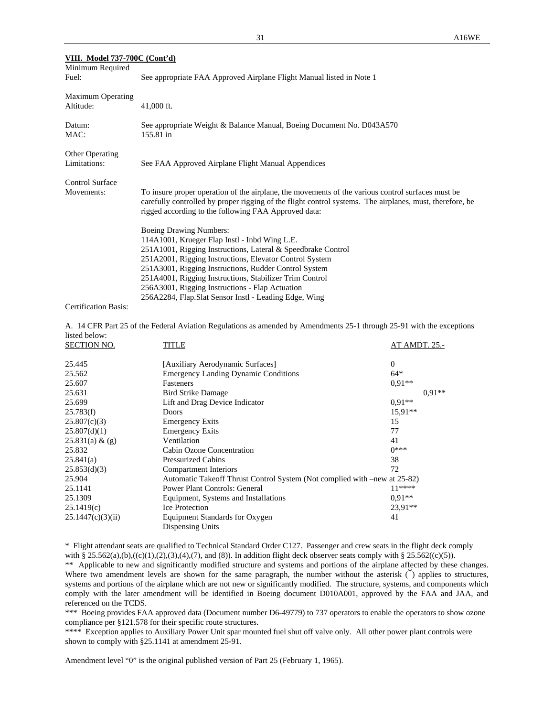| VIII. Model 737-700C (Cont'd) |                                                                                                                                                                                                                                                                       |
|-------------------------------|-----------------------------------------------------------------------------------------------------------------------------------------------------------------------------------------------------------------------------------------------------------------------|
| Minimum Required              |                                                                                                                                                                                                                                                                       |
| Fuel:                         | See appropriate FAA Approved Airplane Flight Manual listed in Note 1                                                                                                                                                                                                  |
| <b>Maximum Operating</b>      |                                                                                                                                                                                                                                                                       |
| Altitude:                     | 41,000 ft.                                                                                                                                                                                                                                                            |
| Datum:                        | See appropriate Weight & Balance Manual, Boeing Document No. D043A570                                                                                                                                                                                                 |
| MAC:                          | 155.81 in                                                                                                                                                                                                                                                             |
| Other Operating               |                                                                                                                                                                                                                                                                       |
| Limitations:                  | See FAA Approved Airplane Flight Manual Appendices                                                                                                                                                                                                                    |
| <b>Control Surface</b>        |                                                                                                                                                                                                                                                                       |
| Movements:                    | To insure proper operation of the airplane, the movements of the various control surfaces must be<br>carefully controlled by proper rigging of the flight control systems. The airplanes, must, therefore, be<br>rigged according to the following FAA Approved data: |
|                               | <b>Boeing Drawing Numbers:</b>                                                                                                                                                                                                                                        |
|                               | 114A1001, Krueger Flap Instl - Inbd Wing L.E.                                                                                                                                                                                                                         |
|                               | 251A1001, Rigging Instructions, Lateral & Speedbrake Control                                                                                                                                                                                                          |
|                               | 251A2001, Rigging Instructions, Elevator Control System                                                                                                                                                                                                               |
|                               | 251A3001, Rigging Instructions, Rudder Control System                                                                                                                                                                                                                 |
|                               | 251A4001, Rigging Instructions, Stabilizer Trim Control                                                                                                                                                                                                               |
|                               | 256A3001, Rigging Instructions - Flap Actuation                                                                                                                                                                                                                       |
|                               | 256A2284, Flap.Slat Sensor Instl - Leading Edge, Wing                                                                                                                                                                                                                 |

Certification Basis:

A. 14 CFR Part 25 of the Federal Aviation Regulations as amended by Amendments 25-1 through 25-91 with the exceptions listed below:

| <b>SECTION NO.</b> | TITLE                                                                     | AT AMDT. 25.- |
|--------------------|---------------------------------------------------------------------------|---------------|
| 25.445             | [Auxiliary Aerodynamic Surfaces]                                          | $\Omega$      |
| 25.562             | <b>Emergency Landing Dynamic Conditions</b>                               | $64*$         |
| 25.607             | Fasteners                                                                 | $0.91**$      |
| 25.631             | <b>Bird Strike Damage</b>                                                 | $0.91**$      |
| 25.699             | Lift and Drag Device Indicator                                            | $0.91**$      |
| 25.783(f)          | Doors                                                                     | $15.91**$     |
| 25.807(c)(3)       | <b>Emergency Exits</b>                                                    | 15            |
| 25.807(d)(1)       | <b>Emergency Exits</b>                                                    | 77            |
| 25.831(a) & (g)    | Ventilation                                                               | 41            |
| 25.832             | Cabin Ozone Concentration                                                 | $0***$        |
| 25.841(a)          | <b>Pressurized Cabins</b>                                                 | 38            |
| 25.853(d)(3)       | Compartment Interiors                                                     | 72            |
| 25.904             | Automatic Takeoff Thrust Control System (Not complied with –new at 25-82) |               |
| 25.1141            | <b>Power Plant Controls: General</b>                                      | $11***$       |
| 25.1309            | Equipment, Systems and Installations                                      | $0.91**$      |
| 25.1419(c)         | <b>Ice Protection</b>                                                     | 23,91**       |
| 25.1447(c)(3)(ii)  | Equipment Standards for Oxygen                                            | 41            |
|                    | Dispensing Units                                                          |               |

\* Flight attendant seats are qualified to Technical Standard Order C127. Passenger and crew seats in the flight deck comply with § 25.562(a),(b),((c)(1),(2),(3),(4),(7), and (8)). In addition flight deck observer seats comply with § 25.562((c)(5)).

\*\* Applicable to new and significantly modified structure and systems and portions of the airplane affected by these changes. Where two amendment levels are shown for the same paragraph, the number without the asterisk  $\binom{*}{k}$  applies to structures, systems and portions of the airplane which are not new or significantly modified. The structure, systems, and components which comply with the later amendment will be identified in Boeing document D010A001, approved by the FAA and JAA, and referenced on the TCDS.

\*\*\* Boeing provides FAA approved data (Document number D6-49779) to 737 operators to enable the operators to show ozone compliance per §121.578 for their specific route structures.

\*\*\*\* Exception applies to Auxiliary Power Unit spar mounted fuel shut off valve only. All other power plant controls were shown to comply with §25.1141 at amendment 25-91.

Amendment level "0" is the original published version of Part 25 (February 1, 1965).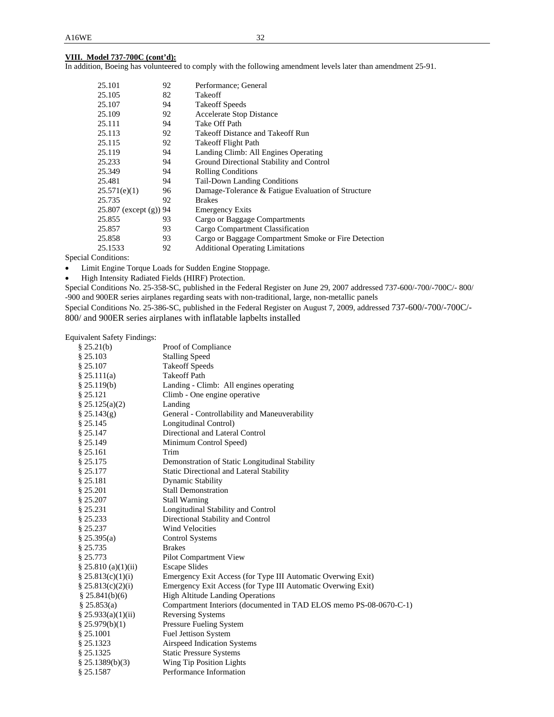### **VIII. Model 737-700C (cont'd):**

In addition, Boeing has volunteered to comply with the following amendment levels later than amendment 25-91.

| 25.101                    | 92 | Performance; General                                 |
|---------------------------|----|------------------------------------------------------|
| 25.105                    | 82 | Takeoff                                              |
| 25.107                    | 94 | <b>Takeoff Speeds</b>                                |
| 25.109                    | 92 | <b>Accelerate Stop Distance</b>                      |
| 25.111                    | 94 | Take Off Path                                        |
| 25.113                    | 92 | Takeoff Distance and Takeoff Run                     |
| 25.115                    | 92 | <b>Takeoff Flight Path</b>                           |
| 25.119                    | 94 | Landing Climb: All Engines Operating                 |
| 25.233                    | 94 | Ground Directional Stability and Control             |
| 25.349                    | 94 | <b>Rolling Conditions</b>                            |
| 25.481                    | 94 | <b>Tail-Down Landing Conditions</b>                  |
| 25.571(e)(1)              | 96 | Damage-Tolerance & Fatigue Evaluation of Structure   |
| 25.735                    | 92 | <b>Brakes</b>                                        |
| 25.807 (except $(g)$ ) 94 |    | <b>Emergency Exits</b>                               |
| 25.855                    | 93 | Cargo or Baggage Compartments                        |
| 25.857                    | 93 | Cargo Compartment Classification                     |
| 25.858                    | 93 | Cargo or Baggage Compartment Smoke or Fire Detection |
| 25.1533                   | 92 | <b>Additional Operating Limitations</b>              |

Special Conditions:

- Limit Engine Torque Loads for Sudden Engine Stoppage.
- $\bullet$  High Intensity Radiated Fields (HIRF) Protection.

Special Conditions No. 25-358-SC, published in the Federal Register on June 29, 2007 addressed 737-600/-700/-700C/- 800/ -900 and 900ER series airplanes regarding seats with non-traditional, large, non-metallic panels

Special Conditions No. 25-386-SC, published in the Federal Register on August 7, 2009, addressed 737-600/-700/-700C/- 800/ and 900ER series airplanes with inflatable lapbelts installed

Equivalent Safety Findings:

| § 25.21(b)             | Proof of Compliance                                                |
|------------------------|--------------------------------------------------------------------|
| \$25.103               | <b>Stalling Speed</b>                                              |
| \$25.107               | <b>Takeoff Speeds</b>                                              |
| § 25.111(a)            | <b>Takeoff Path</b>                                                |
| § 25.119(b)            | Landing - Climb: All engines operating                             |
| § 25.121               | Climb - One engine operative                                       |
| \$25.125(a)(2)         | Landing                                                            |
| $\S 25.143(g)$         | General - Controllability and Maneuverability                      |
| § 25.145               | Longitudinal Control)                                              |
| § 25.147               | Directional and Lateral Control                                    |
| § 25.149               | Minimum Control Speed)                                             |
| § 25.161               | Trim                                                               |
| § 25.175               | Demonstration of Static Longitudinal Stability                     |
| § 25.177               | <b>Static Directional and Lateral Stability</b>                    |
| § 25.181               | <b>Dynamic Stability</b>                                           |
| § 25.201               | <b>Stall Demonstration</b>                                         |
| § 25.207               | <b>Stall Warning</b>                                               |
| § 25.231               | Longitudinal Stability and Control                                 |
| § 25.233               | Directional Stability and Control                                  |
| § 25.237               | <b>Wind Velocities</b>                                             |
| § 25.395(a)            | Control Systems                                                    |
| § 25.735               | <b>Brakes</b>                                                      |
| § 25.773               | Pilot Compartment View                                             |
| $\S 25.810$ (a)(1)(ii) | <b>Escape Slides</b>                                               |
| \$25.813(c)(1)(i)      | Emergency Exit Access (for Type III Automatic Overwing Exit)       |
| \$25.813(c)(2)(i)      | Emergency Exit Access (for Type III Automatic Overwing Exit)       |
| \$25.841(b)(6)         | <b>High Altitude Landing Operations</b>                            |
| § 25.853(a)            | Compartment Interiors (documented in TAD ELOS memo PS-08-0670-C-1) |
| § 25.933(a)(1)(ii)     | <b>Reversing Systems</b>                                           |
| § 25.979(b)(1)         | Pressure Fueling System                                            |
| § 25.1001              | <b>Fuel Jettison System</b>                                        |
| § 25.1323              | Airspeed Indication Systems                                        |
| § 25.1325              | <b>Static Pressure Systems</b>                                     |
| $§$ 25.1389(b)(3)      | Wing Tip Position Lights                                           |
| § 25.1587              | Performance Information                                            |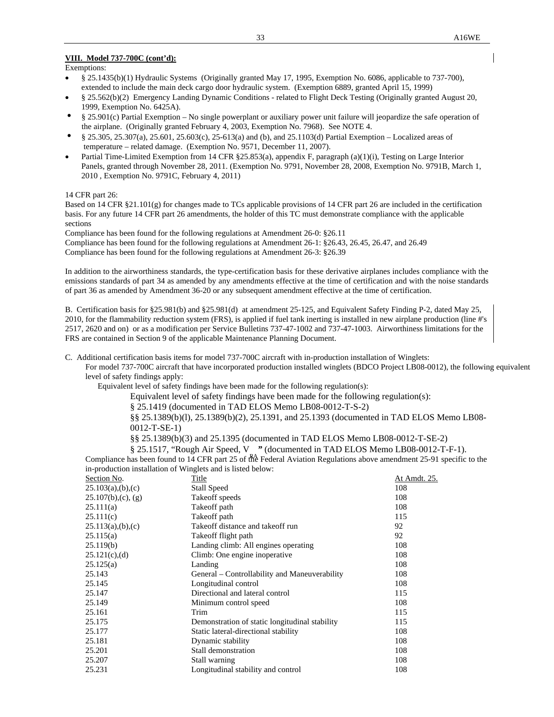#### **VIII. Model 737-700C (cont'd):**

Exemptions:

- § 25.1435(b)(1) Hydraulic Systems (Originally granted May 17, 1995, Exemption No. 6086, applicable to 737-700), extended to include the main deck cargo door hydraulic system. (Exemption 6889, granted April 15, 1999)
- § 25.562(b)(2) Emergency Landing Dynamic Conditions related to Flight Deck Testing (Originally granted August 20, 1999, Exemption No. 6425A).
- § 25.901(c) Partial Exemption No single powerplant or auxiliary power unit failure will jeopardize the safe operation of the airplane. (Originally granted February 4, 2003, Exemption No. 7968). See NOTE 4.
- § 25.305, 25.307(a), 25.601, 25.603(c), 25-613(a) and (b), and 25.1103(d) Partial Exemption Localized areas of temperature – related damage. (Exemption No. 9571, December 11, 2007).
- Partial Time-Limited Exemption from 14 CFR §25.853(a), appendix F, paragraph (a)(1)(i), Testing on Large Interior Panels, granted through November 28, 2011. (Exemption No. 9791, November 28, 2008, Exemption No. 9791B, March 1, 2010 , Exemption No. 9791C, February 4, 2011)

14 CFR part 26:

Based on 14 CFR §21.101(g) for changes made to TCs applicable provisions of 14 CFR part 26 are included in the certification basis. For any future 14 CFR part 26 amendments, the holder of this TC must demonstrate compliance with the applicable sections

Compliance has been found for the following regulations at Amendment 26-0: §26.11

Compliance has been found for the following regulations at Amendment 26-1: §26.43, 26.45, 26.47, and 26.49 Compliance has been found for the following regulations at Amendment 26-3: §26.39

In addition to the airworthiness standards, the type-certification basis for these derivative airplanes includes compliance with the emissions standards of part 34 as amended by any amendments effective at the time of certification and with the noise standards of part 36 as amended by Amendment 36-20 or any subsequent amendment effective at the time of certification.

B. Certification basis for §25.981(b) and §25.981(d) at amendment 25-125, and Equivalent Safety Finding P-2, dated May 25, 2010, for the flammability reduction system (FRS), is applied if fuel tank inerting is installed in new airplane production (line #'s 2517, 2620 and on) or as a modification per Service Bulletins 737-47-1002 and 737-47-1003. Airworthiness limitations for the FRS are contained in Section 9 of the applicable Maintenance Planning Document.

C. Additional certification basis items for model 737-700C aircraft with in-production installation of Winglets:

 For model 737-700C aircraft that have incorporated production installed winglets (BDCO Project LB08-0012), the following equivalent level of safety findings apply:

Equivalent level of safety findings have been made for the following regulation(s):

Equivalent level of safety findings have been made for the following regulation(s):

§ 25.1419 (documented in TAD ELOS Memo LB08-0012-T-S-2)

 §§ 25.1389(b)(l), 25.1389(b)(2), 25.1391, and 25.1393 (documented in TAD ELOS Memo LB08- 0012-T-SE-1)

§§ 25.1389(b)(3) and 25.1395 (documented in TAD ELOS Memo LB08-0012-T-SE-2)

 $\S$  25.1517, "Rough Air Speed, V" (documented in TAD ELOS Memo LB08-0012-T-F-1). Compliance has been found to 14 CFR part 25 of the Federal Aviation Regulations above amendment 25-91 specific to the in-production installation of Winglets and is listed below:

| Section No.            | Title                                          | At Amdt. 25. |
|------------------------|------------------------------------------------|--------------|
| 25.103(a),(b),(c)      | <b>Stall Speed</b>                             | 108          |
| $25.107(b)$ , (c), (g) | Takeoff speeds                                 | 108          |
| 25.111(a)              | Take off path                                  | 108          |
| 25.111(c)              | Take off path                                  | 115          |
| 25.113(a),(b),(c)      | Takeoff distance and takeoff run               | 92           |
| 25.115(a)              | Take off flight path                           | 92           |
| 25.119(b)              | Landing climb: All engines operating           | 108          |
| $25.121(c)$ , (d)      | Climb: One engine inoperative                  | 108          |
| 25.125(a)              | Landing                                        | 108          |
| 25.143                 | General – Controllability and Maneuverability  | 108          |
| 25.145                 | Longitudinal control                           | 108          |
| 25.147                 | Directional and lateral control                | 115          |
| 25.149                 | Minimum control speed                          | 108          |
| 25.161                 | Trim                                           | 115          |
| 25.175                 | Demonstration of static longitudinal stability | 115          |
| 25.177                 | Static lateral-directional stability           | 108          |
| 25.181                 | Dynamic stability                              | 108          |
| 25.201                 | Stall demonstration                            | 108          |
| 25.207                 | Stall warning                                  | 108          |
| 25.231                 | Longitudinal stability and control             | 108          |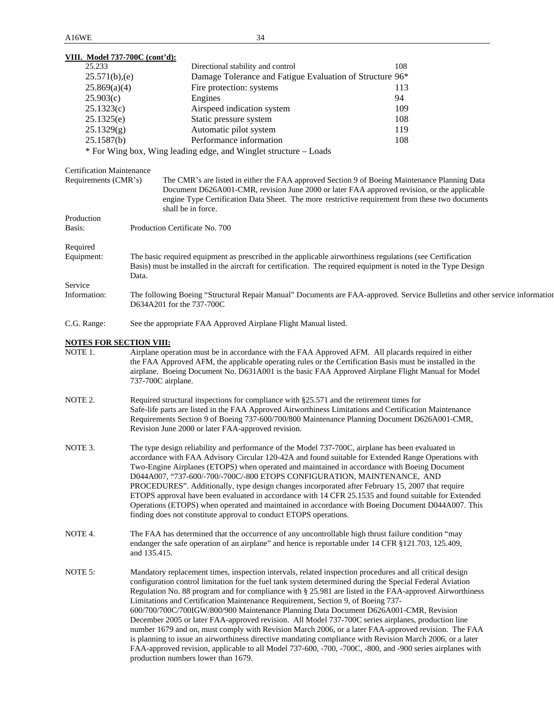| VIII. Model 737-700C (cont'd):   |                                                                                  |                                                                                                                             |  |
|----------------------------------|----------------------------------------------------------------------------------|-----------------------------------------------------------------------------------------------------------------------------|--|
| 25.233                           | Directional stability and control                                                | 108                                                                                                                         |  |
| 25.571(b),(e)                    |                                                                                  | Damage Tolerance and Fatigue Evaluation of Structure 96*                                                                    |  |
| 25.869(a)(4)                     | Fire protection: systems                                                         | 113                                                                                                                         |  |
| 25.903(c)                        | Engines                                                                          | 94                                                                                                                          |  |
| 25.1323(c)                       | Airspeed indication system                                                       | 109                                                                                                                         |  |
| 25.1325(e)                       | Static pressure system                                                           | 108                                                                                                                         |  |
| 25.1329(g)                       | Automatic pilot system                                                           | 119                                                                                                                         |  |
| 25.1587(b)                       | Performance information                                                          | 108                                                                                                                         |  |
|                                  | * For Wing box, Wing leading edge, and Winglet structure – Loads                 |                                                                                                                             |  |
| <b>Certification Maintenance</b> |                                                                                  |                                                                                                                             |  |
| Requirements (CMR's)             |                                                                                  | The CMR's are listed in either the FAA approved Section 9 of Boeing Maintenance Planning Data                               |  |
|                                  |                                                                                  | Document D626A001-CMR, revision June 2000 or later FAA approved revision, or the applicable                                 |  |
|                                  |                                                                                  | engine Type Certification Data Sheet. The more restrictive requirement from these two documents                             |  |
|                                  | shall be in force.                                                               |                                                                                                                             |  |
| Production                       |                                                                                  |                                                                                                                             |  |
| Basis:                           | Production Certificate No. 700                                                   |                                                                                                                             |  |
| Required                         |                                                                                  |                                                                                                                             |  |
| Equipment:                       |                                                                                  | The basic required equipment as prescribed in the applicable airworthiness regulations (see Certification                   |  |
|                                  |                                                                                  | Basis) must be installed in the aircraft for certification. The required equipment is noted in the Type Design              |  |
|                                  | Data.                                                                            |                                                                                                                             |  |
| Service                          |                                                                                  |                                                                                                                             |  |
| Information:                     | D634A201 for the 737-700C                                                        | The following Boeing "Structural Repair Manual" Documents are FAA-approved. Service Bulletins and other service information |  |
| C.G. Range:                      | See the appropriate FAA Approved Airplane Flight Manual listed.                  |                                                                                                                             |  |
| <b>NOTES FOR SECTION VIII:</b>   |                                                                                  |                                                                                                                             |  |
| NOTE 1.                          |                                                                                  | Airplane operation must be in accordance with the FAA Approved AFM. All placards required in either                         |  |
|                                  |                                                                                  | the FAA Approved AFM, the applicable operating rules or the Certification Basis must be installed in the                    |  |
|                                  |                                                                                  | airplane. Boeing Document No. D631A001 is the basic FAA Approved Airplane Flight Manual for Model                           |  |
|                                  | 737-700C airplane.                                                               |                                                                                                                             |  |
| NOTE 2.                          |                                                                                  | Required structural inspections for compliance with §25.571 and the retirement times for                                    |  |
|                                  |                                                                                  | Safe-life parts are listed in the FAA Approved Airworthiness Limitations and Certification Maintenance                      |  |
|                                  |                                                                                  | Requirements Section 9 of Boeing 737-600/700/800 Maintenance Planning Document D626A001-CMR,                                |  |
|                                  | Revision June 2000 or later FAA-approved revision.                               |                                                                                                                             |  |
| NOTE 3.                          |                                                                                  | The type design reliability and performance of the Model 737-700C, airplane has been evaluated in                           |  |
|                                  |                                                                                  | accordance with FAA Advisory Circular 120-42A and found suitable for Extended Range Operations with                         |  |
|                                  |                                                                                  | Two-Engine Airplanes (ETOPS) when operated and maintained in accordance with Boeing Document                                |  |
|                                  |                                                                                  | D044A007, "737-600/-700/-700C/-800 ETOPS CONFIGURATION, MAINTENANCE, AND                                                    |  |
|                                  |                                                                                  | PROCEDURES". Additionally, type design changes incorporated after February 15, 2007 that require                            |  |
|                                  |                                                                                  | ETOPS approval have been evaluated in accordance with 14 CFR 25.1535 and found suitable for Extended                        |  |
|                                  |                                                                                  | Operations (ETOPS) when operated and maintained in accordance with Boeing Document D044A007. This                           |  |
|                                  | finding does not constitute approval to conduct ETOPS operations.                |                                                                                                                             |  |
| NOTE 4.                          |                                                                                  | The FAA has determined that the occurrence of any uncontrollable high thrust failure condition "may                         |  |
|                                  |                                                                                  | endanger the safe operation of an airplane" and hence is reportable under 14 CFR §121.703, 125.409,                         |  |
|                                  | and 135.415.                                                                     |                                                                                                                             |  |
|                                  |                                                                                  |                                                                                                                             |  |
| NOTE 5:                          |                                                                                  | Mandatory replacement times, inspection intervals, related inspection procedures and all critical design                    |  |
|                                  |                                                                                  | configuration control limitation for the fuel tank system determined during the Special Federal Aviation                    |  |
|                                  |                                                                                  | Regulation No. 88 program and for compliance with § 25.981 are listed in the FAA-approved Airworthiness                     |  |
|                                  | Limitations and Certification Maintenance Requirement, Section 9, of Boeing 737- |                                                                                                                             |  |
|                                  |                                                                                  | 600/700/700C/700IGW/800/900 Maintenance Planning Data Document D626A001-CMR, Revision                                       |  |
|                                  |                                                                                  | December 2005 or later FAA-approved revision. All Model 737-700C series airplanes, production line                          |  |
|                                  |                                                                                  | number 1679 and on, must comply with Revision March 2006, or a later FAA-approved revision. The FAA                         |  |
|                                  |                                                                                  | is planning to issue an airworthiness directive mandating compliance with Revision March 2006, or a later                   |  |
|                                  |                                                                                  | FAA-approved revision, applicable to all Model 737-600, -700, -700C, -800, and -900 series airplanes with                   |  |
|                                  | production numbers lower than 1679.                                              |                                                                                                                             |  |
|                                  |                                                                                  |                                                                                                                             |  |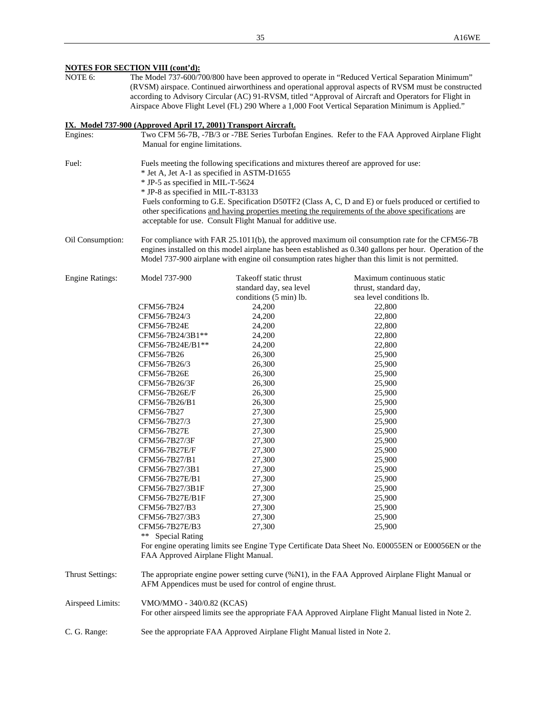|                         |                                                                                                                                            |                                                                                                                                                              | according to Advisory Circular (AC) 91-RVSM, titled "Approval of Aircraft and Operators for Flight in<br>Airspace Above Flight Level (FL) 290 Where a 1,000 Foot Vertical Separation Minimum is Applied." |  |
|-------------------------|--------------------------------------------------------------------------------------------------------------------------------------------|--------------------------------------------------------------------------------------------------------------------------------------------------------------|-----------------------------------------------------------------------------------------------------------------------------------------------------------------------------------------------------------|--|
|                         | IX. Model 737-900 (Approved April 17, 2001) Transport Aircraft.                                                                            |                                                                                                                                                              |                                                                                                                                                                                                           |  |
| Engines:                | Manual for engine limitations.                                                                                                             |                                                                                                                                                              | Two CFM 56-7B, -7B/3 or -7BE Series Turbofan Engines. Refer to the FAA Approved Airplane Flight                                                                                                           |  |
|                         |                                                                                                                                            |                                                                                                                                                              |                                                                                                                                                                                                           |  |
| Fuel:                   | * Jet A, Jet A-1 as specified in ASTM-D1655                                                                                                | Fuels meeting the following specifications and mixtures thereof are approved for use:                                                                        |                                                                                                                                                                                                           |  |
|                         | * JP-5 as specified in MIL-T-5624                                                                                                          |                                                                                                                                                              |                                                                                                                                                                                                           |  |
|                         | * JP-8 as specified in MIL-T-83133                                                                                                         |                                                                                                                                                              |                                                                                                                                                                                                           |  |
|                         |                                                                                                                                            |                                                                                                                                                              | Fuels conforming to G.E. Specification D50TF2 (Class A, C, D and E) or fuels produced or certified to                                                                                                     |  |
|                         |                                                                                                                                            |                                                                                                                                                              | other specifications and having properties meeting the requirements of the above specifications are                                                                                                       |  |
|                         |                                                                                                                                            | acceptable for use. Consult Flight Manual for additive use.                                                                                                  |                                                                                                                                                                                                           |  |
| Oil Consumption:        |                                                                                                                                            |                                                                                                                                                              | For compliance with FAR 25.1011(b), the approved maximum oil consumption rate for the CFM56-7B                                                                                                            |  |
|                         |                                                                                                                                            |                                                                                                                                                              | engines installed on this model airplane has been established as 0.340 gallons per hour. Operation of the                                                                                                 |  |
|                         |                                                                                                                                            |                                                                                                                                                              | Model 737-900 airplane with engine oil consumption rates higher than this limit is not permitted.                                                                                                         |  |
| <b>Engine Ratings:</b>  | Model 737-900                                                                                                                              | Takeoff static thrust                                                                                                                                        | Maximum continuous static                                                                                                                                                                                 |  |
|                         |                                                                                                                                            | standard day, sea level                                                                                                                                      | thrust, standard day,                                                                                                                                                                                     |  |
|                         |                                                                                                                                            | conditions (5 min) lb.                                                                                                                                       | sea level conditions lb.                                                                                                                                                                                  |  |
|                         | CFM56-7B24                                                                                                                                 | 24,200                                                                                                                                                       | 22,800                                                                                                                                                                                                    |  |
|                         | CFM56-7B24/3                                                                                                                               | 24,200                                                                                                                                                       | 22,800                                                                                                                                                                                                    |  |
|                         | CFM56-7B24E                                                                                                                                | 24,200                                                                                                                                                       | 22,800                                                                                                                                                                                                    |  |
|                         | CFM56-7B24/3B1**                                                                                                                           | 24,200                                                                                                                                                       | 22,800                                                                                                                                                                                                    |  |
|                         | CFM56-7B24E/B1**                                                                                                                           | 24,200                                                                                                                                                       | 22,800                                                                                                                                                                                                    |  |
|                         | CFM56-7B26                                                                                                                                 | 26,300                                                                                                                                                       | 25,900                                                                                                                                                                                                    |  |
|                         | CFM56-7B26/3                                                                                                                               | 26,300                                                                                                                                                       | 25,900                                                                                                                                                                                                    |  |
|                         | CFM56-7B26E                                                                                                                                | 26,300                                                                                                                                                       | 25,900                                                                                                                                                                                                    |  |
|                         | CFM56-7B26/3F                                                                                                                              | 26,300                                                                                                                                                       | 25,900                                                                                                                                                                                                    |  |
|                         | CFM56-7B26E/F                                                                                                                              | 26,300                                                                                                                                                       | 25,900                                                                                                                                                                                                    |  |
|                         | CFM56-7B26/B1                                                                                                                              | 26,300                                                                                                                                                       | 25,900                                                                                                                                                                                                    |  |
|                         | CFM56-7B27                                                                                                                                 | 27,300                                                                                                                                                       | 25,900                                                                                                                                                                                                    |  |
|                         | CFM56-7B27/3                                                                                                                               | 27,300                                                                                                                                                       | 25,900                                                                                                                                                                                                    |  |
|                         | CFM56-7B27E                                                                                                                                | 27,300                                                                                                                                                       | 25,900                                                                                                                                                                                                    |  |
|                         | CFM56-7B27/3F                                                                                                                              | 27,300                                                                                                                                                       | 25,900                                                                                                                                                                                                    |  |
|                         | CFM56-7B27E/F                                                                                                                              | 27,300                                                                                                                                                       | 25,900                                                                                                                                                                                                    |  |
|                         | CFM56-7B27/B1                                                                                                                              | 27,300                                                                                                                                                       | 25,900                                                                                                                                                                                                    |  |
|                         | CFM56-7B27/3B1                                                                                                                             | 27,300                                                                                                                                                       | 25,900                                                                                                                                                                                                    |  |
|                         | CFM56-7B27E/B1                                                                                                                             | 27,300                                                                                                                                                       | 25,900                                                                                                                                                                                                    |  |
|                         | CFM56-7B27/3B1F                                                                                                                            | 27,300                                                                                                                                                       | 25,900                                                                                                                                                                                                    |  |
|                         | CFM56-7B27E/B1F                                                                                                                            | 27,300                                                                                                                                                       | 25,900                                                                                                                                                                                                    |  |
|                         | CFM56-7B27/B3                                                                                                                              | 27,300                                                                                                                                                       | 25,900                                                                                                                                                                                                    |  |
|                         | CFM56-7B27/3B3<br>CFM56-7B27E/B3                                                                                                           | 27,300                                                                                                                                                       | 25,900                                                                                                                                                                                                    |  |
|                         | <b>Special Rating</b><br>**                                                                                                                | 27,300                                                                                                                                                       | 25,900                                                                                                                                                                                                    |  |
|                         | For engine operating limits see Engine Type Certificate Data Sheet No. E00055EN or E00056EN or the<br>FAA Approved Airplane Flight Manual. |                                                                                                                                                              |                                                                                                                                                                                                           |  |
| <b>Thrust Settings:</b> |                                                                                                                                            | The appropriate engine power setting curve (%N1), in the FAA Approved Airplane Flight Manual or<br>AFM Appendices must be used for control of engine thrust. |                                                                                                                                                                                                           |  |
| Airspeed Limits:        | VMO/MMO - 340/0.82 (KCAS)                                                                                                                  |                                                                                                                                                              | For other airspeed limits see the appropriate FAA Approved Airplane Flight Manual listed in Note 2.                                                                                                       |  |
| C. G. Range:            |                                                                                                                                            | See the appropriate FAA Approved Airplane Flight Manual listed in Note 2.                                                                                    |                                                                                                                                                                                                           |  |

#### **NOTES FOR SECTION VIII (cont'd):**

NOTE 6: The Model 737-600/700/800 have been approved to operate in "Reduced Vertical Separation Minimum" (RVSM) airspace. Continued airworthiness and operational approval aspects of RVSM must be constructed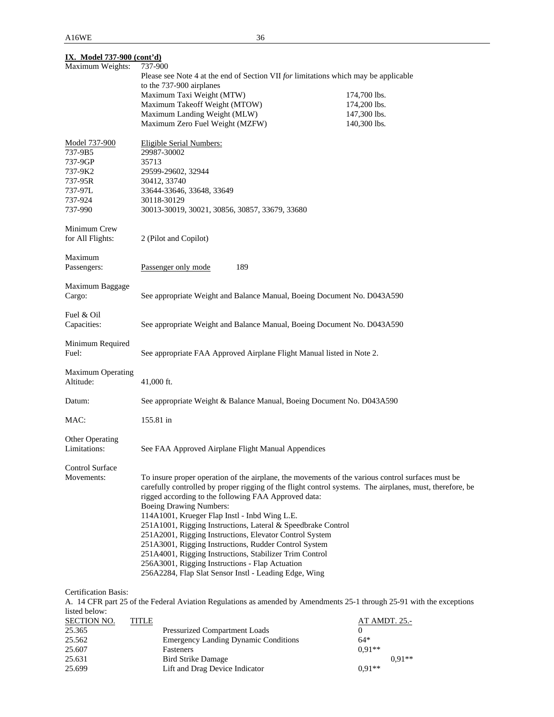| <b>IX.</b> Model 737-900 (cont'd)     |                                                                                                                  |              |  |
|---------------------------------------|------------------------------------------------------------------------------------------------------------------|--------------|--|
| Maximum Weights:                      | 737-900<br>Please see Note 4 at the end of Section VII for limitations which may be applicable                   |              |  |
|                                       | to the 737-900 airplanes                                                                                         |              |  |
|                                       | Maximum Taxi Weight (MTW)                                                                                        | 174,700 lbs. |  |
|                                       | Maximum Takeoff Weight (MTOW)                                                                                    | 174,200 lbs. |  |
|                                       | Maximum Landing Weight (MLW)                                                                                     | 147,300 lbs. |  |
|                                       | Maximum Zero Fuel Weight (MZFW)                                                                                  | 140,300 lbs. |  |
| Model 737-900                         | <b>Eligible Serial Numbers:</b>                                                                                  |              |  |
| 737-9B5                               | 29987-30002                                                                                                      |              |  |
| 737-9GP                               | 35713                                                                                                            |              |  |
| 737-9K2                               | 29599-29602, 32944                                                                                               |              |  |
| 737-95R                               | 30412, 33740                                                                                                     |              |  |
| 737-97L<br>737-924                    | 33644-33646, 33648, 33649                                                                                        |              |  |
| 737-990                               | 30118-30129                                                                                                      |              |  |
|                                       | 30013-30019, 30021, 30856, 30857, 33679, 33680                                                                   |              |  |
| Minimum Crew                          |                                                                                                                  |              |  |
| for All Flights:                      | 2 (Pilot and Copilot)                                                                                            |              |  |
| Maximum                               |                                                                                                                  |              |  |
| Passengers:                           | 189<br>Passenger only mode                                                                                       |              |  |
| Maximum Baggage                       |                                                                                                                  |              |  |
| Cargo:                                | See appropriate Weight and Balance Manual, Boeing Document No. D043A590                                          |              |  |
| Fuel & Oil                            |                                                                                                                  |              |  |
| Capacities:                           | See appropriate Weight and Balance Manual, Boeing Document No. D043A590                                          |              |  |
| Minimum Required                      |                                                                                                                  |              |  |
| Fuel:                                 | See appropriate FAA Approved Airplane Flight Manual listed in Note 2.                                            |              |  |
|                                       |                                                                                                                  |              |  |
| <b>Maximum Operating</b><br>Altitude: | 41,000 ft.                                                                                                       |              |  |
|                                       |                                                                                                                  |              |  |
| Datum:                                | See appropriate Weight & Balance Manual, Boeing Document No. D043A590                                            |              |  |
| MAC:                                  | 155.81 in                                                                                                        |              |  |
| Other Operating                       |                                                                                                                  |              |  |
| Limitations:                          | See FAA Approved Airplane Flight Manual Appendices                                                               |              |  |
| <b>Control Surface</b>                |                                                                                                                  |              |  |
| Movements:                            | To insure proper operation of the airplane, the movements of the various control surfaces must be                |              |  |
|                                       | carefully controlled by proper rigging of the flight control systems. The airplanes, must, therefore, be         |              |  |
|                                       | rigged according to the following FAA Approved data:                                                             |              |  |
|                                       | Boeing Drawing Numbers:                                                                                          |              |  |
|                                       | 114A1001, Krueger Flap Instl - Inbd Wing L.E.                                                                    |              |  |
|                                       | 251A1001, Rigging Instructions, Lateral & Speedbrake Control                                                     |              |  |
|                                       | 251A2001, Rigging Instructions, Elevator Control System<br>251A3001, Rigging Instructions, Rudder Control System |              |  |
|                                       | 251A4001, Rigging Instructions, Stabilizer Trim Control                                                          |              |  |
|                                       | 256A3001, Rigging Instructions - Flap Actuation                                                                  |              |  |
|                                       | 256A2284, Flap Slat Sensor Instl - Leading Edge, Wing                                                            |              |  |
|                                       |                                                                                                                  |              |  |

# Certification Basis:

A. 14 CFR part 25 of the Federal Aviation Regulations as amended by Amendments 25-1 through 25-91 with the exceptions listed below:

| <b>SECTION NO.</b> | TITLE |                                             | <b>AT AMDT. 25.-</b> |          |
|--------------------|-------|---------------------------------------------|----------------------|----------|
| 25.365             |       | <b>Pressurized Compartment Loads</b>        |                      |          |
| 25.562             |       | <b>Emergency Landing Dynamic Conditions</b> | $64*$                |          |
| 25.607             |       | Fasteners                                   | $0.91**$             |          |
| 25.631             |       | <b>Bird Strike Damage</b>                   |                      | $0.91**$ |
| 25.699             |       | Lift and Drag Device Indicator              | $0.91**$             |          |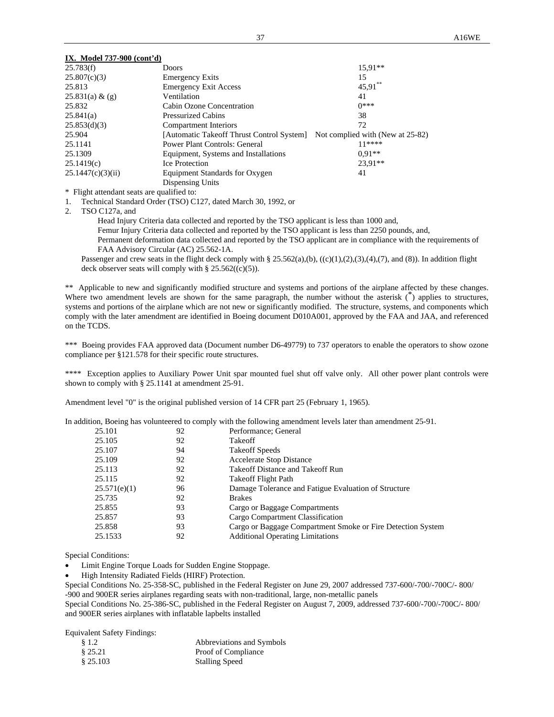| 25.783(f)         | Doors                                                                      | $15.91**$ |
|-------------------|----------------------------------------------------------------------------|-----------|
| 25.807(c)(3)      | <b>Emergency Exits</b>                                                     | 15        |
| 25.813            | <b>Emergency Exit Access</b>                                               | 45,91     |
| 25.831(a) & (g)   | Ventilation                                                                | 41        |
| 25.832            | Cabin Ozone Concentration                                                  | $0***$    |
| 25.841(a)         | <b>Pressurized Cabins</b>                                                  | 38        |
| 25.853(d)(3)      | Compartment Interiors                                                      | 72        |
| 25.904            | [Automatic Takeoff Thrust Control System] Not complied with (New at 25-82) |           |
| 25.1141           | Power Plant Controls: General                                              | $11****$  |
| 25.1309           | Equipment, Systems and Installations                                       | $0.91**$  |
| 25.1419(c)        | <b>Ice Protection</b>                                                      | $23.91**$ |
| 25.1447(c)(3)(ii) | Equipment Standards for Oxygen                                             | 41        |
|                   | Dispensing Units                                                           |           |
|                   |                                                                            |           |

\* Flight attendant seats are qualified to:

1. Technical Standard Order (TSO) C127, dated March 30, 1992, or

2. TSO C127a, and

 Head Injury Criteria data collected and reported by the TSO applicant is less than 1000 and, Femur Injury Criteria data collected and reported by the TSO applicant is less than 2250 pounds, and, Permanent deformation data collected and reported by the TSO applicant are in compliance with the requirements of FAA Advisory Circular (AC) 25.562-1A.

Passenger and crew seats in the flight deck comply with § 25.562(a),(b), ((c)(1),(2),(3),(4),(7), and (8)). In addition flight deck observer seats will comply with  $\S 25.562((c)(5))$ .

\*\* Applicable to new and significantly modified structure and systems and portions of the airplane affected by these changes. Where two amendment levels are shown for the same paragraph, the number without the asterisk  $\binom{*}{k}$  applies to structures, systems and portions of the airplane which are not new or significantly modified. The structure, systems, and components which comply with the later amendment are identified in Boeing document D010A001, approved by the FAA and JAA, and referenced on the TCDS.

\*\*\* Boeing provides FAA approved data (Document number D6-49779) to 737 operators to enable the operators to show ozone compliance per §121.578 for their specific route structures.

\*\*\*\* Exception applies to Auxiliary Power Unit spar mounted fuel shut off valve only. All other power plant controls were shown to comply with § 25.1141 at amendment 25-91.

Amendment level "0" is the original published version of 14 CFR part 25 (February 1, 1965).

In addition, Boeing has volunteered to comply with the following amendment levels later than amendment 25-91.

| 25.101       | 92 | Performance: General                                        |
|--------------|----|-------------------------------------------------------------|
| 25.105       | 92 | Takeoff                                                     |
| 25.107       | 94 | <b>Takeoff Speeds</b>                                       |
| 25.109       | 92 | Accelerate Stop Distance                                    |
| 25.113       | 92 | Takeoff Distance and Takeoff Run                            |
| 25.115       | 92 | Takeoff Flight Path                                         |
| 25.571(e)(1) | 96 | Damage Tolerance and Fatigue Evaluation of Structure        |
| 25.735       | 92 | <b>Brakes</b>                                               |
| 25.855       | 93 | Cargo or Baggage Compartments                               |
| 25.857       | 93 | Cargo Compartment Classification                            |
| 25.858       | 93 | Cargo or Baggage Compartment Smoke or Fire Detection System |
| 25.1533      | 92 | <b>Additional Operating Limitations</b>                     |
|              |    |                                                             |

Special Conditions:

Limit Engine Torque Loads for Sudden Engine Stoppage.

High Intensity Radiated Fields (HIRF) Protection.

Special Conditions No. 25-358-SC, published in the Federal Register on June 29, 2007 addressed 737-600/-700/-700C/- 800/ -900 and 900ER series airplanes regarding seats with non-traditional, large, non-metallic panels

Special Conditions No. 25-386-SC, published in the Federal Register on August 7, 2009, addressed 737-600/-700/-700C/- 800/ and 900ER series airplanes with inflatable lapbelts installed

Equivalent Safety Findings:

| \$1.2    | Abbreviations and Symbols |
|----------|---------------------------|
| \$25.21  | Proof of Compliance       |
| \$25.103 | <b>Stalling Speed</b>     |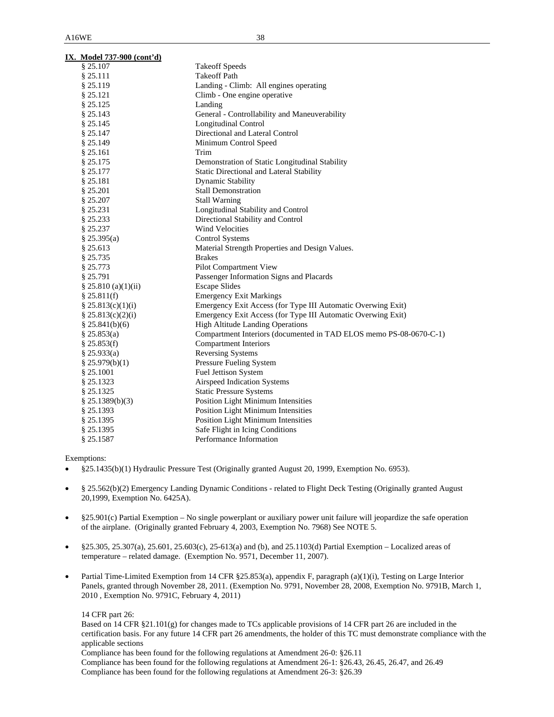| IX. Model 737-900 (cont'd) |                                                                    |
|----------------------------|--------------------------------------------------------------------|
| \$25.107                   | <b>Takeoff Speeds</b>                                              |
| \$25.111                   | <b>Takeoff Path</b>                                                |
| § 25.119                   | Landing - Climb: All engines operating                             |
| § 25.121                   | Climb - One engine operative                                       |
| § 25.125                   | Landing                                                            |
| § 25.143                   | General - Controllability and Maneuverability                      |
| § 25.145                   | <b>Longitudinal Control</b>                                        |
| § 25.147                   | Directional and Lateral Control                                    |
| § 25.149                   | Minimum Control Speed                                              |
| § 25.161                   | Trim                                                               |
| § 25.175                   | Demonstration of Static Longitudinal Stability                     |
| § 25.177                   | Static Directional and Lateral Stability                           |
| § 25.181                   | <b>Dynamic Stability</b>                                           |
| § 25.201                   | <b>Stall Demonstration</b>                                         |
| § 25.207                   | <b>Stall Warning</b>                                               |
| § 25.231                   | Longitudinal Stability and Control                                 |
| § 25.233                   | Directional Stability and Control                                  |
| § 25.237                   | <b>Wind Velocities</b>                                             |
| § 25.395(a)                | <b>Control Systems</b>                                             |
| § 25.613                   | Material Strength Properties and Design Values.                    |
| § 25.735                   | <b>Brakes</b>                                                      |
| § 25.773                   | Pilot Compartment View                                             |
| § 25.791                   | Passenger Information Signs and Placards                           |
| § 25.810 (a)(1)(ii)        | <b>Escape Slides</b>                                               |
| § 25.811(f)                | <b>Emergency Exit Markings</b>                                     |
| § 25.813(c)(1)(i)          | Emergency Exit Access (for Type III Automatic Overwing Exit)       |
| \$25.813(c)(2)(i)          | Emergency Exit Access (for Type III Automatic Overwing Exit)       |
| \$25.841(b)(6)             | <b>High Altitude Landing Operations</b>                            |
| § 25.853(a)                | Compartment Interiors (documented in TAD ELOS memo PS-08-0670-C-1) |
| § 25.853(f)                | <b>Compartment Interiors</b>                                       |
| § 25.933(a)                | <b>Reversing Systems</b>                                           |
| § $25.979(b)(1)$           | Pressure Fueling System                                            |
| § 25.1001                  | Fuel Jettison System                                               |
| § 25.1323                  | Airspeed Indication Systems                                        |
| § 25.1325                  | <b>Static Pressure Systems</b>                                     |
| $§$ 25.1389(b)(3)          | Position Light Minimum Intensities                                 |
| § 25.1393                  | Position Light Minimum Intensities                                 |
| § 25.1395                  | Position Light Minimum Intensities                                 |
| § 25.1395                  | Safe Flight in Icing Conditions                                    |
| § 25.1587                  | Performance Information                                            |

Exemptions:

- §25.1435(b)(1) Hydraulic Pressure Test (Originally granted August 20, 1999, Exemption No. 6953).
- § 25.562(b)(2) Emergency Landing Dynamic Conditions related to Flight Deck Testing (Originally granted August 20,1999, Exemption No. 6425A).
- §25.901(c) Partial Exemption No single powerplant or auxiliary power unit failure will jeopardize the safe operation of the airplane. (Originally granted February 4, 2003, Exemption No. 7968) See NOTE 5.
- §25.305, 25.307(a), 25.601, 25.603(c), 25-613(a) and (b), and 25.1103(d) Partial Exemption Localized areas of temperature – related damage. (Exemption No. 9571, December 11, 2007).
- Partial Time-Limited Exemption from 14 CFR §25.853(a), appendix F, paragraph (a)(1)(i), Testing on Large Interior Panels, granted through November 28, 2011. (Exemption No. 9791, November 28, 2008, Exemption No. 9791B, March 1, 2010 , Exemption No. 9791C, February 4, 2011)

14 CFR part 26:

 Based on 14 CFR §21.101(g) for changes made to TCs applicable provisions of 14 CFR part 26 are included in the certification basis. For any future 14 CFR part 26 amendments, the holder of this TC must demonstrate compliance with the applicable sections

Compliance has been found for the following regulations at Amendment 26-0: §26.11

 Compliance has been found for the following regulations at Amendment 26-1: §26.43, 26.45, 26.47, and 26.49 Compliance has been found for the following regulations at Amendment 26-3: §26.39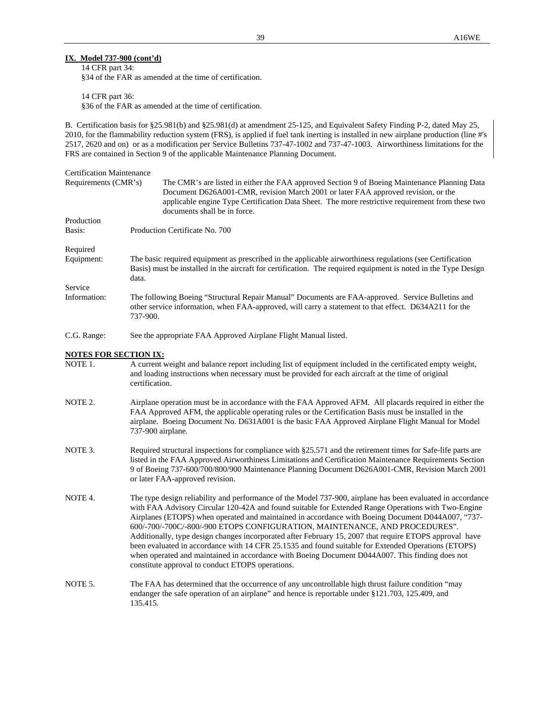### **IX. Model 737-900 (cont'd)**

 14 CFR part 34: §34 of the FAR as amended at the time of certification.

 14 CFR part 36: §36 of the FAR as amended at the time of certification.

B. Certification basis for §25.981(b) and §25.981(d) at amendment 25-125, and Equivalent Safety Finding P-2, dated May 25, 2010, for the flammability reduction system (FRS), is applied if fuel tank inerting is installed in new airplane production (line #'s 2517, 2620 and on) or as a modification per Service Bulletins 737-47-1002 and 737-47-1003. Airworthiness limitations for the FRS are contained in Section 9 of the applicable Maintenance Planning Document.

# Certification Maintenance Requirements (CMR's) The CMR's are listed in either the FAA approved Section 9 of Boeing Maintenance Planning Data Document D626A001-CMR, revision March 2001 or later FAA approved revision, or the applicable engine Type Certification Data Sheet. The more restrictive requirement from these two documents shall be in force. Production Basis: Production Certificate No. 700 Required Equipment: The basic required equipment as prescribed in the applicable airworthiness regulations (see Certification Basis) must be installed in the aircraft for certification. The required equipment is noted in the Type Design data. Service Information: The following Boeing "Structural Repair Manual" Documents are FAA-approved. Service Bulletins and other service information, when FAA-approved, will carry a statement to that effect. D634A211 for the 737-900. C.G. Range: See the appropriate FAA Approved Airplane Flight Manual listed. **NOTES FOR SECTION IX:** NOTE 1. A current weight and balance report including list of equipment included in the certificated empty weight, and loading instructions when necessary must be provided for each aircraft at the time of original certification. NOTE 2. Airplane operation must be in accordance with the FAA Approved AFM. All placards required in either the FAA Approved AFM, the applicable operating rules or the Certification Basis must be installed in the airplane. Boeing Document No. D631A001 is the basic FAA Approved Airplane Flight Manual for Model 737-900 airplane*.*  NOTE 3. Required structural inspections for compliance with §25.571 and the retirement times for Safe-life parts are listed in the FAA Approved Airworthiness Limitations and Certification Maintenance Requirements Section 9 of Boeing 737-600/700/800/900 Maintenance Planning Document D626A001-CMR, Revision March 2001 or later FAA-approved revision. NOTE 4. The type design reliability and performance of the Model 737-900, airplane has been evaluated in accordance with FAA Advisory Circular 120-42A and found suitable for Extended Range Operations with Two-Engine Airplanes (ETOPS) when operated and maintained in accordance with Boeing Document D044A007, "737- 600/-700/-700C/-800/-900 ETOPS CONFIGURATION, MAINTENANCE, AND PROCEDURES". Additionally, type design changes incorporated after February 15, 2007 that require ETOPS approval have been evaluated in accordance with 14 CFR 25.1535 and found suitable for Extended Operations (ETOPS) when operated and maintained in accordance with Boeing Document D044A007. This finding does not constitute approval to conduct ETOPS operations.

NOTE 5. The FAA has determined that the occurrence of any uncontrollable high thrust failure condition "may endanger the safe operation of an airplane" and hence is reportable under §121.703, 125.409, and 135.415.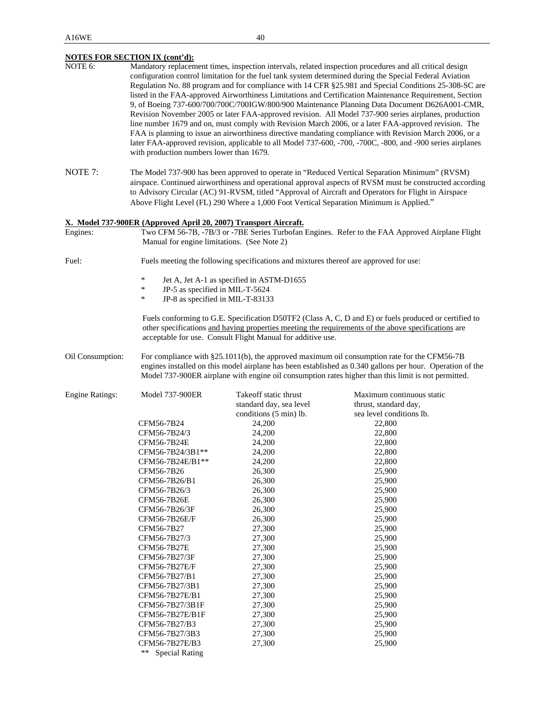|                        | <b>NOTES FOR SECTION IX (cont'd):</b>                                                                                                                                                                                                                                                                              |                                                                                         |                                                                                                                                                                                                                                                                                                                                                                                                                                                                                                                                                                                                                                                                                                                                                                                                                                                                                                                                                                                     |
|------------------------|--------------------------------------------------------------------------------------------------------------------------------------------------------------------------------------------------------------------------------------------------------------------------------------------------------------------|-----------------------------------------------------------------------------------------|-------------------------------------------------------------------------------------------------------------------------------------------------------------------------------------------------------------------------------------------------------------------------------------------------------------------------------------------------------------------------------------------------------------------------------------------------------------------------------------------------------------------------------------------------------------------------------------------------------------------------------------------------------------------------------------------------------------------------------------------------------------------------------------------------------------------------------------------------------------------------------------------------------------------------------------------------------------------------------------|
| NOTE 6:                | with production numbers lower than 1679.                                                                                                                                                                                                                                                                           |                                                                                         | Mandatory replacement times, inspection intervals, related inspection procedures and all critical design<br>configuration control limitation for the fuel tank system determined during the Special Federal Aviation<br>Regulation No. 88 program and for compliance with 14 CFR §25.981 and Special Conditions 25-308-SC are<br>listed in the FAA-approved Airworthiness Limitations and Certification Maintenance Requirement, Section<br>9, of Boeing 737-600/700/700C/700IGW/800/900 Maintenance Planning Data Document D626A001-CMR,<br>Revision November 2005 or later FAA-approved revision. All Model 737-900 series airplanes, production<br>line number 1679 and on, must comply with Revision March 2006, or a later FAA-approved revision. The<br>FAA is planning to issue an airworthiness directive mandating compliance with Revision March 2006, or a<br>later FAA-approved revision, applicable to all Model 737-600, -700, -700C, -800, and -900 series airplanes |
| NOTE 7:                | The Model 737-900 has been approved to operate in "Reduced Vertical Separation Minimum" (RVSM)<br>airspace. Continued airworthiness and operational approval aspects of RVSM must be constructed according<br>to Advisory Circular (AC) 91-RVSM, titled "Approval of Aircraft and Operators for Flight in Airspace |                                                                                         |                                                                                                                                                                                                                                                                                                                                                                                                                                                                                                                                                                                                                                                                                                                                                                                                                                                                                                                                                                                     |
|                        |                                                                                                                                                                                                                                                                                                                    | Above Flight Level (FL) 290 Where a 1,000 Foot Vertical Separation Minimum is Applied." |                                                                                                                                                                                                                                                                                                                                                                                                                                                                                                                                                                                                                                                                                                                                                                                                                                                                                                                                                                                     |
|                        | X. Model 737-900ER (Approved April 20, 2007) Transport Aircraft.                                                                                                                                                                                                                                                   |                                                                                         |                                                                                                                                                                                                                                                                                                                                                                                                                                                                                                                                                                                                                                                                                                                                                                                                                                                                                                                                                                                     |
| Engines:               | Manual for engine limitations. (See Note 2)                                                                                                                                                                                                                                                                        |                                                                                         | Two CFM 56-7B, -7B/3 or -7BE Series Turbofan Engines. Refer to the FAA Approved Airplane Flight                                                                                                                                                                                                                                                                                                                                                                                                                                                                                                                                                                                                                                                                                                                                                                                                                                                                                     |
| Fuel:                  |                                                                                                                                                                                                                                                                                                                    | Fuels meeting the following specifications and mixtures thereof are approved for use:   |                                                                                                                                                                                                                                                                                                                                                                                                                                                                                                                                                                                                                                                                                                                                                                                                                                                                                                                                                                                     |
|                        | $\ast$                                                                                                                                                                                                                                                                                                             | Jet A, Jet A-1 as specified in ASTM-D1655                                               |                                                                                                                                                                                                                                                                                                                                                                                                                                                                                                                                                                                                                                                                                                                                                                                                                                                                                                                                                                                     |
|                        | $\ast$<br>JP-5 as specified in MIL-T-5624                                                                                                                                                                                                                                                                          |                                                                                         |                                                                                                                                                                                                                                                                                                                                                                                                                                                                                                                                                                                                                                                                                                                                                                                                                                                                                                                                                                                     |
|                        | $\ast$<br>JP-8 as specified in MIL-T-83133                                                                                                                                                                                                                                                                         |                                                                                         |                                                                                                                                                                                                                                                                                                                                                                                                                                                                                                                                                                                                                                                                                                                                                                                                                                                                                                                                                                                     |
|                        |                                                                                                                                                                                                                                                                                                                    | acceptable for use. Consult Flight Manual for additive use.                             | Fuels conforming to G.E. Specification D50TF2 (Class A, C, D and E) or fuels produced or certified to<br>other specifications and having properties meeting the requirements of the above specifications are                                                                                                                                                                                                                                                                                                                                                                                                                                                                                                                                                                                                                                                                                                                                                                        |
| Oil Consumption:       |                                                                                                                                                                                                                                                                                                                    |                                                                                         | For compliance with §25.1011(b), the approved maximum oil consumption rate for the CFM56-7B<br>engines installed on this model airplane has been established as 0.340 gallons per hour. Operation of the<br>Model 737-900ER airplane with engine oil consumption rates higher than this limit is not permitted.                                                                                                                                                                                                                                                                                                                                                                                                                                                                                                                                                                                                                                                                     |
| <b>Engine Ratings:</b> | <b>Model 737-900ER</b>                                                                                                                                                                                                                                                                                             | Takeoff static thrust                                                                   | Maximum continuous static                                                                                                                                                                                                                                                                                                                                                                                                                                                                                                                                                                                                                                                                                                                                                                                                                                                                                                                                                           |
|                        |                                                                                                                                                                                                                                                                                                                    | standard day, sea level                                                                 | thrust, standard day,                                                                                                                                                                                                                                                                                                                                                                                                                                                                                                                                                                                                                                                                                                                                                                                                                                                                                                                                                               |
|                        | CFM56-7B24                                                                                                                                                                                                                                                                                                         | conditions (5 min) lb.<br>24,200                                                        | sea level conditions lb.<br>22,800                                                                                                                                                                                                                                                                                                                                                                                                                                                                                                                                                                                                                                                                                                                                                                                                                                                                                                                                                  |
|                        | CFM56-7B24/3                                                                                                                                                                                                                                                                                                       | 24,200                                                                                  | 22,800                                                                                                                                                                                                                                                                                                                                                                                                                                                                                                                                                                                                                                                                                                                                                                                                                                                                                                                                                                              |
|                        | CFM56-7B24E                                                                                                                                                                                                                                                                                                        | 24,200                                                                                  | 22,800                                                                                                                                                                                                                                                                                                                                                                                                                                                                                                                                                                                                                                                                                                                                                                                                                                                                                                                                                                              |
|                        | CFM56-7B24/3B1**                                                                                                                                                                                                                                                                                                   | 24,200                                                                                  | 22,800                                                                                                                                                                                                                                                                                                                                                                                                                                                                                                                                                                                                                                                                                                                                                                                                                                                                                                                                                                              |
|                        | CFM56-7B24E/B1**                                                                                                                                                                                                                                                                                                   | 24,200                                                                                  | 22,800                                                                                                                                                                                                                                                                                                                                                                                                                                                                                                                                                                                                                                                                                                                                                                                                                                                                                                                                                                              |
|                        | CFM56-7B26                                                                                                                                                                                                                                                                                                         | 26,300                                                                                  | 25,900                                                                                                                                                                                                                                                                                                                                                                                                                                                                                                                                                                                                                                                                                                                                                                                                                                                                                                                                                                              |
|                        | CFM56-7B26/B1                                                                                                                                                                                                                                                                                                      | 26,300                                                                                  | 25,900                                                                                                                                                                                                                                                                                                                                                                                                                                                                                                                                                                                                                                                                                                                                                                                                                                                                                                                                                                              |
|                        | CFM56-7B26/3                                                                                                                                                                                                                                                                                                       | 26,300                                                                                  | 25,900                                                                                                                                                                                                                                                                                                                                                                                                                                                                                                                                                                                                                                                                                                                                                                                                                                                                                                                                                                              |
|                        | CFM56-7B26E                                                                                                                                                                                                                                                                                                        | 26,300                                                                                  | 25,900                                                                                                                                                                                                                                                                                                                                                                                                                                                                                                                                                                                                                                                                                                                                                                                                                                                                                                                                                                              |
|                        | CFM56-7B26/3F                                                                                                                                                                                                                                                                                                      | 26,300                                                                                  | 25,900                                                                                                                                                                                                                                                                                                                                                                                                                                                                                                                                                                                                                                                                                                                                                                                                                                                                                                                                                                              |
|                        | CFM56-7B26E/F                                                                                                                                                                                                                                                                                                      | 26,300                                                                                  | 25,900                                                                                                                                                                                                                                                                                                                                                                                                                                                                                                                                                                                                                                                                                                                                                                                                                                                                                                                                                                              |
|                        | CFM56-7B27<br>CFM56-7B27/3                                                                                                                                                                                                                                                                                         | 27,300<br>27,300                                                                        | 25,900<br>25,900                                                                                                                                                                                                                                                                                                                                                                                                                                                                                                                                                                                                                                                                                                                                                                                                                                                                                                                                                                    |
|                        | CFM56-7B27E                                                                                                                                                                                                                                                                                                        | 27,300                                                                                  | 25,900                                                                                                                                                                                                                                                                                                                                                                                                                                                                                                                                                                                                                                                                                                                                                                                                                                                                                                                                                                              |
|                        | CFM56-7B27/3F                                                                                                                                                                                                                                                                                                      | 27,300                                                                                  | 25,900                                                                                                                                                                                                                                                                                                                                                                                                                                                                                                                                                                                                                                                                                                                                                                                                                                                                                                                                                                              |
|                        | CFM56-7B27E/F                                                                                                                                                                                                                                                                                                      | 27,300                                                                                  | 25,900                                                                                                                                                                                                                                                                                                                                                                                                                                                                                                                                                                                                                                                                                                                                                                                                                                                                                                                                                                              |
|                        | CFM56-7B27/B1                                                                                                                                                                                                                                                                                                      | 27,300                                                                                  | 25,900                                                                                                                                                                                                                                                                                                                                                                                                                                                                                                                                                                                                                                                                                                                                                                                                                                                                                                                                                                              |
|                        | CFM56-7B27/3B1                                                                                                                                                                                                                                                                                                     | 27,300                                                                                  | 25,900                                                                                                                                                                                                                                                                                                                                                                                                                                                                                                                                                                                                                                                                                                                                                                                                                                                                                                                                                                              |
|                        | CFM56-7B27E/B1                                                                                                                                                                                                                                                                                                     | 27,300                                                                                  | 25,900                                                                                                                                                                                                                                                                                                                                                                                                                                                                                                                                                                                                                                                                                                                                                                                                                                                                                                                                                                              |
|                        | CFM56-7B27/3B1F                                                                                                                                                                                                                                                                                                    | 27,300                                                                                  | 25,900                                                                                                                                                                                                                                                                                                                                                                                                                                                                                                                                                                                                                                                                                                                                                                                                                                                                                                                                                                              |
|                        | CFM56-7B27E/B1F                                                                                                                                                                                                                                                                                                    | 27,300                                                                                  | 25,900                                                                                                                                                                                                                                                                                                                                                                                                                                                                                                                                                                                                                                                                                                                                                                                                                                                                                                                                                                              |
|                        | CFM56-7B27/B3                                                                                                                                                                                                                                                                                                      | 27,300                                                                                  | 25,900                                                                                                                                                                                                                                                                                                                                                                                                                                                                                                                                                                                                                                                                                                                                                                                                                                                                                                                                                                              |
|                        | CFM56-7B27/3B3                                                                                                                                                                                                                                                                                                     | 27,300                                                                                  | 25,900                                                                                                                                                                                                                                                                                                                                                                                                                                                                                                                                                                                                                                                                                                                                                                                                                                                                                                                                                                              |
|                        | CFM56-7B27E/B3<br><b>Special Rating</b><br>**                                                                                                                                                                                                                                                                      | 27,300                                                                                  | 25,900                                                                                                                                                                                                                                                                                                                                                                                                                                                                                                                                                                                                                                                                                                                                                                                                                                                                                                                                                                              |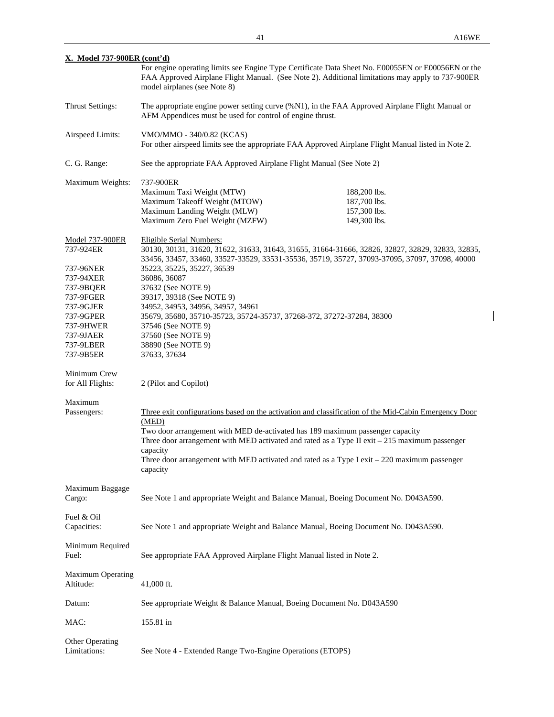$\overline{\phantom{a}}$ 

| <u>X. Model 737-900ER (cont'd)</u>                                                                                                                                                                                                  |                                                                                                                                                                                                                                                                                                                                                                    |                                                                                                                                                                                                                                                                                                           |  |
|-------------------------------------------------------------------------------------------------------------------------------------------------------------------------------------------------------------------------------------|--------------------------------------------------------------------------------------------------------------------------------------------------------------------------------------------------------------------------------------------------------------------------------------------------------------------------------------------------------------------|-----------------------------------------------------------------------------------------------------------------------------------------------------------------------------------------------------------------------------------------------------------------------------------------------------------|--|
|                                                                                                                                                                                                                                     | model airplanes (see Note 8)                                                                                                                                                                                                                                                                                                                                       | For engine operating limits see Engine Type Certificate Data Sheet No. E00055EN or E00056EN or the<br>FAA Approved Airplane Flight Manual. (See Note 2). Additional limitations may apply to 737-900ER                                                                                                    |  |
| Thrust Settings:                                                                                                                                                                                                                    | AFM Appendices must be used for control of engine thrust.                                                                                                                                                                                                                                                                                                          | The appropriate engine power setting curve (%N1), in the FAA Approved Airplane Flight Manual or                                                                                                                                                                                                           |  |
| Airspeed Limits:                                                                                                                                                                                                                    | VMO/MMO - 340/0.82 (KCAS)<br>For other airspeed limits see the appropriate FAA Approved Airplane Flight Manual listed in Note 2.                                                                                                                                                                                                                                   |                                                                                                                                                                                                                                                                                                           |  |
| C. G. Range:                                                                                                                                                                                                                        | See the appropriate FAA Approved Airplane Flight Manual (See Note 2)                                                                                                                                                                                                                                                                                               |                                                                                                                                                                                                                                                                                                           |  |
| Maximum Weights:                                                                                                                                                                                                                    | 737-900ER<br>Maximum Taxi Weight (MTW)<br>Maximum Takeoff Weight (MTOW)<br>Maximum Landing Weight (MLW)<br>Maximum Zero Fuel Weight (MZFW)                                                                                                                                                                                                                         | 188,200 lbs.<br>187,700 lbs.<br>157,300 lbs.<br>149,300 lbs.                                                                                                                                                                                                                                              |  |
| <b>Model 737-900ER</b><br>737-924ER<br>737-96NER<br>737-94XER<br>737-9BQER<br>737-9FGER<br>737-9GJER<br>737-9GPER<br>737-9HWER<br>737-9JAER<br>737-9LBER<br>737-9B5ER<br>Minimum Crew<br>for All Flights:<br>Maximum<br>Passengers: | <b>Eligible Serial Numbers:</b><br>35223, 35225, 35227, 36539<br>36086, 36087<br>37632 (See NOTE 9)<br>39317, 39318 (See NOTE 9)<br>34952, 34953, 34956, 34957, 34961<br>35679, 35680, 35710-35723, 35724-35737, 37268-372, 37272-37284, 38300<br>37546 (See NOTE 9)<br>37560 (See NOTE 9)<br>38890 (See NOTE 9)<br>37633, 37634<br>2 (Pilot and Copilot)<br>(MED) | 30130, 30131, 31620, 31622, 31633, 31643, 31655, 31664-31666, 32826, 32827, 32829, 32833, 32835,<br>33456, 33457, 33460, 33527-33529, 33531-35536, 35719, 35727, 37093-37095, 37097, 37098, 40000<br>Three exit configurations based on the activation and classification of the Mid-Cabin Emergency Door |  |
|                                                                                                                                                                                                                                     | Two door arrangement with MED de-activated has 189 maximum passenger capacity<br>capacity<br>capacity                                                                                                                                                                                                                                                              | Three door arrangement with MED activated and rated as a Type II exit $-215$ maximum passenger<br>Three door arrangement with MED activated and rated as a Type I exit - 220 maximum passenger                                                                                                            |  |
| Maximum Baggage<br>Cargo:                                                                                                                                                                                                           | See Note 1 and appropriate Weight and Balance Manual, Boeing Document No. D043A590.                                                                                                                                                                                                                                                                                |                                                                                                                                                                                                                                                                                                           |  |
| Fuel & Oil<br>Capacities:                                                                                                                                                                                                           | See Note 1 and appropriate Weight and Balance Manual, Boeing Document No. D043A590.                                                                                                                                                                                                                                                                                |                                                                                                                                                                                                                                                                                                           |  |
| Minimum Required<br>Fuel:                                                                                                                                                                                                           | See appropriate FAA Approved Airplane Flight Manual listed in Note 2.                                                                                                                                                                                                                                                                                              |                                                                                                                                                                                                                                                                                                           |  |
| <b>Maximum Operating</b><br>Altitude:                                                                                                                                                                                               | 41,000 ft.                                                                                                                                                                                                                                                                                                                                                         |                                                                                                                                                                                                                                                                                                           |  |
| Datum:                                                                                                                                                                                                                              | See appropriate Weight & Balance Manual, Boeing Document No. D043A590                                                                                                                                                                                                                                                                                              |                                                                                                                                                                                                                                                                                                           |  |
| MAC:                                                                                                                                                                                                                                | 155.81 in                                                                                                                                                                                                                                                                                                                                                          |                                                                                                                                                                                                                                                                                                           |  |
| <b>Other Operating</b><br>Limitations:                                                                                                                                                                                              | See Note 4 - Extended Range Two-Engine Operations (ETOPS)                                                                                                                                                                                                                                                                                                          |                                                                                                                                                                                                                                                                                                           |  |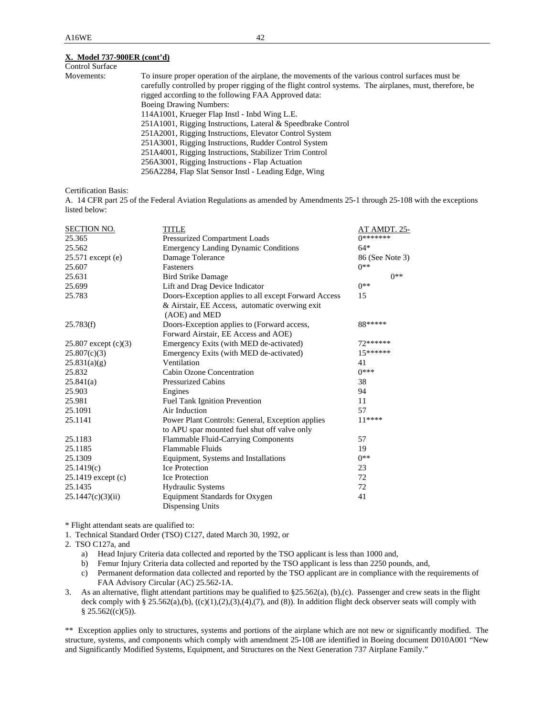### **X. Model 737-900ER (cont'd)**

| <b>Control Surface</b> |                                                                                                          |
|------------------------|----------------------------------------------------------------------------------------------------------|
| Movements:             | To insure proper operation of the airplane, the movements of the various control surfaces must be        |
|                        | carefully controlled by proper rigging of the flight control systems. The airplanes, must, therefore, be |
|                        | rigged according to the following FAA Approved data:                                                     |
|                        | <b>Boeing Drawing Numbers:</b>                                                                           |
|                        | 114A1001, Krueger Flap Instl - Inbd Wing L.E.                                                            |
|                        | 251A1001, Rigging Instructions, Lateral & Speedbrake Control                                             |
|                        | 251A2001, Rigging Instructions, Elevator Control System                                                  |
|                        | 251A3001, Rigging Instructions, Rudder Control System                                                    |
|                        | 251A4001, Rigging Instructions, Stabilizer Trim Control                                                  |
|                        | 256A3001, Rigging Instructions - Flap Actuation                                                          |
|                        | 256A2284, Flap Slat Sensor Instl - Leading Edge, Wing                                                    |
|                        |                                                                                                          |

Certification Basis:

A. 14 CFR part 25 of the Federal Aviation Regulations as amended by Amendments 25-1 through 25-108 with the exceptions listed below:

| <b>SECTION NO.</b>     | <b>TITLE</b>                                                    | AT AMDT. 25-    |
|------------------------|-----------------------------------------------------------------|-----------------|
| 25.365                 | Pressurized Compartment Loads                                   | 0*******        |
| 25.562                 | <b>Emergency Landing Dynamic Conditions</b>                     | $64*$           |
| 25.571 except (e)      | Damage Tolerance                                                | 86 (See Note 3) |
| 25.607                 | Fasteners                                                       | $0**$           |
| 25.631                 | <b>Bird Strike Damage</b>                                       | $0**$           |
| 25.699                 | Lift and Drag Device Indicator                                  | $0**$           |
| 25.783                 | Doors-Exception applies to all except Forward Access            | 15              |
|                        | & Airstair, EE Access, automatic overwing exit<br>(AOE) and MED |                 |
| 25.783(f)              | Doors-Exception applies to (Forward access,                     | 88*****         |
|                        | Forward Airstair, EE Access and AOE)                            |                 |
| 25.807 except $(c)(3)$ | Emergency Exits (with MED de-activated)                         | 72******        |
| 25.807(c)(3)           | Emergency Exits (with MED de-activated)                         | $15******$      |
| 25.831(a)(g)           | Ventilation                                                     | 41              |
| 25.832                 | Cabin Ozone Concentration                                       | $0***$          |
| 25.841(a)              | <b>Pressurized Cabins</b>                                       | 38              |
| 25.903                 | Engines                                                         | 94              |
| 25.981                 | <b>Fuel Tank Ignition Prevention</b>                            | 11              |
| 25.1091                | Air Induction                                                   | 57              |
| 25.1141                | Power Plant Controls: General, Exception applies                | $11***$         |
|                        | to APU spar mounted fuel shut off valve only                    |                 |
| 25.1183                | Flammable Fluid-Carrying Components                             | 57              |
| 25.1185                | <b>Flammable Fluids</b>                                         | 19              |
| 25.1309                | Equipment, Systems and Installations                            | $0**$           |
| 25.1419(c)             | <b>Ice Protection</b>                                           | 23              |
| 25.1419 except (c)     | <b>Ice Protection</b>                                           | 72              |
| 25.1435                | <b>Hydraulic Systems</b>                                        | 72              |
| 25.1447(c)(3)(ii)      | Equipment Standards for Oxygen                                  | 41              |
|                        | Dispensing Units                                                |                 |

\* Flight attendant seats are qualified to:

1. Technical Standard Order (TSO) C127, dated March 30, 1992, or

2. TSO C127a, and

a) Head Injury Criteria data collected and reported by the TSO applicant is less than 1000 and,

b) Femur Injury Criteria data collected and reported by the TSO applicant is less than 2250 pounds, and,

- c) Permanent deformation data collected and reported by the TSO applicant are in compliance with the requirements of FAA Advisory Circular (AC) 25.562-1A.
- 3. As an alternative, flight attendant partitions may be qualified to §25.562(a), (b),(c). Passenger and crew seats in the flight deck comply with § 25.562(a),(b), ((c)(1),(2),(3),(4),(7), and (8)). In addition flight deck observer seats will comply with § 25.562((c)(5)).

\*\* Exception applies only to structures, systems and portions of the airplane which are not new or significantly modified. The structure, systems, and components which comply with amendment 25-108 are identified in Boeing document D010A001 "New and Significantly Modified Systems, Equipment, and Structures on the Next Generation 737 Airplane Family."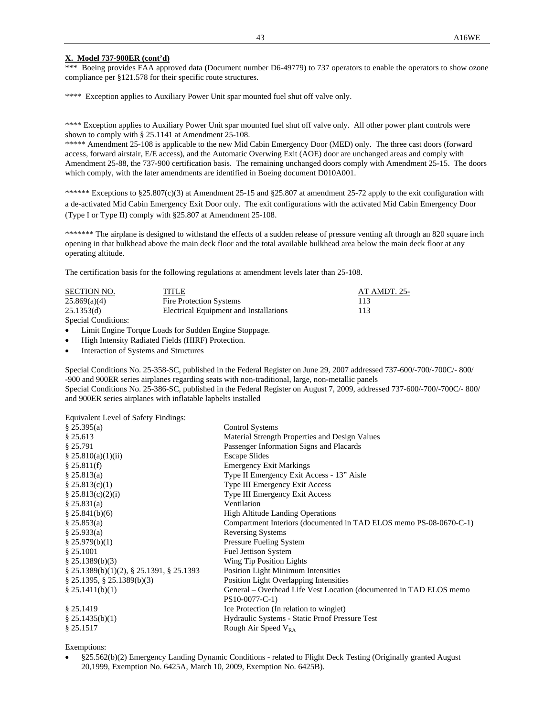# **X. Model 737-900ER (cont'd)**

\*\*\* Boeing provides FAA approved data (Document number D6-49779) to 737 operators to enable the operators to show ozone compliance per §121.578 for their specific route structures.

\*\*\*\* Exception applies to Auxiliary Power Unit spar mounted fuel shut off valve only.

\*\*\*\* Exception applies to Auxiliary Power Unit spar mounted fuel shut off valve only. All other power plant controls were shown to comply with § 25.1141 at Amendment 25-108.

\*\*\*\*\* Amendment 25-108 is applicable to the new Mid Cabin Emergency Door (MED) only. The three cast doors (forward access, forward airstair, E/E access), and the Automatic Overwing Exit (AOE) door are unchanged areas and comply with Amendment 25-88, the 737-900 certification basis. The remaining unchanged doors comply with Amendment 25-15. The doors which comply, with the later amendments are identified in Boeing document D010A001.

\*\*\*\*\*\* Exceptions to §25.807(c)(3) at Amendment 25-15 and §25.807 at amendment 25-72 apply to the exit configuration with a de-activated Mid Cabin Emergency Exit Door only. The exit configurations with the activated Mid Cabin Emergency Door (Type I or Type II) comply with §25.807 at Amendment 25-108.

\*\*\*\*\*\* The airplane is designed to withstand the effects of a sudden release of pressure venting aft through an 820 square inch opening in that bulkhead above the main deck floor and the total available bulkhead area below the main deck floor at any operating altitude.

The certification basis for the following regulations at amendment levels later than 25-108.

| SECTION NO.         | TITLE                                  | AT AMDT. 25- |
|---------------------|----------------------------------------|--------------|
| 25.869(a)(4)        | Fire Protection Systems                | 113          |
| 25.1353(d)          | Electrical Equipment and Installations | 113          |
| Special Conditions: |                                        |              |

Limit Engine Torque Loads for Sudden Engine Stoppage.

High Intensity Radiated Fields (HIRF) Protection.

Interaction of Systems and Structures

Special Conditions No. 25-358-SC, published in the Federal Register on June 29, 2007 addressed 737-600/-700/-700C/- 800/ -900 and 900ER series airplanes regarding seats with non-traditional, large, non-metallic panels Special Conditions No. 25-386-SC, published in the Federal Register on August 7, 2009, addressed 737-600/-700/-700C/- 800/ and 900ER series airplanes with inflatable lapbelts installed

Equivalent Level of Safety Findings:

| § 25.395(a)                                       | Control Systems                                                    |
|---------------------------------------------------|--------------------------------------------------------------------|
| \$25.613                                          | Material Strength Properties and Design Values                     |
| § 25.791                                          | Passenger Information Signs and Placards                           |
| \$25.810(a)(1)(ii)                                | <b>Escape Slides</b>                                               |
| \$25.811(f)                                       | <b>Emergency Exit Markings</b>                                     |
| \$25.813(a)                                       | Type II Emergency Exit Access - 13" Aisle                          |
| \$25.813(c)(1)                                    | Type III Emergency Exit Access                                     |
| \$25.813(c)(2)(i)                                 | Type III Emergency Exit Access                                     |
| \$25.831(a)                                       | Ventilation                                                        |
| \$25.841(b)(6)                                    | <b>High Altitude Landing Operations</b>                            |
| § 25.853(a)                                       | Compartment Interiors (documented in TAD ELOS memo PS-08-0670-C-1) |
| $\S$ 25.933(a)                                    | <b>Reversing Systems</b>                                           |
| \$25.979(b)(1)                                    | <b>Pressure Fueling System</b>                                     |
| § 25.1001                                         | <b>Fuel Jettison System</b>                                        |
| \$25.1389(b)(3)                                   | Wing Tip Position Lights                                           |
| $\S$ 25.1389(b)(1)(2), $\S$ 25.1391, $\S$ 25.1393 | <b>Position Light Minimum Intensities</b>                          |
| $\S$ 25.1395, $\S$ 25.1389(b)(3)                  | Position Light Overlapping Intensities                             |
| § 25.1411(b)(1)                                   | General – Overhead Life Vest Location (documented in TAD ELOS memo |
|                                                   | PS10-0077-C-1)                                                     |
| § 25.1419                                         | Ice Protection (In relation to winglet)                            |
| \$25.1435(b)(1)                                   | Hydraulic Systems - Static Proof Pressure Test                     |
| § 25.1517                                         | Rough Air Speed $V_{RA}$                                           |
|                                                   |                                                                    |

Exemptions:

 §25.562(b)(2) Emergency Landing Dynamic Conditions - related to Flight Deck Testing (Originally granted August 20,1999, Exemption No. 6425A, March 10, 2009, Exemption No. 6425B).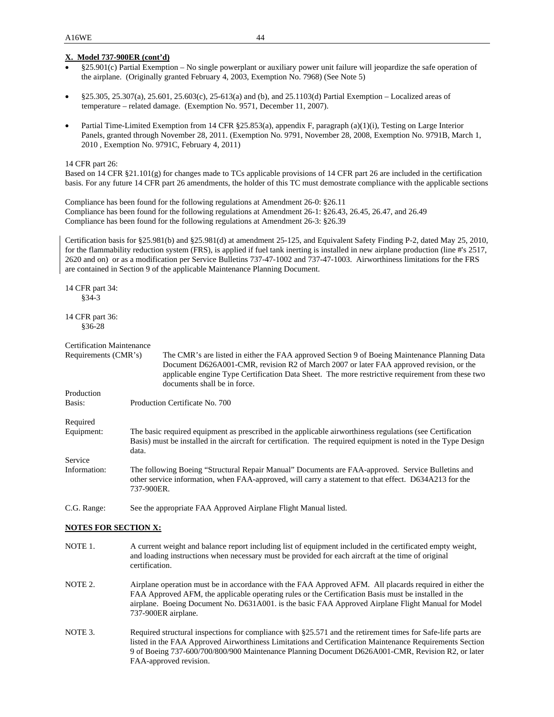### **X. Model 737-900ER (cont'd)**

- §25.901(c) Partial Exemption No single powerplant or auxiliary power unit failure will jeopardize the safe operation of the airplane. (Originally granted February 4, 2003, Exemption No. 7968) (See Note 5)
- §25.305, 25.307(a), 25.601, 25.603(c), 25-613(a) and (b), and 25.1103(d) Partial Exemption Localized areas of temperature – related damage. (Exemption No. 9571, December 11, 2007).
- Partial Time-Limited Exemption from 14 CFR §25.853(a), appendix F, paragraph (a)(1)(i), Testing on Large Interior Panels, granted through November 28, 2011. (Exemption No. 9791, November 28, 2008, Exemption No. 9791B, March 1, 2010 , Exemption No. 9791C, February 4, 2011)

#### 14 CFR part 26:

Based on 14 CFR §21.101(g) for changes made to TCs applicable provisions of 14 CFR part 26 are included in the certification basis. For any future 14 CFR part 26 amendments, the holder of this TC must demostrate compliance with the applicable sections

Compliance has been found for the following regulations at Amendment 26-0: §26.11 Compliance has been found for the following regulations at Amendment 26-1: §26.43, 26.45, 26.47, and 26.49 Compliance has been found for the following regulations at Amendment 26-3: §26.39

Certification basis for §25.981(b) and §25.981(d) at amendment 25-125, and Equivalent Safety Finding P-2, dated May 25, 2010, for the flammability reduction system (FRS), is applied if fuel tank inerting is installed in new airplane production (line #'s 2517, 2620 and on) or as a modification per Service Bulletins 737-47-1002 and 737-47-1003. Airworthiness limitations for the FRS are contained in Section 9 of the applicable Maintenance Planning Document.

14 CFR part 34: §34-3

14 CFR part 36: §36-28

```
Certification Maintenance
```
Requirements (CMR's) The CMR's are listed in either the FAA approved Section 9 of Boeing Maintenance Planning Data Document D626A001-CMR, revision R2 of March 2007 or later FAA approved revision, or the applicable engine Type Certification Data Sheet. The more restrictive requirement from these two documents shall be in force.

Basis: Production Certificate No. 700

Required

Production

- Equipment: The basic required equipment as prescribed in the applicable airworthiness regulations (see Certification Basis) must be installed in the aircraft for certification. The required equipment is noted in the Type Design data. Service
- Information: The following Boeing "Structural Repair Manual" Documents are FAA-approved. Service Bulletins and other service information, when FAA-approved, will carry a statement to that effect. D634A213 for the 737-900ER.

C.G. Range: See the appropriate FAA Approved Airplane Flight Manual listed.

#### **NOTES FOR SECTION X:**

- NOTE 1. A current weight and balance report including list of equipment included in the certificated empty weight, and loading instructions when necessary must be provided for each aircraft at the time of original certification.
- NOTE 2. Airplane operation must be in accordance with the FAA Approved AFM. All placards required in either the FAA Approved AFM, the applicable operating rules or the Certification Basis must be installed in the airplane. Boeing Document No. D631A001. is the basic FAA Approved Airplane Flight Manual for Model 737-900ER airplane*.*
- NOTE 3. Required structural inspections for compliance with §25.571 and the retirement times for Safe-life parts are listed in the FAA Approved Airworthiness Limitations and Certification Maintenance Requirements Section 9 of Boeing 737-600/700/800/900 Maintenance Planning Document D626A001-CMR, Revision R2, or later FAA-approved revision.